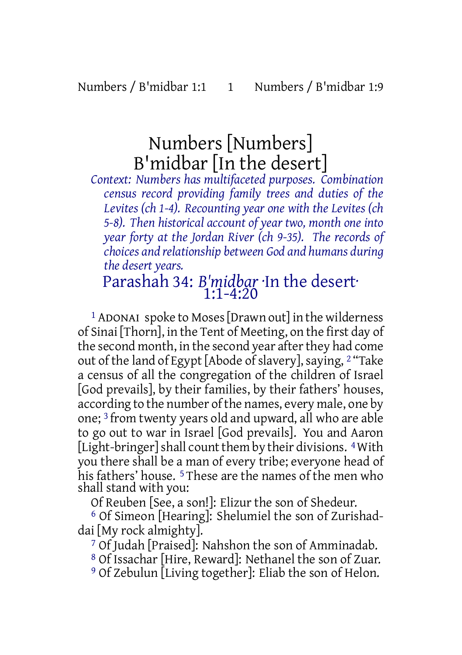# Numbers [Numbers] B'midbar [In the desert]

*Context: Numbers has multifaceted purposes. Combination census record providing family trees and duties of the Levites (ch 1-4). Recounting year one with the Levites (ch 5-8). Then historical account of year two, month one into year forty at the Jordan River (ch 9-35). The records of choices and relationship between God and humans during the desert years.*

### Parashah 34: *B'midbar* ·In the desert· 1:1-4:20

1 ADONAI spoke to Moses[Drawn out] in the wilderness of Sinai [Thorn], in the Tent of Meeting, on the first day of the second month, in the second year after they had come out of the land of Egypt [Abode of slavery], saying, <sup>2</sup> "Take a census of all the congregation of the children of Israel [God prevails], by their families, by their fathers' houses, according to the number of the names, every male, one by one; 3 from twenty years old and upward, all who are able to go out to war in Israel [God prevails]. You and Aaron [Light-bringer] shall count them by their divisions. <sup>4</sup> With you there shall be a man of every tribe; everyone head of his fathers' house.<sup>5</sup> These are the names of the men who shall stand with you:

Of Reuben [See, a son!]: Elizur the son of Shedeur.

6 Of Simeon [Hearing]: Shelumiel the son of Zurishaddai [My rock almighty].

7 Of Judah [Praised]: Nahshon the son of Amminadab.

8 Of Issachar [Hire, Reward]: Nethanel the son of Zuar.

9 Of Zebulun [Living together]: Eliab the son of Helon.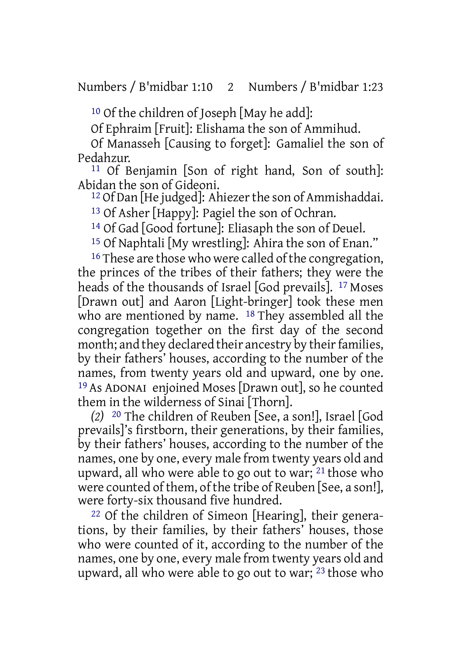10 Of the children of Joseph [May he add]:

Of Ephraim [Fruit]: Elishama the son of Ammihud.

Of Manasseh [Causing to forget]: Gamaliel the son of Pedahzur.

11 Of Benjamin [Son of right hand, Son of south]: Abidan the son of Gideoni.

<sup>12</sup> Of Dan [He judged]: Ahiezer the son of Ammishaddai.

13 Of Asher [Happy]: Pagiel the son of Ochran.

14 Of Gad [Good fortune]: Eliasaph the son of Deuel.

15 Of Naphtali [My wrestling]: Ahira the son of Enan."

<sup>16</sup> These are those who were called of the congregation, the princes of the tribes of their fathers; they were the heads of the thousands of Israel [God prevails]. 17 Moses [Drawn out] and Aaron [Light-bringer] took these men who are mentioned by name. 18 They assembled all the congregation together on the first day of the second month; and they declared their ancestry by their families, by their fathers' houses, according to the number of the names, from twenty years old and upward, one by one. 19 As ADONAI enjoined Moses [Drawn out], so he counted them in the wilderness of Sinai [Thorn].

*(2)* 20 The children of Reuben [See, a son!], Israel [God prevails]'s firstborn, their generations, by their families, by their fathers' houses, according to the number of the names, one by one, every male from twenty years old and upward, all who were able to go out to war; 21 those who were counted of them, of the tribe of Reuben [See, a son!], were forty-six thousand five hundred.

22 Of the children of Simeon [Hearing], their generations, by their families, by their fathers' houses, those who were counted of it, according to the number of the names, one by one, every male from twenty years old and upward, all who were able to go out to war; 23 those who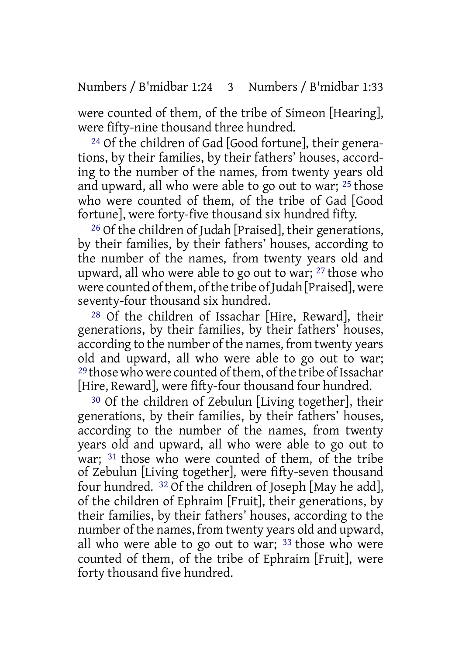were counted of them, of the tribe of Simeon [Hearing], were fifty-nine thousand three hundred.

24 Of the children of Gad [Good fortune], their generations, by their families, by their fathers' houses, according to the number of the names, from twenty years old and upward, all who were able to go out to war; 25 those who were counted of them, of the tribe of Gad [Good fortune], were forty-five thousand six hundred fifty.

26 Of the children of Judah [Praised], their generations, by their families, by their fathers' houses, according to the number of the names, from twenty years old and upward, all who were able to go out to war; 27 those who were counted of them, of the tribe of Judah [Praised], were seventy-four thousand six hundred.

28 Of the children of Issachar [Hire, Reward], their generations, by their families, by their fathers' houses, according to the number of the names, from twenty years old and upward, all who were able to go out to war; <sup>29</sup> those who were counted of them, of the tribe of Issachar [Hire, Reward], were fifty-four thousand four hundred.

30 Of the children of Zebulun [Living together], their generations, by their families, by their fathers' houses, according to the number of the names, from twenty years old and upward, all who were able to go out to war; 31 those who were counted of them, of the tribe of Zebulun [Living together], were fifty-seven thousand four hundred. 32 Of the children of Joseph [May he add], of the children of Ephraim [Fruit], their generations, by their families, by their fathers' houses, according to the number of the names, from twenty years old and upward, all who were able to go out to war; 33 those who were counted of them, of the tribe of Ephraim [Fruit], were forty thousand five hundred.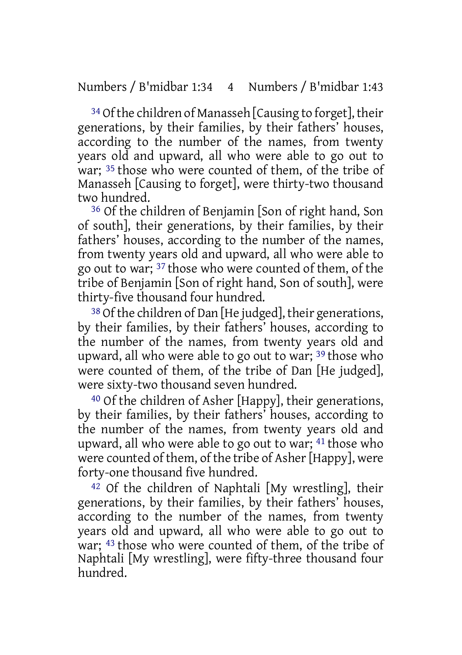<sup>34</sup> Of the children of Manasseh [Causing to forget], their generations, by their families, by their fathers' houses, according to the number of the names, from twenty years old and upward, all who were able to go out to war; <sup>35</sup> those who were counted of them, of the tribe of Manasseh [Causing to forget], were thirty-two thousand two hundred.

36 Of the children of Benjamin [Son of right hand, Son of south], their generations, by their families, by their fathers' houses, according to the number of the names, from twenty years old and upward, all who were able to go out to war; 37 those who were counted of them, of the tribe of Benjamin [Son of right hand, Son of south], were thirty-five thousand four hundred.

 $38$  Of the children of Dan [He judged], their generations, by their families, by their fathers' houses, according to the number of the names, from twenty years old and upward, all who were able to go out to war; 39 those who were counted of them, of the tribe of Dan [He judged], were sixty-two thousand seven hundred.

40 Of the children of Asher [Happy], their generations, by their families, by their fathers' houses, according to the number of the names, from twenty years old and upward, all who were able to go out to war; 41 those who were counted of them, of the tribe of Asher [Happy], were forty-one thousand five hundred.

42 Of the children of Naphtali [My wrestling], their generations, by their families, by their fathers' houses, according to the number of the names, from twenty years old and upward, all who were able to go out to war; 43 those who were counted of them, of the tribe of Naphtali [My wrestling], were fifty-three thousand four hundred.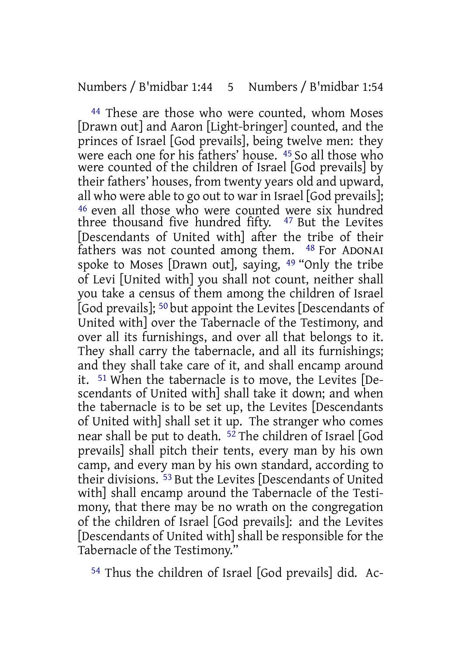44 These are those who were counted, whom Moses [Drawn out] and Aaron [Light-bringer] counted, and the princes of Israel [God prevails], being twelve men: they were each one for his fathers' house. 45 So all those who were counted of the children of Israel [God prevails] by their fathers' houses, from twenty years old and upward, all who were able to go out to war in Israel [God prevails]; 46 even all those who were counted were six hundred three thousand five hundred fifty. 47 But the Levites [Descendants of United with] after the tribe of their fathers was not counted among them. 48 For ADONAI spoke to Moses [Drawn out], saying, 49 "Only the tribe of Levi [United with] you shall not count, neither shall you take a census of them among the children of Israel [God prevails]; 50 but appoint the Levites [Descendants of United with] over the Tabernacle of the Testimony, and over all its furnishings, and over all that belongs to it. They shall carry the tabernacle, and all its furnishings; and they shall take care of it, and shall encamp around it. 51 When the tabernacle is to move, the Levites [Descendants of United with] shall take it down; and when the tabernacle is to be set up, the Levites [Descendants of United with] shall set it up. The stranger who comes near shall be put to death. <sup>52</sup> The children of Israel [God prevails] shall pitch their tents, every man by his own camp, and every man by his own standard, according to their divisions. 53 But the Levites [Descendants of United with] shall encamp around the Tabernacle of the Testimony, that there may be no wrath on the congregation of the children of Israel [God prevails]: and the Levites [Descendants of United with] shall be responsible for the Tabernacle of the Testimony."

54 Thus the children of Israel [God prevails] did. Ac-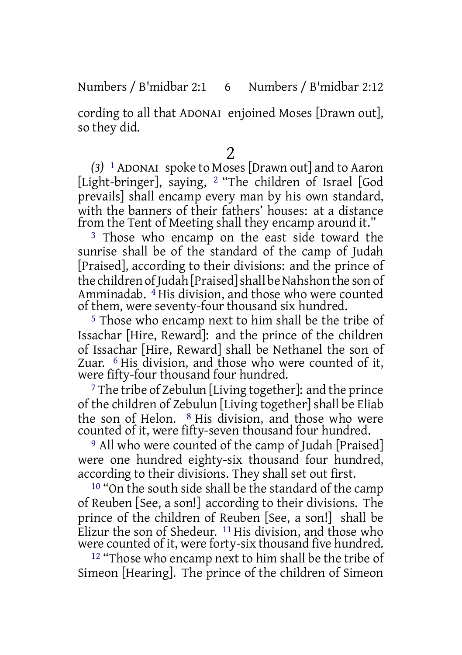#### Numbers / B'midbar 2:1 6 Numbers / B'midbar 2:12

cording to all that ADONAI enjoined Moses [Drawn out], so they did.

2

*(3)* 1 ADONAI spoke to Moses[Drawn out] and to Aaron [Light-bringer], saying, 2 "The children of Israel [God prevails] shall encamp every man by his own standard, with the banners of their fathers' houses: at a distance from the Tent of Meeting shall they encamp around it."

<sup>3</sup> Those who encamp on the east side toward the sunrise shall be of the standard of the camp of Judah [Praised], according to their divisions: and the prince of the children of Judah [Praised] shall be Nahshon the son of Amminadab. 4 His division, and those who were counted of them, were seventy-four thousand six hundred.

5 Those who encamp next to him shall be the tribe of Issachar [Hire, Reward]: and the prince of the children of Issachar [Hire, Reward] shall be Nethanel the son of Zuar. 6 His division, and those who were counted of it, were fifty-four thousand four hundred.

7 The tribe of Zebulun [Living together]: and the prince of the children of Zebulun [Living together] shall be Eliab the son of Helon.  $8$  His division, and those who were counted of it, were fifty-seven thousand four hundred.

9 All who were counted of the camp of Judah [Praised] were one hundred eighty-six thousand four hundred, according to their divisions. They shall set out first.

<sup>10</sup> "On the south side shall be the standard of the camp of Reuben [See, a son!] according to their divisions. The prince of the children of Reuben [See, a son!] shall be Elizur the son of Shedeur.  $11$  His division, and those who were counted of it, were forty-six thousand five hundred.

12 "Those who encamp next to him shall be the tribe of Simeon [Hearing]. The prince of the children of Simeon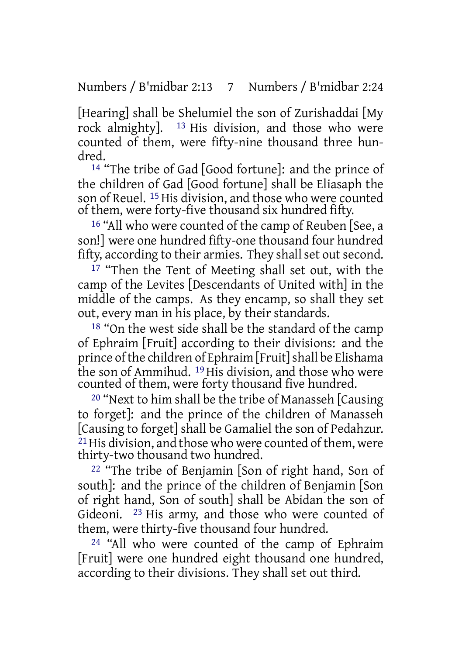Numbers / B'midbar 2:13 7 Numbers / B'midbar 2:24

[Hearing] shall be Shelumiel the son of Zurishaddai [My rock almighty]. 13 His division, and those who were counted of them, were fifty-nine thousand three hundred.

14 "The tribe of Gad [Good fortune]: and the prince of the children of Gad [Good fortune] shall be Eliasaph the son of Reuel. <sup>15</sup> His division, and those who were counted of them, were forty-five thousand six hundred fifty.

16 "All who were counted of the camp of Reuben [See, a son!] were one hundred fifty-one thousand four hundred fifty, according to their armies. They shall set out second.

17 "Then the Tent of Meeting shall set out, with the camp of the Levites [Descendants of United with] in the middle of the camps. As they encamp, so shall they set out, every man in his place, by their standards.

18 "On the west side shall be the standard of the camp of Ephraim [Fruit] according to their divisions: and the prince of the children of Ephraim [Fruit] shall be Elishama the son of Ammihud. 19 His division, and those who were counted of them, were forty thousand five hundred.

20 "Next to him shall be the tribe of Manasseh [Causing to forget]: and the prince of the children of Manasseh [Causing to forget] shall be Gamaliel the son of Pedahzur.  $21$  His division, and those who were counted of them, were thirty-two thousand two hundred.

22 "The tribe of Benjamin [Son of right hand, Son of south]: and the prince of the children of Benjamin [Son of right hand, Son of south] shall be Abidan the son of Gideoni. 23 His army, and those who were counted of them, were thirty-five thousand four hundred.

24 "All who were counted of the camp of Ephraim [Fruit] were one hundred eight thousand one hundred, according to their divisions. They shall set out third.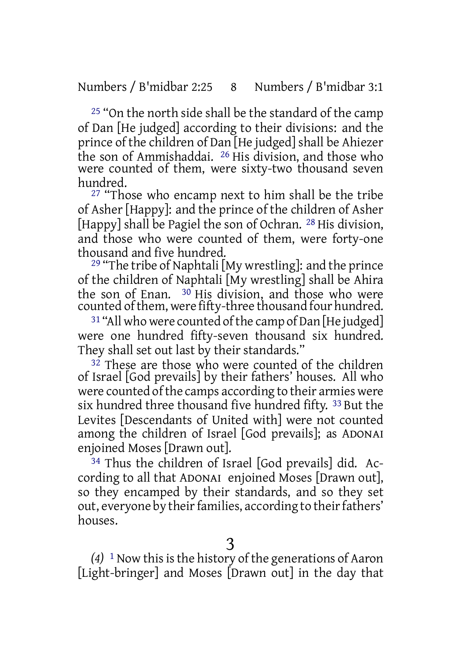25 "On the north side shall be the standard of the camp of Dan [He judged] according to their divisions: and the prince of the children of Dan [He judged] shall be Ahiezer the son of Ammishaddai. 26 His division, and those who were counted of them, were sixty-two thousand seven hundred.

27 "Those who encamp next to him shall be the tribe of Asher [Happy]: and the prince of the children of Asher [Happy] shall be Pagiel the son of Ochran. <sup>28</sup> His division, and those who were counted of them, were forty-one thousand and five hundred.

29 "The tribe of Naphtali [My wrestling]: and the prince of the children of Naphtali [My wrestling] shall be Ahira the son of Enan. <sup>30</sup> His division, and those who were counted ofthem, were fifty-three thousand four hundred.

<sup>31</sup> "All who were counted of the camp of Dan [He judged] were one hundred fifty-seven thousand six hundred. They shall set out last by their standards."

 $32$  These are those who were counted of the children of Israel [God prevails] by their fathers' houses. All who were counted of the camps according to their armies were six hundred three thousand five hundred fifty. 33 But the Levites [Descendants of United with] were not counted among the children of Israel [God prevails]; as ADONAI enjoined Moses [Drawn out].

<sup>34</sup> Thus the children of Israel [God prevails] did. According to all that ADONAI enjoined Moses [Drawn out], so they encamped by their standards, and so they set out, everyone by their families, according to their fathers' houses.

 $(4)$ <sup>1</sup> Now this is the history of the generations of Aaron [Light-bringer] and Moses [Drawn out] in the day that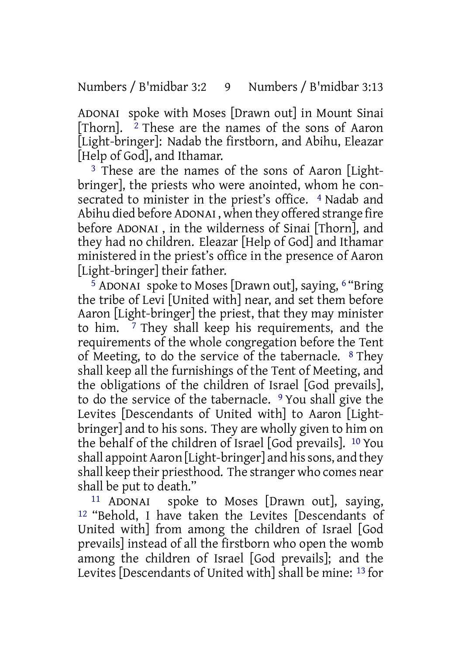Numbers / B'midbar 3:2 9 Numbers / B'midbar 3:13

ADONAI spoke with Moses [Drawn out] in Mount Sinai  $[Then 2]$  These are the names of the sons of Aaron  $2$  These are the names of the sons of Aaron [Light-bringer]: Nadab the firstborn, and Abihu, Eleazar [Help of God], and Ithamar.

<sup>3</sup> These are the names of the sons of Aaron [Lightbringer], the priests who were anointed, whom he consecrated to minister in the priest's office. <sup>4</sup> Nadab and Abihu died before ADONAI , when they offered strange fire before ADONAI , in the wilderness of Sinai [Thorn], and they had no children. Eleazar [Help of God] and Ithamar ministered in the priest's office in the presence of Aaron [Light-bringer] their father.

5 ADONAI spoke to Moses [Drawn out], saying, 6 "Bring the tribe of Levi [United with] near, and set them before Aaron [Light-bringer] the priest, that they may minister to him. 7 They shall keep his requirements, and the requirements of the whole congregation before the Tent of Meeting, to do the service of the tabernacle. 8 They shall keep all the furnishings of the Tent of Meeting, and the obligations of the children of Israel [God prevails], to do the service of the tabernacle. 9 You shall give the Levites [Descendants of United with] to Aaron [Lightbringer] and to his sons. They are wholly given to him on the behalf of the children of Israel [God prevails]. 10 You shall appoint Aaron [Light-bringer] and his sons, and they shall keep their priesthood. The stranger who comes near shall be put to death."

11 ADONAI spoke to Moses [Drawn out], saying, 12 "Behold, I have taken the Levites [Descendants of United with] from among the children of Israel [God prevails] instead of all the firstborn who open the womb among the children of Israel [God prevails]; and the Levites [Descendants of United with] shall be mine: 13 for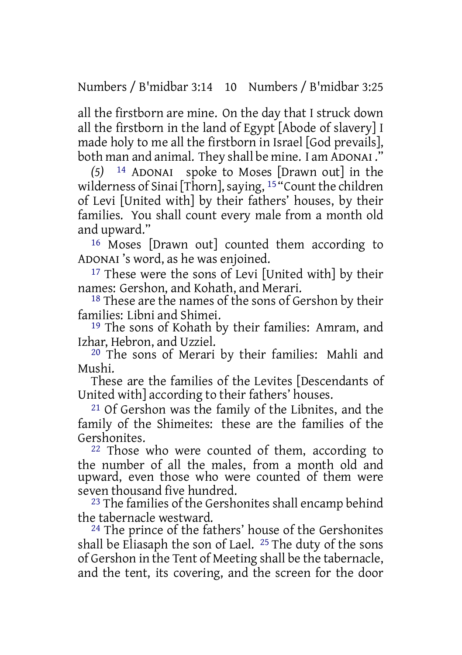Numbers / B'midbar 3:14 10 Numbers / B'midbar 3:25

all the firstborn are mine. On the day that I struck down all the firstborn in the land of Egypt [Abode of slavery] I made holy to me all the firstborn in Israel [God prevails], both man and animal. They shall be mine. I am ADONAI ."

*(5)* 14 ADONAI spoke to Moses [Drawn out] in the wilderness of Sinai [Thorn], saying, <sup>15</sup> "Count the children of Levi [United with] by their fathers' houses, by their families. You shall count every male from a month old and upward."

16 Moses [Drawn out] counted them according to ADONAI 's word, as he was enjoined.

<sup>17</sup> These were the sons of Levi [United with] by their names: Gershon, and Kohath, and Merari.

<sup>18</sup> These are the names of the sons of Gershon by their families: Libni and Shimei.

19 The sons of Kohath by their families: Amram, and Izhar, Hebron, and Uzziel.

20 The sons of Merari by their families: Mahli and Mushi.

These are the families of the Levites [Descendants of United with] according to their fathers' houses.

21 Of Gershon was the family of the Libnites, and the family of the Shimeites: these are the families of the Gershonites.

22 Those who were counted of them, according to the number of all the males, from a month old and upward, even those who were counted of them were seven thousand five hundred.

23 The families of the Gershonites shall encamp behind the tabernacle westward.

24 The prince of the fathers' house of the Gershonites shall be Eliasaph the son of Lael. 25 The duty of the sons of Gershon in the Tent of Meeting shall be the tabernacle, and the tent, its covering, and the screen for the door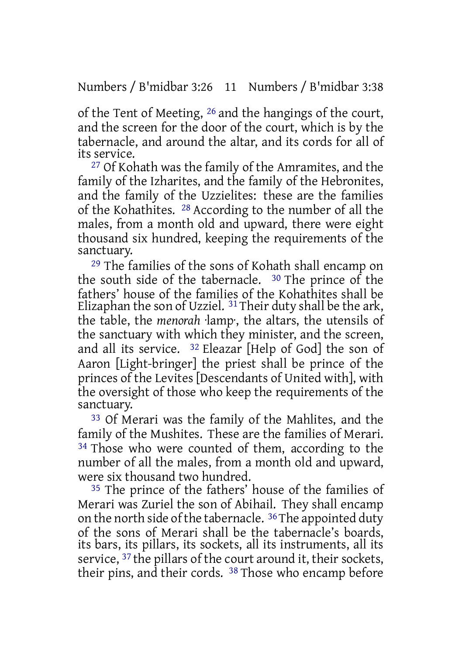Numbers / B'midbar 3:26 11 Numbers / B'midbar 3:38

of the Tent of Meeting, 26 and the hangings of the court, and the screen for the door of the court, which is by the tabernacle, and around the altar, and its cords for all of its service.

27 Of Kohath was the family of the Amramites, and the family of the Izharites, and the family of the Hebronites, and the family of the Uzzielites: these are the families of the Kohathites. 28 According to the number of all the males, from a month old and upward, there were eight thousand six hundred, keeping the requirements of the sanctuary.

29 The families of the sons of Kohath shall encamp on the south side of the tabernacle. 30 The prince of the fathers' house of the families of the Kohathites shall be Elizaphan the son of Uzziel.  $31$  Their duty shall be the ark, the table, the *menorah* ·lamp·, the altars, the utensils of the sanctuary with which they minister, and the screen, and all its service. 32 Eleazar [Help of God] the son of Aaron [Light-bringer] the priest shall be prince of the princes of the Levites [Descendants of United with], with the oversight of those who keep the requirements of the sanctuary.

33 Of Merari was the family of the Mahlites, and the family of the Mushites. These are the families of Merari. <sup>34</sup> Those who were counted of them, according to the number of all the males, from a month old and upward, were six thousand two hundred.

35 The prince of the fathers' house of the families of Merari was Zuriel the son of Abihail. They shall encamp on the north side of the tabernacle.  $36$  The appointed duty of the sons of Merari shall be the tabernacle's boards, its bars, its pillars, its sockets, all its instruments, all its service, <sup>37</sup> the pillars of the court around it, their sockets, their pins, and their cords. 38 Those who encamp before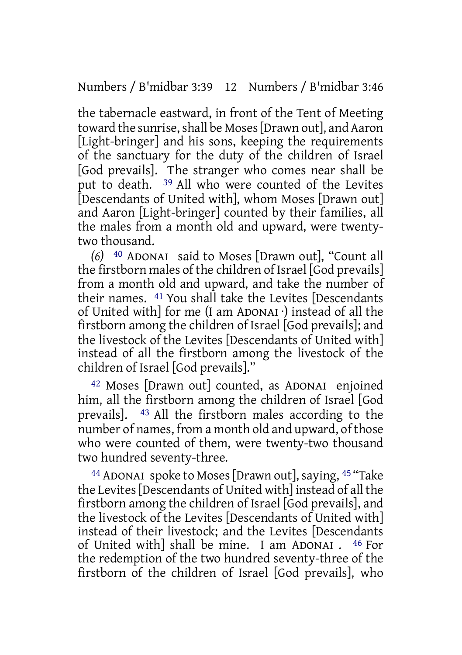Numbers / B'midbar 3:39 12 Numbers / B'midbar 3:46

the tabernacle eastward, in front of the Tent of Meeting toward the sunrise, shall be Moses [Drawn out], and Aaron [Light-bringer] and his sons, keeping the requirements of the sanctuary for the duty of the children of Israel [God prevails]. The stranger who comes near shall be put to death. 39 All who were counted of the Levites [Descendants of United with], whom Moses [Drawn out] and Aaron [Light-bringer] counted by their families, all the males from a month old and upward, were twentytwo thousand.

*(6)* 40 ADONAI said to Moses [Drawn out], "Count all the firstborn males of the children of Israel [God prevails] from a month old and upward, and take the number of their names. 41 You shall take the Levites [Descendants of United with] for me (I am ADONAI ·) instead of all the firstborn among the children of Israel [God prevails]; and the livestock of the Levites [Descendants of United with] instead of all the firstborn among the livestock of the children of Israel [God prevails]."

42 Moses [Drawn out] counted, as ADONAI enjoined him, all the firstborn among the children of Israel [God prevails]. 43 All the firstborn males according to the number of names, from a month old and upward, of those who were counted of them, were twenty-two thousand two hundred seventy-three.

<sup>44</sup> ADONAI spoke to Moses [Drawn out], saying, <sup>45</sup> "Take the Levites[Descendants of United with] instead of all the firstborn among the children of Israel [God prevails], and the livestock of the Levites [Descendants of United with] instead of their livestock; and the Levites [Descendants of United with] shall be mine. I am ADONAI . 46 For the redemption of the two hundred seventy-three of the firstborn of the children of Israel [God prevails], who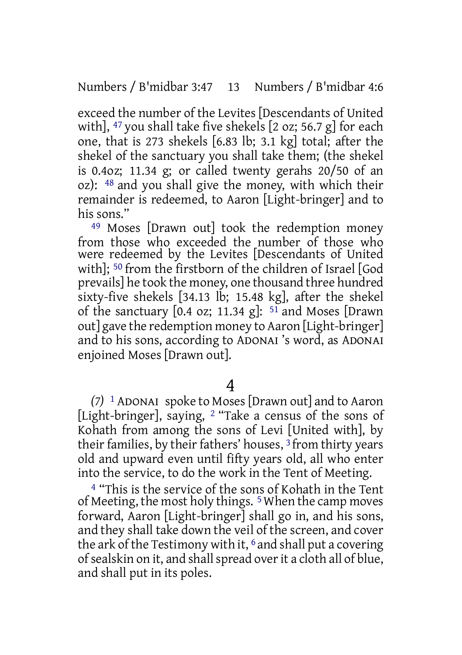exceed the number of the Levites [Descendants of United with],  $47$  you shall take five shekels  $\left[2 \text{ oz} \right]$ ; 56.7 g] for each one, that is 273 shekels [6.83 lb; 3.1 kg] total; after the shekel of the sanctuary you shall take them; (the shekel is 0.4oz; 11.34 g; or called twenty gerahs 20/50 of an oz): 48 and you shall give the money, with which their remainder is redeemed, to Aaron [Light-bringer] and to his sons"

49 Moses [Drawn out] took the redemption money from those who exceeded the number of those who were redeemed by the Levites [Descendants of United with]; 50 from the firstborn of the children of Israel [God prevails] he took the money, one thousand three hundred sixty-five shekels [34.13 lb; 15.48 kg], after the shekel of the sanctuary  $[0.4 \text{ oz}; 11.34 \text{ g}]$ :  $51 \text{ and Moses}$  [Drawn] out] gave the redemption money to Aaron [Light-bringer] and to his sons, according to ADONAI 's word, as ADONAI enjoined Moses [Drawn out].

4

*(7)* 1 ADONAI spoke to Moses[Drawn out] and to Aaron [Light-bringer], saying, 2 "Take a census of the sons of Kohath from among the sons of Levi [United with], by their families, by their fathers' houses, <sup>3</sup> from thirty years old and upward even until fifty years old, all who enter into the service, to do the work in the Tent of Meeting.

4 "This is the service of the sons of Kohath in the Tent of Meeting, the most holy things. 5When the camp moves forward, Aaron [Light-bringer] shall go in, and his sons, and they shall take down the veil of the screen, and cover the ark of the Testimony with it,  $6$  and shall put a covering of sealskin on it, and shall spread over it a cloth all of blue. and shall put in its poles.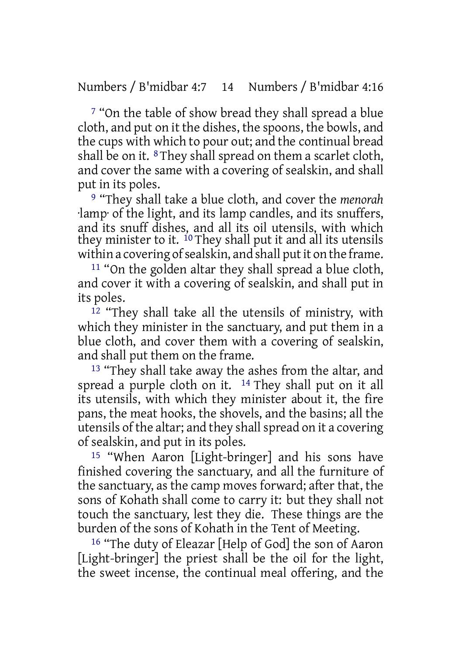7 "On the table of show bread they shall spread a blue cloth, and put on it the dishes, the spoons, the bowls, and the cups with which to pour out; and the continual bread shall be on it.  $8$  They shall spread on them a scarlet cloth, and cover the same with a covering of sealskin, and shall put in its poles.

9 "They shall take a blue cloth, and cover the *menorah* ·lamp· of the light, and its lamp candles, and its snuffers, and its snuff dishes, and all its oil utensils, with which they minister to it.  $^{10}$  They shall put it and all its utensils within a covering of sealskin, and shall put it on the frame.

11 "On the golden altar they shall spread a blue cloth, and cover it with a covering of sealskin, and shall put in its poles.

12 "They shall take all the utensils of ministry, with which they minister in the sanctuary, and put them in a blue cloth, and cover them with a covering of sealskin, and shall put them on the frame.

13 "They shall take away the ashes from the altar, and spread a purple cloth on it. <sup>14</sup> They shall put on it all its utensils, with which they minister about it, the fire pans, the meat hooks, the shovels, and the basins; all the utensils of the altar; and they shall spread on it a covering of sealskin, and put in its poles.

15 "When Aaron [Light-bringer] and his sons have finished covering the sanctuary, and all the furniture of the sanctuary, as the camp moves forward; after that, the sons of Kohath shall come to carry it: but they shall not touch the sanctuary, lest they die. These things are the burden of the sons of Kohath in the Tent of Meeting.

16 "The duty of Eleazar [Help of God] the son of Aaron [Light-bringer] the priest shall be the oil for the light, the sweet incense, the continual meal offering, and the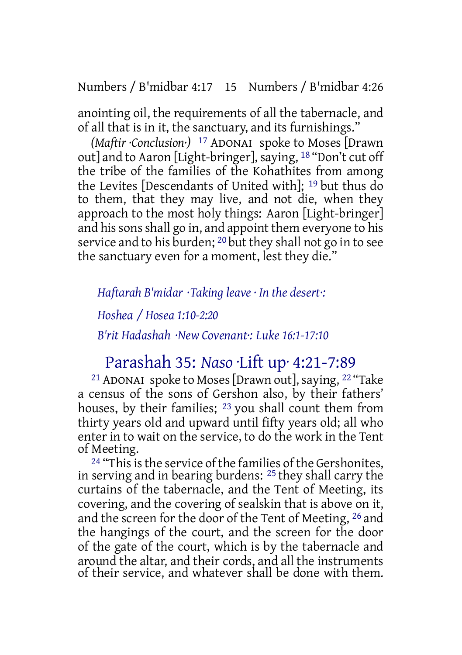Numbers / B'midbar 4:17 15 Numbers / B'midbar 4:26

anointing oil, the requirements of all the tabernacle, and of all that is in it, the sanctuary, and its furnishings."

*(Maftir ·Conclusion·)* 17 ADONAI spoke to Moses [Drawn out] and to Aaron [Light-bringer], saying, <sup>18</sup> "Don't cut off the tribe of the families of the Kohathites from among the Levites [Descendants of United with]; 19 but thus do to them, that they may live, and not die, when they approach to the most holy things: Aaron [Light-bringer] and hissonsshall go in, and appoint them everyone to his service and to his burden; <sup>20</sup> but they shall not go in to see the sanctuary even for a moment, lest they die."

*Haftarah B'midar ·Taking leave · In the desert·: Hoshea / Hosea 1:10-2:20 B'rit Hadashah ·New Covenant·: Luke 16:1-17:10*

## Parashah 35: *Naso* ·Lift up· 4:21-7:89

<sup>21</sup> ADONAI spoke to Moses [Drawn out], saying,  $^{22}$  "Take a census of the sons of Gershon also, by their fathers' houses, by their families; 23 you shall count them from thirty years old and upward until fifty years old; all who enter in to wait on the service, to do the work in the Tent of Meeting.

<sup>24</sup> "This is the service of the families of the Gershonites, in serving and in bearing burdens: 25 they shall carry the curtains of the tabernacle, and the Tent of Meeting, its covering, and the covering of sealskin that is above on it, and the screen for the door of the Tent of Meeting, 26 and the hangings of the court, and the screen for the door of the gate of the court, which is by the tabernacle and around the altar, and their cords, and all the instruments of their service, and whatever shall be done with them.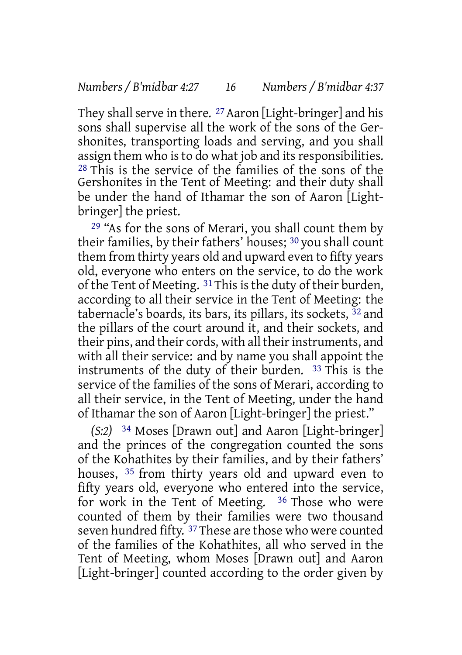They shall serve in there. <sup>27</sup> Aaron [Light-bringer] and his sons shall supervise all the work of the sons of the Gershonites, transporting loads and serving, and you shall assign them who is to do what job and its responsibilities. 28 This is the service of the families of the sons of the Gershonites in the Tent of Meeting: and their duty shall be under the hand of Ithamar the son of Aaron [Lightbringer] the priest.

<sup>29</sup> "As for the sons of Merari, you shall count them by their families, by their fathers' houses; 30 you shall count them from thirty years old and upward even to fifty years old, everyone who enters on the service, to do the work of the Tent of Meeting. 31 This is the duty of their burden, according to all their service in the Tent of Meeting: the tabernacle's boards, its bars, its pillars, its sockets,  $32$  and the pillars of the court around it, and their sockets, and their pins, and their cords, with all their instruments, and with all their service: and by name you shall appoint the instruments of the duty of their burden. 33 This is the service of the families of the sons of Merari, according to all their service, in the Tent of Meeting, under the hand of Ithamar the son of Aaron [Light-bringer] the priest."

*(S:2)* 34 Moses [Drawn out] and Aaron [Light-bringer] and the princes of the congregation counted the sons of the Kohathites by their families, and by their fathers' houses, 35 from thirty years old and upward even to fifty years old, everyone who entered into the service, for work in the Tent of Meeting. 36 Those who were counted of them by their families were two thousand seven hundred fifty. 37 These are those who were counted of the families of the Kohathites, all who served in the Tent of Meeting, whom Moses [Drawn out] and Aaron [Light-bringer] counted according to the order given by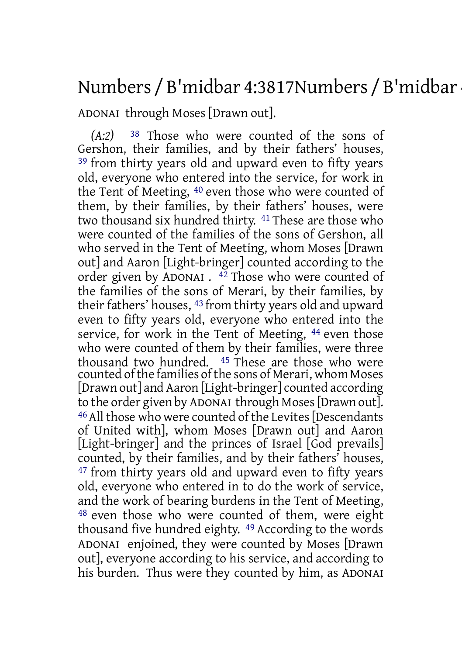# Numbers / B'midbar 4:3817Numbers / B'midbar

ADONAI through Moses [Drawn out].

*(A:2)* 38 Those who were counted of the sons of Gershon, their families, and by their fathers' houses, <sup>39</sup> from thirty years old and upward even to fifty years old, everyone who entered into the service, for work in the Tent of Meeting, 40 even those who were counted of them, by their families, by their fathers' houses, were two thousand six hundred thirty. 41 These are those who were counted of the families of the sons of Gershon, all who served in the Tent of Meeting, whom Moses [Drawn out] and Aaron [Light-bringer] counted according to the order given by ADONAI . 42 Those who were counted of the families of the sons of Merari, by their families, by their fathers' houses, 43 from thirty years old and upward even to fifty years old, everyone who entered into the service, for work in the Tent of Meeting, 44 even those who were counted of them by their families, were three thousand two hundred. 45 These are those who were counted ofthe families ofthe sons of Merari, whom Moses [Drawn out] and Aaron [Light-bringer] counted according to the order given by ADONAI through Moses[Drawn out]. 46All those who were counted of the Levites[Descendants of United with], whom Moses [Drawn out] and Aaron [Light-bringer] and the princes of Israel [God prevails] counted, by their families, and by their fathers' houses, <sup>47</sup> from thirty years old and upward even to fifty years old, everyone who entered in to do the work of service, and the work of bearing burdens in the Tent of Meeting, 48 even those who were counted of them, were eight thousand five hundred eighty. 49 According to the words ADONAI enjoined, they were counted by Moses [Drawn out], everyone according to his service, and according to his burden. Thus were they counted by him, as ADONAI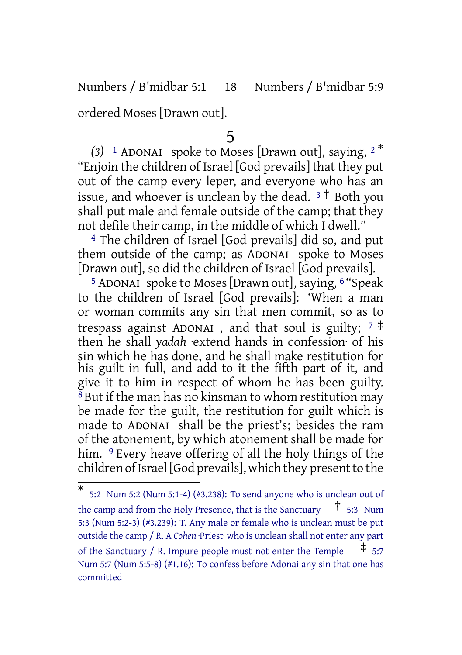Numbers / B'midbar 5:1 18 Numbers / B'midbar 5:9

ordered Moses [Drawn out].

### 5

*(3)* <sup>1</sup> ADONAI spoke to Moses [Drawn out], saying, <sup>2</sup> \* "Enjoin the children of Israel [God prevails] that they put out of the camp every leper, and everyone who has an issue, and whoever is unclean by the dead.  $3\dot{+}$  Both you shall put male and female outside of the camp; that they not defile their camp, in the middle of which I dwell."

4 The children of Israel [God prevails] did so, and put them outside of the camp; as ADONAI spoke to Moses [Drawn out], so did the children of Israel [God prevails].

<sup>5</sup> ADONAI spoke to Moses [Drawn out], saying, <sup>6</sup> "Speak to the children of Israel [God prevails]: 'When a man or woman commits any sin that men commit, so as to trespass against ADONAI, and that soul is guilty;  $7 \frac{4}{3}$ then he shall *yadah* ·extend hands in confession· of his sin which he has done, and he shall make restitution for his guilt in full, and add to it the fifth part of it, and give it to him in respect of whom he has been guilty. 8 But if the man has no kinsman to whom restitution may be made for the guilt, the restitution for guilt which is made to ADONAI shall be the priest's; besides the ram of the atonement, by which atonement shall be made for him. <sup>9</sup> Every heave offering of all the holy things of the children of Israel [God prevails], which they present to the

<sup>\*</sup> 5:2 Num 5:2 (Num 5:1-4) (#3.238): To send anyone who is unclean out of the camp and from the Holy Presence, that is the Sanctuary  $\frac{1}{1}$  5:3 Num 5:3 (Num 5:2-3) (#3.239): T. Any male or female who is unclean must be put outside the camp / R. A *Cohen* ·Priest· who is unclean shall not enter any part of the Sanctuary / R. Impure people must not enter the Temple  $\pm$  5:7 Num 5:7 (Num 5:5-8) (#1.16): To confess before Adonai any sin that one has committed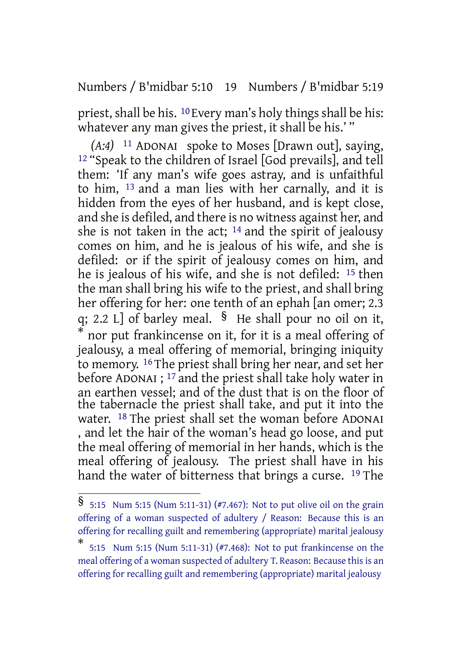Numbers / B'midbar 5:10 19 Numbers / B'midbar 5:19

priest, shall be his.  $10$  Every man's holy things shall be his: whatever any man gives the priest, it shall be his.'"

*(A:4)* 11 ADONAI spoke to Moses [Drawn out], saying, 12 "Speak to the children of Israel [God prevails], and tell them: 'If any man's wife goes astray, and is unfaithful to him, 13 and a man lies with her carnally, and it is hidden from the eyes of her husband, and is kept close, and she is defiled, and there is no witness against her, and she is not taken in the act; 14 and the spirit of jealousy comes on him, and he is jealous of his wife, and she is defiled: or if the spirit of jealousy comes on him, and he is jealous of his wife, and she is not defiled: 15 then the man shall bring his wife to the priest, and shall bring her offering for her: one tenth of an ephah [an omer; 2.3 q; 2.2 L] of barley meal. § He shall pour no oil on it, \* nor put frankincense on it, for it is a meal offering of jealousy, a meal offering of memorial, bringing iniquity to memory. 16 The priest shall bring her near, and set her before ADONAI ; 17 and the priest shall take holy water in an earthen vessel; and of the dust that is on the floor of the tabernacle the priest shall take, and put it into the water. <sup>18</sup> The priest shall set the woman before ADONAI , and let the hair of the woman's head go loose, and put the meal offering of memorial in her hands, which is the meal offering of jealousy. The priest shall have in his hand the water of bitterness that brings a curse. <sup>19</sup> The

<sup>§</sup> 5:15 Num 5:15 (Num 5:11-31) (#7.467): Not to put olive oil on the grain offering of a woman suspected of adultery / Reason: Because this is an offering for recalling guilt and remembering (appropriate) marital jealousy

<sup>\*</sup> 5:15 Num 5:15 (Num 5:11-31) (#7.468): Not to put frankincense on the meal offering of a woman suspected of adultery T. Reason: Because this is an offering for recalling guilt and remembering (appropriate) marital jealousy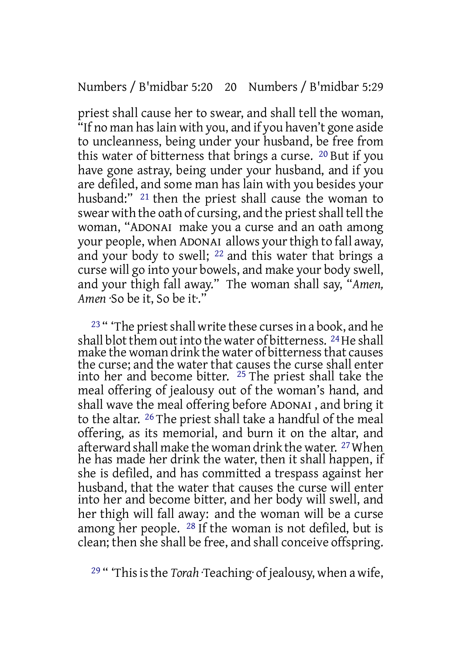priest shall cause her to swear, and shall tell the woman, "If no man has lain with you, and if you haven't gone aside to uncleanness, being under your husband, be free from this water of bitterness that brings a curse. 20 But if you have gone astray, being under your husband, and if you are defiled, and some man has lain with you besides your husband:" 21 then the priest shall cause the woman to swear with the oath of cursing, and the priest shall tell the woman, "ADONAI make you a curse and an oath among your people, when ADONAI allows yourthigh to fall away, and your body to swell; 22 and this water that brings a curse will go into your bowels, and make your body swell, and your thigh fall away." The woman shall say, "*Amen, Amen* ·So be it, So be it·."

<sup>23</sup> " The priest shall write these curses in a book, and he shall blot them out into the water of bitterness. <sup>24</sup>He shall make the woman drink the water of bitternessthat causes the curse; and the water that causes the curse shall enter into her and become bitter. 25 The priest shall take the meal offering of jealousy out of the woman's hand, and shall wave the meal offering before ADONAI , and bring it to the altar. 26 The priest shall take a handful of the meal offering, as its memorial, and burn it on the altar, and afterward shall make the woman drink the water. 27When he has made her drink the water, then it shall happen, if she is defiled, and has committed a trespass against her husband, that the water that causes the curse will enter into her and become bitter, and her body will swell, and her thigh will fall away: and the woman will be a curse among her people. 28 If the woman is not defiled, but is clean; then she shall be free, and shall conceive offspring.

<sup>29</sup> " 'This is the *Torah* ·Teaching of jealousy, when a wife,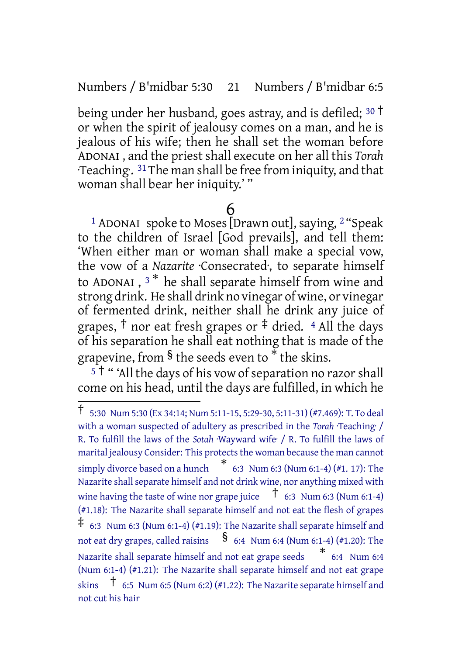Numbers / B'midbar 5:30 21 Numbers / B'midbar 6:5

being under her husband, goes astray, and is defiled; <sup>30</sup> † or when the spirit of jealousy comes on a man, and he is jealous of his wife; then he shall set the woman before ADONAI , and the priest shall execute on her all this *Torah* ·Teaching·. 31The man shall be free from iniquity, and that woman shall bear her iniquity.' "

## 6

<sup>1</sup> ADONAI spoke to Moses [Drawn out], saying,  $2$  "Speak to the children of Israel [God prevails], and tell them: 'When either man or woman shall make a special vow, the vow of a *Nazarite* Consecrated, to separate himself to ADONAI ,  $^3\!{\ast}$  he shall separate himself from wine and strong drink. He shall drink no vinegar of wine, or vinegar of fermented drink, neither shall he drink any juice of grapes,  $\dagger$  nor eat fresh grapes or  $\dagger$  dried. 4 All the days of his separation he shall eat nothing that is made of the grapevine, from § the seeds even to \* the skins.

 $5<sup>†</sup>$  "All the days of his vow of separation no razor shall come on his head, until the days are fulfilled, in which he

<sup>†</sup> 5:30 Num 5:30 (Ex 34:14; Num 5:11-15, 5:29-30, 5:11-31) (#7.469): T. To deal with a woman suspected of adultery as prescribed in the *Torah Teaching* / R. To fulfill the laws of the *Sotah* ·Wayward wife· / R. To fulfill the laws of marital jealousy Consider: This protects the woman because the man cannot simply divorce based on <sup>a</sup> hunch \* 6:3 Num 6:3 (Num 6:1-4) (#1. 17): The Nazarite shall separate himself and not drink wine, nor anything mixed with wine having the taste of wine nor grape juice  $\overline{1}$  6:3 Num 6:3 (Num 6:1-4) (#1.18): The Nazarite shall separate himself and not eat the flesh of grapes ‡ 6:3 Num 6:3 (Num 6:1-4) (#1.19): The Nazarite shall separate himself and not eat dry grapes, called raisins  $\frac{8}{10}$  6:4 Num 6:4 (Num 6:1-4) (#1.20): The Nazarite shall separate himself and not eat grape seeds \* 6:4 Num 6:4 (Num 6:1-4) (#1.21): The Nazarite shall separate himself and not eat grape skins  $\uparrow$  6:5 Num 6:5 (Num 6:2) (#1.22): The Nazarite separate himself and not cut his hair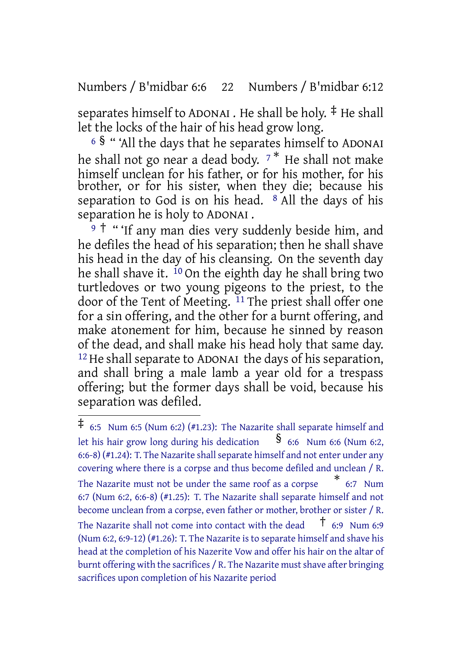Numbers / B'midbar 6:6 22 Numbers / B'midbar 6:12

separates himself to ADONAI . He shall be holy. ‡ He shall let the locks of the hair of his head grow long.

<sup>6</sup> § " 'All the days that he separates himself to ADONAI he shall not go near a dead body.  $7^*$  He shall not make himself unclean for his father, or for his mother, for his brother, or for his sister, when they die; because his separation to God is on his head. <sup>8</sup> All the days of his separation he is holy to ADONAI .

9<sup>†</sup> " 'If any man dies very suddenly beside him, and he defiles the head of his separation; then he shall shave his head in the day of his cleansing. On the seventh day he shall shave it.  $^{10}$  On the eighth day he shall bring two turtledoves or two young pigeons to the priest, to the door of the Tent of Meeting. <sup>11</sup> The priest shall offer one for a sin offering, and the other for a burnt offering, and make atonement for him, because he sinned by reason of the dead, and shall make his head holy that same day. 12He shall separate to ADONAI the days of his separation, and shall bring a male lamb a year old for a trespass offering; but the former days shall be void, because his separation was defiled.

<sup>‡</sup> 6:5 Num 6:5 (Num 6:2) (#1.23): The Nazarite shall separate himself and let his hair grow long during his dedication  $\frac{1}{8}$  6:6 Num 6:6 (Num 6:2,  $(6:6-8)$  (#1.24): T. The Nazarite shall separate himself and not enter under any covering where there is a corpse and thus become defiled and unclean / R. The Nazarite must not be under the same roof as a corpse \* 6:7 Num 6:7 (Num 6:2, 6:6-8) (#1.25): T. The Nazarite shall separate himself and not become unclean from a corpse, even father or mother, brother or sister / R. The Nazarite shall not come into contact with the dead  $\overline{t}$  6:9 Num 6:9 (Num 6:2, 6:9-12) (#1.26): T. The Nazarite is to separate himself and shave his head at the completion of his Nazerite Vow and offer his hair on the altar of burnt offering with the sacrifices / R. The Nazarite must shave after bringing sacrifices upon completion of his Nazarite period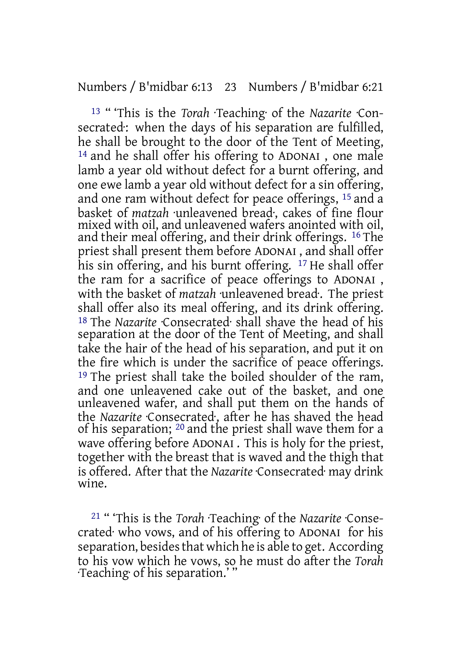#### Numbers / B'midbar 6:13 23 Numbers / B'midbar 6:21

13 " 'This is the *Torah* ·Teaching· of the *Nazarite* ·Consecrated: when the days of his separation are fulfilled, he shall be brought to the door of the Tent of Meeting, 14 and he shall offer his offering to ADONAI , one male lamb a year old without defect for a burnt offering, and one ewe lamb a year old without defect for a sin offering, and one ram without defect for peace offerings, 15 and a basket of *matzah* ·unleavened bread·, cakes of fine flour mixed with oil, and unleavened wafers anointed with oil, and their meal offering, and their drink offerings. 16 The priest shall present them before ADONAI , and shall offer his sin offering, and his burnt offering. <sup>17</sup> He shall offer the ram for a sacrifice of peace offerings to ADONAI , with the basket of *matzah* ·unleavened bread·. The priest shall offer also its meal offering, and its drink offering. 18 The *Nazarite* ·Consecrated· shall shave the head of his separation at the door of the Tent of Meeting, and shall take the hair of the head of his separation, and put it on the fire which is under the sacrifice of peace offerings. 19 The priest shall take the boiled shoulder of the ram, and one unleavened cake out of the basket, and one unleavened wafer, and shall put them on the hands of the *Nazarite* ·Consecrated·, after he has shaved the head of his separation; 20 and the priest shall wave them for a wave offering before ADONAI . This is holy for the priest, together with the breast that is waved and the thigh that is offered. After that the *Nazarite* ·Consecrated· may drink wine.

21 " 'This is the *Torah* ·Teaching· of the *Nazarite* ·Consecrated· who vows, and of his offering to ADONAI for his separation, besides that which he is able to get. According to his vow which he vows, so he must do after the *Torah* ·Teaching· of his separation.' "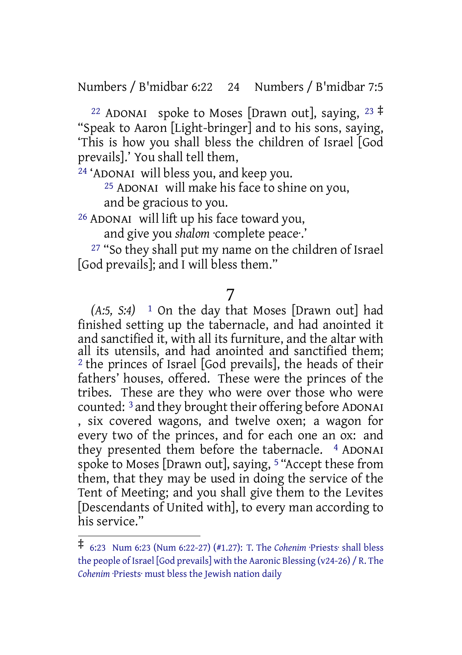Numbers / B'midbar 6:22 24 Numbers / B'midbar 7:5

<sup>22</sup> ADONAI spoke to Moses [Drawn out], saying,  $23 \neq$ "Speak to Aaron [Light-bringer] and to his sons, saying, 'This is how you shall bless the children of Israel [God prevails].' You shall tell them,

24 'ADONAI will bless you, and keep you.

25 ADONAI will make his face to shine on you, and be gracious to you.

26 ADONAI will lift up his face toward you,

and give you *shalom* ·complete peace·.'

27 "So they shall put my name on the children of Israel [God prevails]; and I will bless them."

7

*(A:5, S:4)* 1 On the day that Moses [Drawn out] had finished setting up the tabernacle, and had anointed it and sanctified it, with all its furniture, and the altar with all its utensils, and had anointed and sanctified them; 2 the princes of Israel [God prevails], the heads of their fathers' houses, offered. These were the princes of the tribes. These are they who were over those who were counted: 3 and they brought their offering before ADONAI , six covered wagons, and twelve oxen; a wagon for every two of the princes, and for each one an ox: and they presented them before the tabernacle. <sup>4</sup> ADONAI spoke to Moses [Drawn out], saying, 5 "Accept these from them, that they may be used in doing the service of the Tent of Meeting; and you shall give them to the Levites [Descendants of United with], to every man according to his service."

<sup>‡</sup> 6:23 Num 6:23 (Num 6:22-27) (#1.27): T. The *Cohenim* ·Priests· shall bless the people of Israel [God prevails] with the Aaronic Blessing (v24-26) / R. The *Cohenim* ·Priests· must bless the Jewish nation daily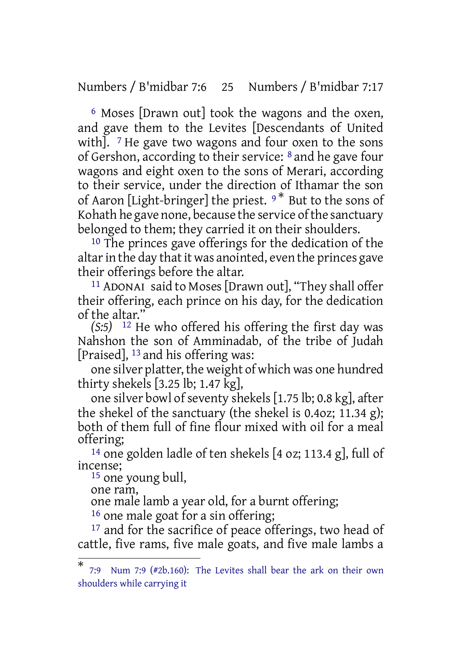Numbers / B'midbar 7:6 25 Numbers / B'midbar 7:17

6 Moses [Drawn out] took the wagons and the oxen, and gave them to the Levites [Descendants of United with].  $\frac{7}{7}$  He gave two wagons and four oxen to the sons of Gershon, according to their service: 8 and he gave four wagons and eight oxen to the sons of Merari, according to their service, under the direction of Ithamar the son of Aaron [Light-bringer] the priest. <sup>9</sup> \* But to the sons of Kohath he gave none, because the service of the sanctuary belonged to them; they carried it on their shoulders.

<sup>10</sup> The princes gave offerings for the dedication of the altar in the day that it was anointed, even the princes gave their offerings before the altar.

11 ADONAI said to Moses[Drawn out], "They shall offer their offering, each prince on his day, for the dedication of the altar."

*(S:5)* 12 He who offered his offering the first day was Nahshon the son of Amminadab, of the tribe of Judah [Praised], 13 and his offering was:

one silver platter, the weight of which was one hundred thirty shekels [3.25 lb; 1.47 kg],

one silver bowl of seventy shekels [1.75 lb; 0.8 kg], after the shekel of the sanctuary (the shekel is 0.4oz; 11.34 g); both of them full of fine flour mixed with oil for a meal offering;

14 one golden ladle of ten shekels [4 oz; 113.4 g], full of incense;

15 one young bull, one ram,

one male lamb a year old, for a burnt offering;

<sup>16</sup> one male goat for a sin offering;

<sup>17</sup> and for the sacrifice of peace offerings, two head of cattle, five rams, five male goats, and five male lambs a

<sup>\*</sup> 7:9 Num 7:9 (#2b.160): The Levites shall bear the ark on their own shoulders while carrying it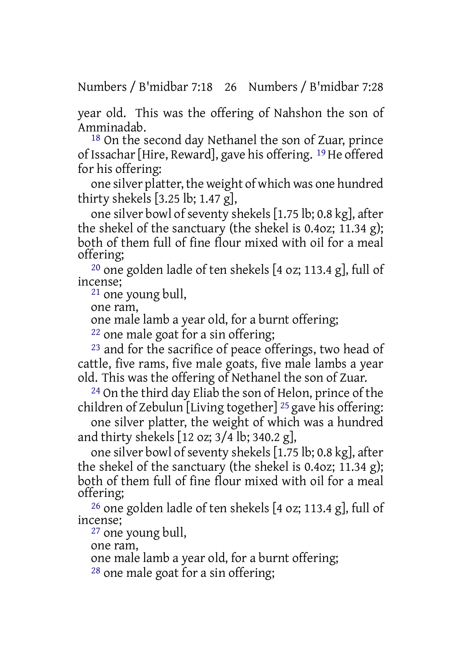Numbers / B'midbar 7:18 26 Numbers / B'midbar 7:28

year old. This was the offering of Nahshon the son of Amminadab.

18 On the second day Nethanel the son of Zuar, prince of Issachar[Hire, Reward], gave his offering. 19He offered for his offering:

one silver platter, the weight of which was one hundred thirty shekels [3.25 lb; 1.47 g],

one silver bowl of seventy shekels  $[1.75$  lb; 0.8 kg], after the shekel of the sanctuary (the shekel is 0.4oz; 11.34 g); both of them full of fine flour mixed with oil for a meal offering;

<sup>20</sup> one golden ladle of ten shekels  $[4$  oz; 113.4 g], full of incense;

21 one young bull,

one ram,

one male lamb a year old, for a burnt offering;

22 one male goat for a sin offering;

23 and for the sacrifice of peace offerings, two head of cattle, five rams, five male goats, five male lambs a year old. This was the offering of Nethanel the son of Zuar.

24 On the third day Eliab the son of Helon, prince of the children of Zebulun [Living together] 25 gave his offering:

one silver platter, the weight of which was a hundred and thirty shekels [12 oz; 3/4 lb; 340.2 g],

one silver bowl of seventy shekels [1.75 lb; 0.8 kg], after the shekel of the sanctuary (the shekel is 0.4oz; 11.34 g); both of them full of fine flour mixed with oil for a meal offering;

26 one golden ladle of ten shekels [4 oz; 113.4 g], full of incense;

27 one young bull,

one ram,

one male lamb a year old, for a burnt offering;

28 one male goat for a sin offering;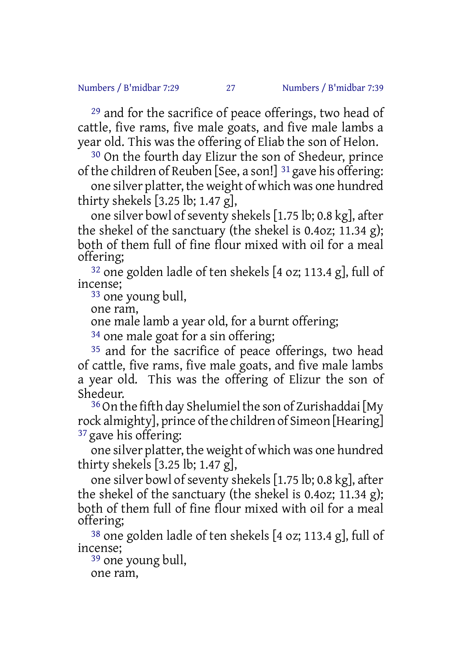29 and for the sacrifice of peace offerings, two head of cattle, five rams, five male goats, and five male lambs a year old. This was the offering of Eliab the son of Helon.

30 On the fourth day Elizur the son of Shedeur, prince of the children of Reuben [See, a son!] 31 gave his offering:

one silver platter, the weight of which was one hundred thirty shekels [3.25 lb; 1.47 g],

one silver bowl of seventy shekels  $[1.75$  lb; 0.8 kg], after the shekel of the sanctuary (the shekel is 0.4oz; 11.34 g); both of them full of fine flour mixed with oil for a meal offering;

32 one golden ladle of ten shekels [4 oz; 113.4 g], full of incense;

33 one young bull,

one ram,

one male lamb a year old, for a burnt offering;

<sup>34</sup> one male goat for a sin offering;

35 and for the sacrifice of peace offerings, two head of cattle, five rams, five male goats, and five male lambs a year old. This was the offering of Elizur the son of Shedeur.

 $36$  On the fifth day Shelumiel the son of Zurishaddai [My rock almighty], prince of the children of Simeon [Hearing] 37 gave his offering:

one silver platter, the weight of which was one hundred thirty shekels [3.25 lb; 1.47 g],

one silver bowl of seventy shekels  $[1.75$  lb; 0.8 kg], after the shekel of the sanctuary (the shekel is 0.4oz; 11.34 g); both of them full of fine flour mixed with oil for a meal offering;

38 one golden ladle of ten shekels [4 oz; 113.4 g], full of incense;

39 one young bull,

one ram,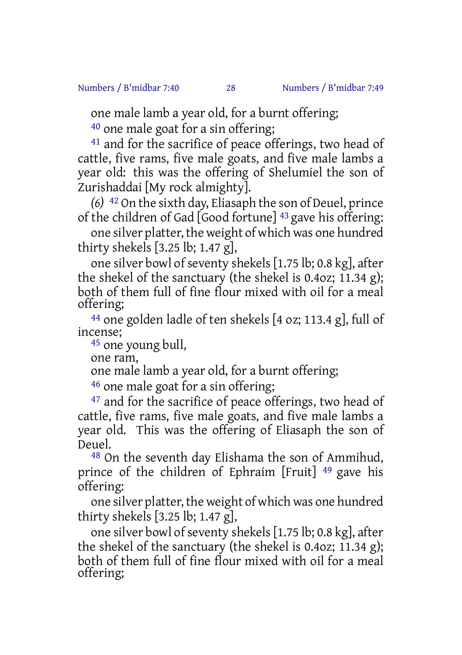one male lamb a year old, for a burnt offering;

40 one male goat for a sin offering;

<sup>41</sup> and for the sacrifice of peace offerings, two head of cattle, five rams, five male goats, and five male lambs a year old: this was the offering of Shelumiel the son of Zurishaddai [My rock almighty].

*(6)* 42 On the sixth day, Eliasaph the son of Deuel, prince of the children of Gad [Good fortune] 43 gave his offering:

one silver platter, the weight of which was one hundred thirty shekels [3.25 lb; 1.47 g],

one silver bowl of seventy shekels  $[1.75$  lb; 0.8 kg], after the shekel of the sanctuary (the shekel is 0.4oz; 11.34 g); both of them full of fine flour mixed with oil for a meal offering;

44 one golden ladle of ten shekels [4 oz; 113.4 g], full of incense;

45 one young bull,

one ram,

one male lamb a year old, for a burnt offering;

46 one male goat for a sin offering;

<sup>47</sup> and for the sacrifice of peace offerings, two head of cattle, five rams, five male goats, and five male lambs a year old. This was the offering of Eliasaph the son of Deuel.

48 On the seventh day Elishama the son of Ammihud, prince of the children of Ephraim [Fruit] 49 gave his offering:

one silver platter, the weight of which was one hundred thirty shekels [3.25 lb; 1.47 g],

one silver bowl of seventy shekels  $[1.75$  lb; 0.8 kg], after the shekel of the sanctuary (the shekel is 0.4oz; 11.34 g); both of them full of fine flour mixed with oil for a meal offering;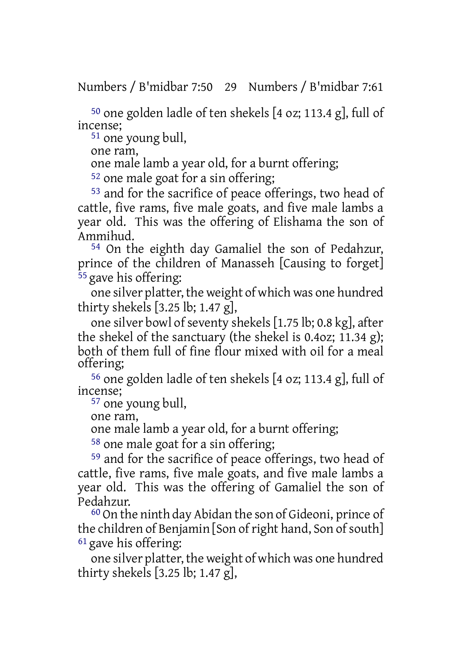Numbers / B'midbar 7:50 29 Numbers / B'midbar 7:61

50 one golden ladle of ten shekels [4 oz; 113.4 g], full of incense;

51 one young bull,

one ram,

one male lamb a year old, for a burnt offering;

52 one male goat for a sin offering;

53 and for the sacrifice of peace offerings, two head of cattle, five rams, five male goats, and five male lambs a year old. This was the offering of Elishama the son of Ammihud.

54 On the eighth day Gamaliel the son of Pedahzur, prince of the children of Manasseh [Causing to forget] 55 gave his offering:

one silver platter, the weight of which was one hundred thirty shekels [3.25 lb; 1.47 g],

one silver bowl of seventy shekels  $[1.75$  lb; 0.8 kg], after the shekel of the sanctuary (the shekel is 0.4oz; 11.34 g); both of them full of fine flour mixed with oil for a meal offering;

56 one golden ladle of ten shekels [4 oz; 113.4 g], full of incense;

57 one young bull,

one ram,

one male lamb a year old, for a burnt offering;

58 one male goat for a sin offering;

59 and for the sacrifice of peace offerings, two head of cattle, five rams, five male goats, and five male lambs a year old. This was the offering of Gamaliel the son of Pedahzur.

60 On the ninth day Abidan the son of Gideoni, prince of the children of Benjamin [Son of right hand, Son of south]  $61$  gave his offering:

one silver platter, the weight of which was one hundred thirty shekels [3.25 lb; 1.47 g],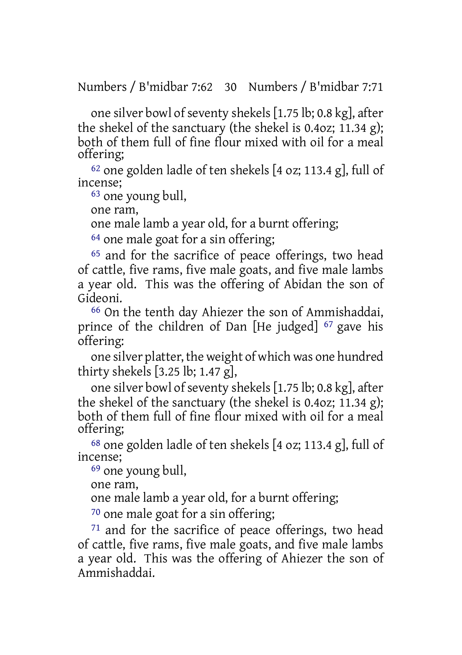Numbers / B'midbar 7:62 30 Numbers / B'midbar 7:71

one silver bowl of seventy shekels [1.75 lb; 0.8 kg], after the shekel of the sanctuary (the shekel is 0.4oz; 11.34 g); both of them full of fine flour mixed with oil for a meal offering;

62 one golden ladle of ten shekels [4 oz; 113.4 g], full of incense;

63 one young bull,

one ram,

one male lamb a year old, for a burnt offering;

<sup>64</sup> one male goat for a sin offering;

<sup>65</sup> and for the sacrifice of peace offerings, two head of cattle, five rams, five male goats, and five male lambs a year old. This was the offering of Abidan the son of Gideoni.

66 On the tenth day Ahiezer the son of Ammishaddai, prince of the children of Dan [He judged] 67 gave his offering:

one silver platter, the weight of which was one hundred thirty shekels [3.25 lb; 1.47 g],

one silver bowl of seventy shekels  $[1.75$  lb; 0.8 kg], after the shekel of the sanctuary (the shekel is 0.4oz; 11.34 g); both of them full of fine flour mixed with oil for a meal offering;

68 one golden ladle of ten shekels [4 oz; 113.4 g], full of incense;

69 one young bull,

one ram,

one male lamb a year old, for a burnt offering;

70 one male goat for a sin offering;

71 and for the sacrifice of peace offerings, two head of cattle, five rams, five male goats, and five male lambs a year old. This was the offering of Ahiezer the son of Ammishaddai.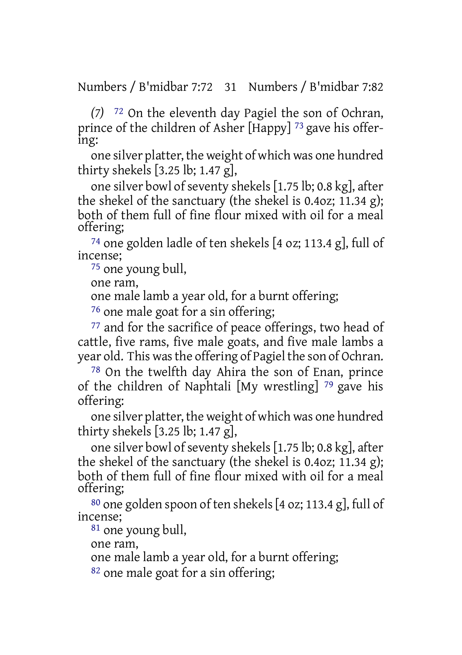Numbers / B'midbar 7:72 31 Numbers / B'midbar 7:82

*(7)* 72 On the eleventh day Pagiel the son of Ochran, prince of the children of Asher [Happy]<sup>73</sup> gave his offering:

one silver platter, the weight of which was one hundred thirty shekels [3.25 lb; 1.47 g],

one silver bowl of seventy shekels [1.75 lb; 0.8 kg], after the shekel of the sanctuary (the shekel is 0.4oz; 11.34 g); both of them full of fine flour mixed with oil for a meal offering;

74 one golden ladle of ten shekels [4 oz; 113.4 g], full of incense;

75 one young bull,

one ram,

one male lamb a year old, for a burnt offering;

76 one male goat for a sin offering;

77 and for the sacrifice of peace offerings, two head of cattle, five rams, five male goats, and five male lambs a year old. This was the offering of Pagiel the son of Ochran.

78 On the twelfth day Ahira the son of Enan, prince of the children of Naphtali [My wrestling] 79 gave his offering:

one silver platter, the weight of which was one hundred thirty shekels [3.25 lb; 1.47 g],

one silver bowl of seventy shekels [1.75 lb; 0.8 kg], after the shekel of the sanctuary (the shekel is 0.4oz; 11.34 g); both of them full of fine flour mixed with oil for a meal offering;

 $80$  one golden spoon of ten shekels [4 oz; 113.4 g], full of incense;

81 one young bull,

one ram,

one male lamb a year old, for a burnt offering;

82 one male goat for a sin offering;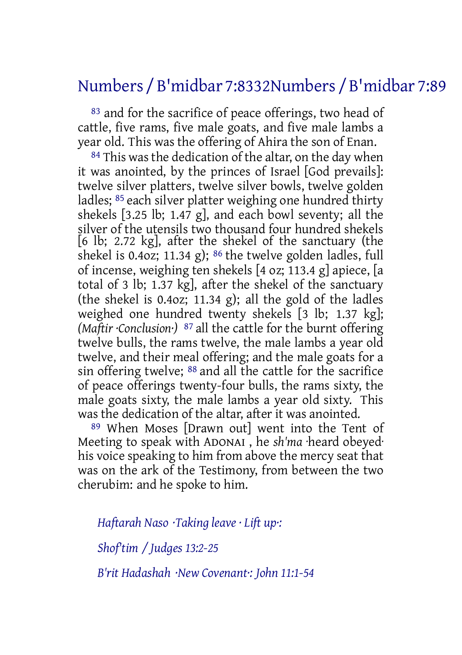# Numbers / B'midbar 7:8332Numbers / B'midbar 7:89

83 and for the sacrifice of peace offerings, two head of cattle, five rams, five male goats, and five male lambs a year old. This was the offering of Ahira the son of Enan.

84 This was the dedication of the altar, on the day when it was anointed, by the princes of Israel [God prevails]: twelve silver platters, twelve silver bowls, twelve golden ladles; 85 each silver platter weighing one hundred thirty shekels [3.25 lb; 1.47 g], and each bowl seventy; all the silver of the utensils two thousand four hundred shekels [6 lb; 2.72 kg], after the shekel of the sanctuary (the shekel is 0.40z; 11.34 g);  $86$  the twelve golden ladles, full of incense, weighing ten shekels [4 oz; 113.4 g] apiece, [a total of 3 lb; 1.37 kg], after the shekel of the sanctuary (the shekel is 0.4oz; 11.34 g); all the gold of the ladles weighed one hundred twenty shekels [3 lb; 1.37 kg]; *(Maftir ·Conclusion·)* 87 all the cattle for the burnt offering twelve bulls, the rams twelve, the male lambs a year old twelve, and their meal offering; and the male goats for a sin offering twelve; 88 and all the cattle for the sacrifice of peace offerings twenty-four bulls, the rams sixty, the male goats sixty, the male lambs a year old sixty. This was the dedication of the altar, after it was anointed.

89 When Moses [Drawn out] went into the Tent of Meeting to speak with ADONAI , he *sh'ma* ·heard obeyed· his voice speaking to him from above the mercy seat that was on the ark of the Testimony, from between the two cherubim: and he spoke to him.

*Haftarah Naso ·Taking leave · Lift up·: Shof'tim / Judges 13:2-25*

*B'rit Hadashah ·New Covenant·: John 11:1-54*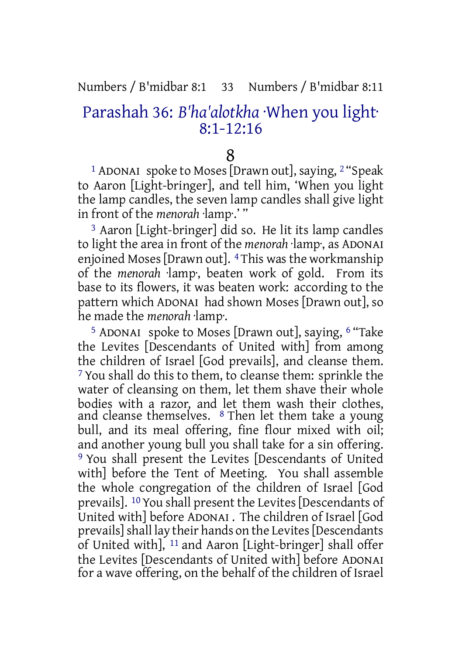#### Numbers / B'midbar 8:1 33 Numbers / B'midbar 8:11

## Parashah 36: *B'ha'alotkha* ·When you light· 8:1-12:16

#### 8

1 ADONAI spoke to Moses [Drawn out], saying, 2 "Speak to Aaron [Light-bringer], and tell him, 'When you light the lamp candles, the seven lamp candles shall give light in front of the *menorah* ·lamp·.' "

3 Aaron [Light-bringer] did so. He lit its lamp candles to light the area in front of the *menorah* ·lamp·, as ADONAI enjoined Moses [Drawn out]. <sup>4</sup> This was the workmanship of the *menorah* ·lamp·, beaten work of gold. From its base to its flowers, it was beaten work: according to the pattern which ADONAI had shown Moses [Drawn out], so he made the *menorah* ·lamp·.

5 ADONAI spoke to Moses [Drawn out], saying, 6 "Take the Levites [Descendants of United with] from among the children of Israel [God prevails], and cleanse them. 7 You shall do this to them, to cleanse them: sprinkle the water of cleansing on them, let them shave their whole bodies with a razor, and let them wash their clothes, and cleanse themselves. 8 Then let them take a young bull, and its meal offering, fine flour mixed with oil; and another young bull you shall take for a sin offering. 9 You shall present the Levites [Descendants of United with] before the Tent of Meeting. You shall assemble the whole congregation of the children of Israel [God prevails]. 10You shall present the Levites [Descendants of United with] before ADONAI . The children of Israel [God prevails]shall lay their hands on the Levites[Descendants of United with], 11 and Aaron [Light-bringer] shall offer the Levites [Descendants of United with] before ADONAI for a wave offering, on the behalf of the children of Israel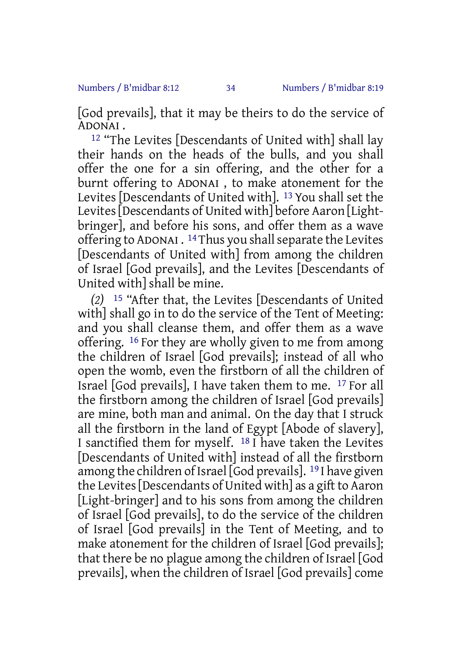[God prevails], that it may be theirs to do the service of ADONAI .

<sup>12</sup> "The Levites [Descendants of United with] shall lay their hands on the heads of the bulls, and you shall offer the one for a sin offering, and the other for a burnt offering to ADONAI , to make atonement for the Levites [Descendants of United with]. 13 You shall set the Levites[Descendants of United with] before Aaron [Lightbringer], and before his sons, and offer them as a wave offering to ADONAI . <sup>14</sup> Thus you shall separate the Levites [Descendants of United with] from among the children of Israel [God prevails], and the Levites [Descendants of United with] shall be mine.

*(2)* 15 "After that, the Levites [Descendants of United with] shall go in to do the service of the Tent of Meeting: and you shall cleanse them, and offer them as a wave offering. 16 For they are wholly given to me from among the children of Israel [God prevails]; instead of all who open the womb, even the firstborn of all the children of Israel [God prevails], I have taken them to me. 17 For all the firstborn among the children of Israel [God prevails] are mine, both man and animal. On the day that I struck all the firstborn in the land of Egypt [Abode of slavery], I sanctified them for myself.  $^{18}$  I have taken the Levites [Descendants of United with] instead of all the firstborn among the children of Israel [God prevails]. 19 I have given the Levites Descendants of United with as a gift to Aaron [Light-bringer] and to his sons from among the children of Israel [God prevails], to do the service of the children of Israel [God prevails] in the Tent of Meeting, and to make atonement for the children of Israel [God prevails]; that there be no plague among the children of Israel [God prevails], when the children of Israel [God prevails] come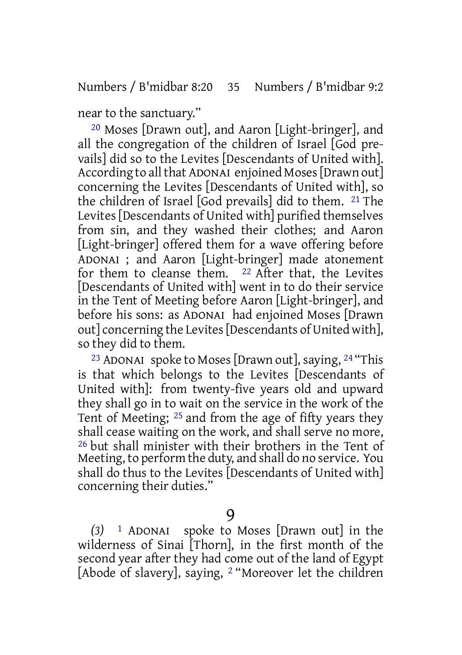near to the sanctuary."

20 Moses [Drawn out], and Aaron [Light-bringer], and all the congregation of the children of Israel [God prevails] did so to the Levites [Descendants of United with]. According to all that ADONAI enjoined Moses [Drawn out] concerning the Levites [Descendants of United with], so the children of Israel [God prevails] did to them. 21 The Levites [Descendants of United with] purified themselves from sin, and they washed their clothes; and Aaron [Light-bringer] offered them for a wave offering before ADONAI ; and Aaron [Light-bringer] made atonement for them to cleanse them. 22 After that, the Levites [Descendants of United with] went in to do their service in the Tent of Meeting before Aaron [Light-bringer], and before his sons: as ADONAI had enjoined Moses [Drawn out] concerning the Levites[Descendants of United with], so they did to them.

<sup>23</sup> ADONAI spoke to Moses [Drawn out], saying,  $^{24}$  "This is that which belongs to the Levites [Descendants of United with]: from twenty-five years old and upward they shall go in to wait on the service in the work of the Tent of Meeting; 25 and from the age of fifty years they shall cease waiting on the work, and shall serve no more, 26 but shall minister with their brothers in the Tent of Meeting, to perform the duty, and shall do no service. You shall do thus to the Levites [Descendants of United with] concerning their duties."

9

*(3)* 1 ADONAI spoke to Moses [Drawn out] in the wilderness of Sinai [Thorn], in the first month of the second year after they had come out of the land of Egypt [Abode of slavery], saying, 2 "Moreover let the children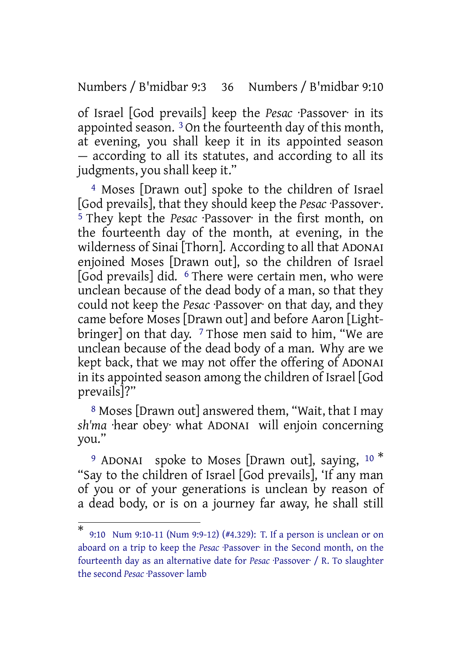Numbers / B'midbar 9:3 36 Numbers / B'midbar 9:10

of Israel [God prevails] keep the *Pesac* ·Passover· in its appointed season. 3 On the fourteenth day of this month, at evening, you shall keep it in its appointed season — according to all its statutes, and according to all its judgments, you shall keep it."

4 Moses [Drawn out] spoke to the children of Israel [God prevails], that they should keep the *Pesac* ·Passover·. 5 They kept the *Pesac* ·Passover· in the first month, on the fourteenth day of the month, at evening, in the wilderness of Sinai [Thorn]. According to all that ADONAI enjoined Moses [Drawn out], so the children of Israel [God prevails] did. 6 There were certain men, who were unclean because of the dead body of a man, so that they could not keep the *Pesac* ·Passover· on that day, and they came before Moses [Drawn out] and before Aaron [Lightbringer] on that day.  $7$  Those men said to him, "We are unclean because of the dead body of a man. Why are we kept back, that we may not offer the offering of ADONAI in its appointed season among the children of Israel [God prevails]?"

8 Moses [Drawn out] answered them, "Wait, that I may *sh'ma* ·hear obey· what ADONAI will enjoin concerning you."

<sup>9</sup> ADONAI spoke to Moses [Drawn out], saying,  $10<sup>*</sup>$ "Say to the children of Israel [God prevails], 'If any man of you or of your generations is unclean by reason of a dead body, or is on a journey far away, he shall still

<sup>\*</sup> 9:10 Num 9:10-11 (Num 9:9-12) (#4.329): T. If a person is unclean or on aboard on a trip to keep the *Pesac* ·Passover· in the Second month, on the fourteenth day as an alternative date for *Pesac* ·Passover· / R. To slaughter the second *Pesac* ·Passover· lamb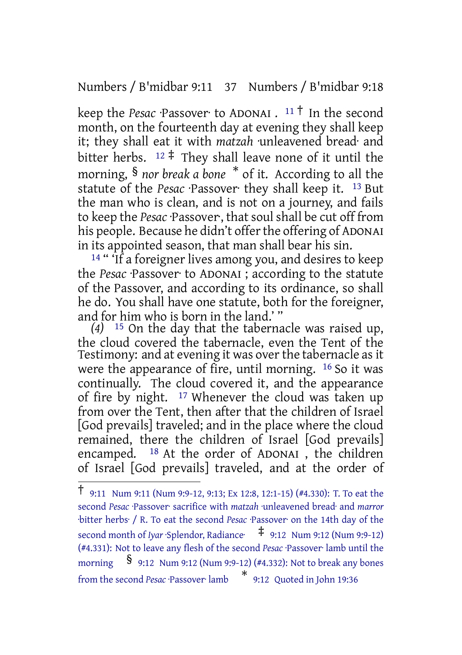Numbers / B'midbar 9:11 37 Numbers / B'midbar 9:18

keep the *Pesac* ·Passover· to ADONAI . <sup>11</sup> † In the second month, on the fourteenth day at evening they shall keep it; they shall eat it with *matzah* ·unleavened bread· and bitter herbs.  $12 \div$  They shall leave none of it until the morning, § *nor break a bone* \* of it. According to all the statute of the *Pesac* ·Passover· they shall keep it. 13 But the man who is clean, and is not on a journey, and fails to keep the *Pesac* ·Passover·, that soul shall be cut off from his people. Because he didn't offer the offering of ADONAI in its appointed season, that man shall bear his sin.

<sup>14</sup> " If a foreigner lives among you, and desires to keep the *Pesac* ·Passover· to ADONAI ; according to the statute of the Passover, and according to its ordinance, so shall he do. You shall have one statute, both for the foreigner, and for him who is born in the land.' "

*(4)* 15 On the day that the tabernacle was raised up, the cloud covered the tabernacle, even the Tent of the Testimony: and at evening it was over the tabernacle as it were the appearance of fire, until morning. 16 So it was continually. The cloud covered it, and the appearance of fire by night. 17 Whenever the cloud was taken up from over the Tent, then after that the children of Israel [God prevails] traveled; and in the place where the cloud remained, there the children of Israel [God prevails] encamped. 18 At the order of ADONAI , the children of Israel [God prevails] traveled, and at the order of

<sup>†</sup> 9:11 Num 9:11 (Num 9:9-12, 9:13; Ex 12:8, 12:1-15) (#4.330): T. To eat the second *Pesac* ·Passover· sacrifice with *matzah* ·unleavened bread· and *marror* ·bitter herbs· / R. To eat the second *Pesac* ·Passover· on the 14th day of the second month of *Iyar* ·Splendor, Radiance·  $\frac{1}{7}$  9:12 Num 9:12 (Num 9:9-12) (#4.331): Not to leave any flesh of the second *Pesac* ·Passover· lamb until the morning § 9:12 Num 9:12 (Num 9:9-12) (#4.332): Not to break any bones from the second *Pesac* ·Passover· lamb \* 9:12 Quoted in John 19:36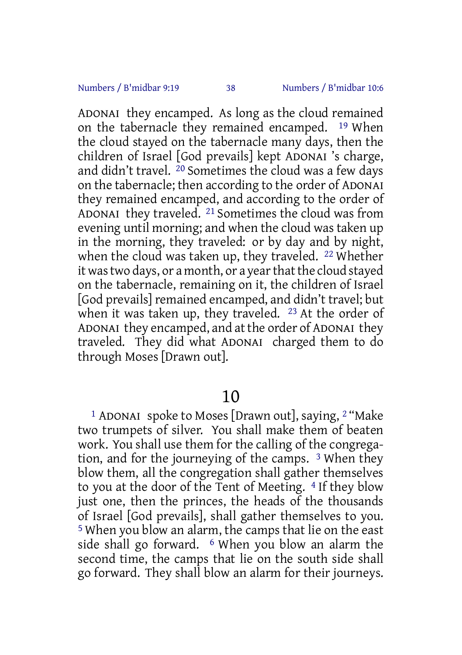ADONAI they encamped. As long as the cloud remained on the tabernacle they remained encamped. 19 When the cloud stayed on the tabernacle many days, then the children of Israel [God prevails] kept ADONAI 's charge, and didn't travel. 20 Sometimes the cloud was a few days on the tabernacle; then according to the order of ADONAI they remained encamped, and according to the order of ADONAI they traveled. 21 Sometimes the cloud was from evening until morning; and when the cloud was taken up in the morning, they traveled: or by day and by night, when the cloud was taken up, they traveled. 22 Whether it was two days, or a month, or a year that the cloud stayed on the tabernacle, remaining on it, the children of Israel [God prevails] remained encamped, and didn't travel; but when it was taken up, they traveled. <sup>23</sup> At the order of ADONAI they encamped, and at the order of ADONAI they traveled. They did what ADONAI charged them to do through Moses [Drawn out].

# 10

1 ADONAI spoke to Moses [Drawn out], saying, 2 "Make two trumpets of silver. You shall make them of beaten work. You shall use them for the calling of the congregation, and for the journeying of the camps. 3 When they blow them, all the congregation shall gather themselves to you at the door of the Tent of Meeting. 4 If they blow just one, then the princes, the heads of the thousands of Israel [God prevails], shall gather themselves to you. 5 When you blow an alarm, the camps that lie on the east side shall go forward. <sup>6</sup> When you blow an alarm the second time, the camps that lie on the south side shall go forward. They shall blow an alarm for their journeys.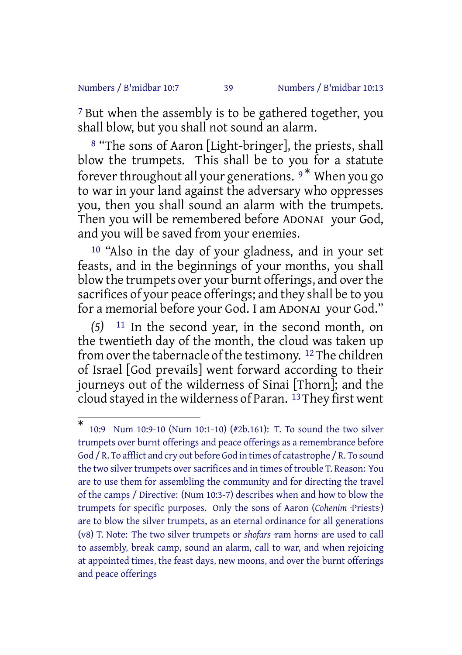#### Numbers / B'midbar 10:7 39 Numbers / B'midbar 10:13

<sup>7</sup> But when the assembly is to be gathered together, you shall blow, but you shall not sound an alarm.

8 "The sons of Aaron [Light-bringer], the priests, shall blow the trumpets. This shall be to you for a statute forever throughout all your generations.  $9 *$  When you go to war in your land against the adversary who oppresses you, then you shall sound an alarm with the trumpets. Then you will be remembered before ADONAI your God, and you will be saved from your enemies.

10 "Also in the day of your gladness, and in your set feasts, and in the beginnings of your months, you shall blow the trumpets over your burnt offerings, and overthe sacrifices of your peace offerings; and they shall be to you for a memorial before your God. I am ADONAI your God."

*(5)* 11 In the second year, in the second month, on the twentieth day of the month, the cloud was taken up from over the tabernacle of the testimony. <sup>12</sup> The children of Israel [God prevails] went forward according to their journeys out of the wilderness of Sinai [Thorn]; and the cloud stayed in the wilderness of Paran. 13They first went

<sup>\*</sup> 10:9 Num 10:9-10 (Num 10:1-10) (#2b.161): T. To sound the two silver trumpets over burnt offerings and peace offerings as a remembrance before God / R. To afflict and cry out before God in times of catastrophe / R. To sound the two silver trumpets over sacrifices and in times of trouble T. Reason: You are to use them for assembling the community and for directing the travel of the camps / Directive: (Num 10:3-7) describes when and how to blow the trumpets for specific purposes. Only the sons of Aaron (*Cohenim* ·Priests·) are to blow the silver trumpets, as an eternal ordinance for all generations (v8) T. Note: The two silver trumpets or *shofars* ·ram horns· are used to call to assembly, break camp, sound an alarm, call to war, and when rejoicing at appointed times, the feast days, new moons, and over the burnt offerings and peace offerings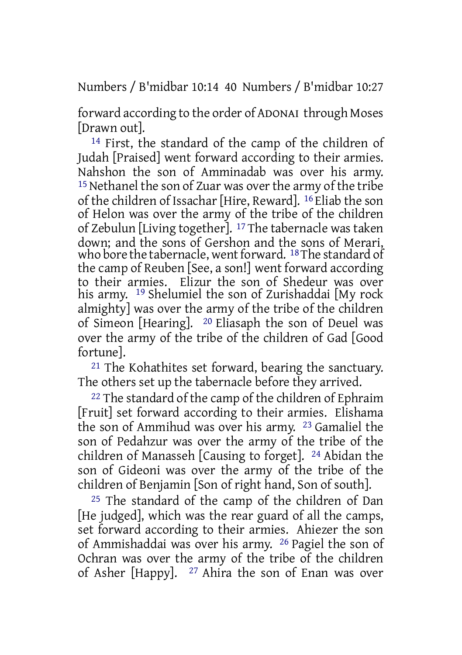Numbers / B'midbar 10:14 40 Numbers / B'midbar 10:27

forward according to the order of ADONAI through Moses [Drawn out].

14 First, the standard of the camp of the children of Judah [Praised] went forward according to their armies. Nahshon the son of Amminadab was over his army. <sup>15</sup> Nethanel the son of Zuar was over the army of the tribe of the children of Issachar [Hire, Reward]. 16 Eliab the son of Helon was over the army of the tribe of the children of Zebulun [Living together]. 17 The tabernacle was taken down; and the sons of Gershon and the sons of Merari, who bore the tabernacle, went forward.  $18$  The standard of the camp of Reuben [See, a son!] went forward according to their armies. Elizur the son of Shedeur was over his army. 19 Shelumiel the son of Zurishaddai [My rock almighty] was over the army of the tribe of the children of Simeon [Hearing]. 20 Eliasaph the son of Deuel was over the army of the tribe of the children of Gad [Good fortune].

21 The Kohathites set forward, bearing the sanctuary. The others set up the tabernacle before they arrived.

<sup>22</sup> The standard of the camp of the children of Ephraim [Fruit] set forward according to their armies. Elishama the son of Ammihud was over his army. 23 Gamaliel the son of Pedahzur was over the army of the tribe of the children of Manasseh [Causing to forget]. 24 Abidan the son of Gideoni was over the army of the tribe of the children of Benjamin [Son of right hand, Son of south].

25 The standard of the camp of the children of Dan [He judged], which was the rear guard of all the camps, set forward according to their armies. Ahiezer the son of Ammishaddai was over his army. 26 Pagiel the son of Ochran was over the army of the tribe of the children of Asher [Happy]. 27 Ahira the son of Enan was over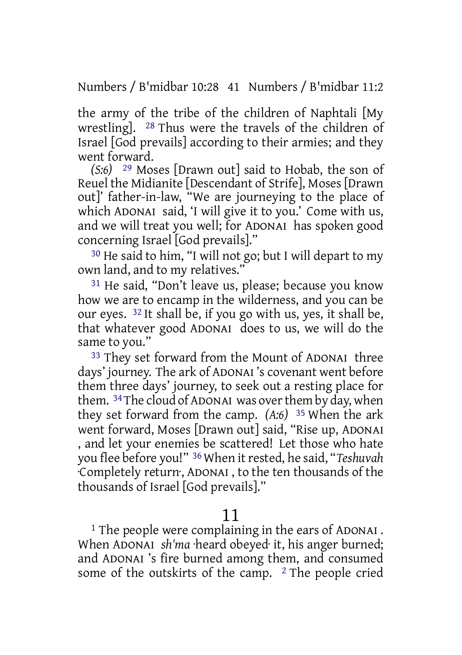Numbers / B'midbar 10:28 41 Numbers / B'midbar 11:2

the army of the tribe of the children of Naphtali [My wrestling]. 28 Thus were the travels of the children of Israel [God prevails] according to their armies; and they went forward.

*(S:6)* 29 Moses [Drawn out] said to Hobab, the son of Reuel the Midianite [Descendant of Strife], Moses [Drawn out]' father-in-law, "We are journeying to the place of which ADONAI said, 'I will give it to you.' Come with us, and we will treat you well; for ADONAI has spoken good concerning Israel [God prevails]."

30 He said to him, "I will not go; but I will depart to my own land, and to my relatives."

31 He said, "Don't leave us, please; because you know how we are to encamp in the wilderness, and you can be our eyes. 32 It shall be, if you go with us, yes, it shall be, that whatever good ADONAI does to us, we will do the same to you."

33 They set forward from the Mount of ADONAI three days' journey. The ark of ADONAI 's covenant went before them three days' journey, to seek out a resting place for them. 34The cloud of ADONAI was overthem by day, when they set forward from the camp. *(A:6)* 35 When the ark went forward, Moses [Drawn out] said, "Rise up, ADONAI , and let your enemies be scattered! Let those who hate you flee before you!" <sup>36</sup> When it rested, he said, "Teshuvah ·Completely return·, ADONAI , to the ten thousands of the thousands of Israel [God prevails]."

# 11

<sup>1</sup> The people were complaining in the ears of ADONAI. When ADONAI *sh'ma* ·heard obeyed· it, his anger burned; and ADONAI 's fire burned among them, and consumed some of the outskirts of the camp. <sup>2</sup> The people cried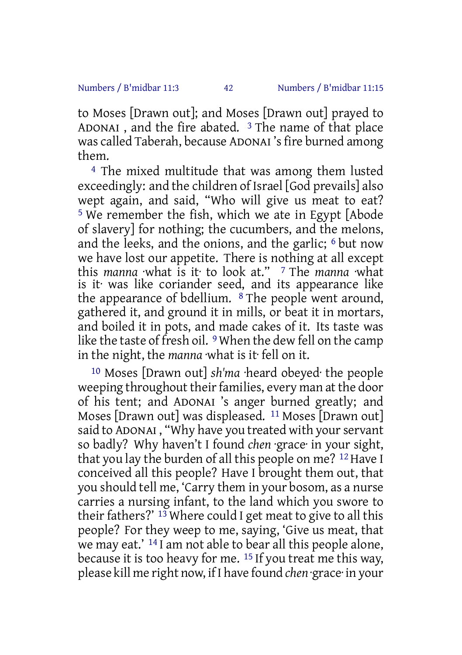to Moses [Drawn out]; and Moses [Drawn out] prayed to ADONAI, and the fire abated.  $3$  The name of that place was called Taberah, because ADONAI 's fire burned among them.

4 The mixed multitude that was among them lusted exceedingly: and the children of Israel [God prevails] also wept again, and said, "Who will give us meat to eat? 5 We remember the fish, which we ate in Egypt [Abode of slavery] for nothing; the cucumbers, and the melons, and the leeks, and the onions, and the garlic; 6 but now we have lost our appetite. There is nothing at all except this *manna* ·what is it· to look at." 7 The *manna* ·what is it· was like coriander seed, and its appearance like the appearance of bdellium. 8 The people went around, gathered it, and ground it in mills, or beat it in mortars, and boiled it in pots, and made cakes of it. Its taste was like the taste of fresh oil. <sup>9</sup> When the dew fell on the camp in the night, the *manna* ·what is it· fell on it.

10 Moses [Drawn out] *sh'ma* ·heard obeyed· the people weeping throughout their families, every man at the door of his tent; and ADONAI 's anger burned greatly; and Moses [Drawn out] was displeased. 11 Moses [Drawn out] said to ADONAI, "Why have you treated with your servant so badly? Why haven't I found *chen* ·grace· in your sight, that you lay the burden of all this people on me? <sup>12</sup> Have I conceived all this people? Have I brought them out, that you should tell me, 'Carry them in your bosom, as a nurse carries a nursing infant, to the land which you swore to their fathers?'  $^{13}$  Where could I get meat to give to all this people? For they weep to me, saying, 'Give us meat, that we may eat.' 14 I am not able to bear all this people alone, because it is too heavy for me. 15 If you treat me this way, please kill me right now, if I have found *chen* ·grace· in your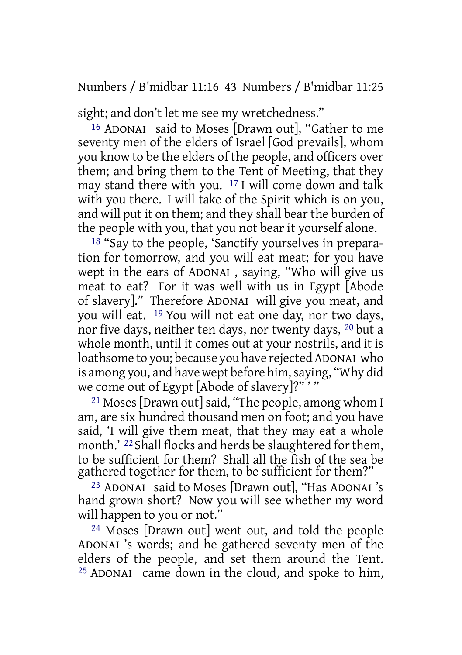Numbers / B'midbar 11:16 43 Numbers / B'midbar 11:25

sight; and don't let me see my wretchedness."

16 ADONAI said to Moses [Drawn out], "Gather to me seventy men of the elders of Israel [God prevails], whom you know to be the elders of the people, and officers over them; and bring them to the Tent of Meeting, that they may stand there with you. 17 I will come down and talk with you there. I will take of the Spirit which is on you, and will put it on them; and they shall bear the burden of the people with you, that you not bear it yourself alone.

<sup>18</sup> "Say to the people, 'Sanctify yourselves in preparation for tomorrow, and you will eat meat; for you have wept in the ears of ADONAI , saying, "Who will give us meat to eat? For it was well with us in Egypt [Abode of slavery]." Therefore ADONAI will give you meat, and you will eat. 19 You will not eat one day, nor two days, nor five days, neither ten days, nor twenty days, 20 but a whole month, until it comes out at your nostrils, and it is loathsome to you; because you have rejected ADONAI who is among you, and have wept before him,saying, "Why did we come out of Egypt [Abode of slavery]?"'"

21 Moses [Drawn out] said, "The people, among whom I am, are six hundred thousand men on foot; and you have said, 'I will give them meat, that they may eat a whole month.' <sup>22</sup> Shall flocks and herds be slaughtered for them, to be sufficient for them? Shall all the fish of the sea be gathered together for them, to be sufficient for them?"

23 ADONAI said to Moses [Drawn out], "Has ADONAI 's hand grown short? Now you will see whether my word will happen to you or not."

24 Moses [Drawn out] went out, and told the people ADONAI 's words; and he gathered seventy men of the elders of the people, and set them around the Tent. 25 ADONAI came down in the cloud, and spoke to him,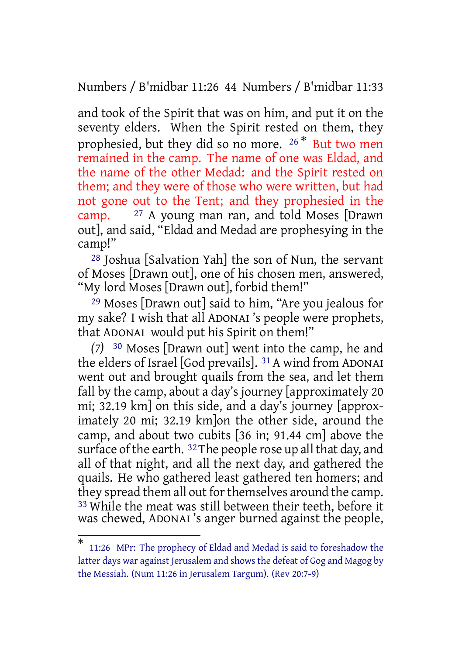Numbers / B'midbar 11:26 44 Numbers / B'midbar 11:33

and took of the Spirit that was on him, and put it on the seventy elders. When the Spirit rested on them, they prophesied, but they did so no more. <sup>26</sup> \* But two men remained in the camp. The name of one was Eldad, and the name of the other Medad: and the Spirit rested on them; and they were of those who were written, but had not gone out to the Tent; and they prophesied in the camp. 27 A young man ran, and told Moses [Drawn out], and said, "Eldad and Medad are prophesying in the camp!"

28 Joshua [Salvation Yah] the son of Nun, the servant of Moses [Drawn out], one of his chosen men, answered, "My lord Moses [Drawn out], forbid them!"

29 Moses [Drawn out] said to him, "Are you jealous for my sake? I wish that all ADONAI 's people were prophets, that ADONAI would put his Spirit on them!"

*(7)* 30 Moses [Drawn out] went into the camp, he and the elders of Israel [God prevails]. 31 A wind from ADONAI went out and brought quails from the sea, and let them fall by the camp, about a day's journey [approximately 20 mi; 32.19 km] on this side, and a day's journey [approximately 20 mi; 32.19 km]on the other side, around the camp, and about two cubits [36 in; 91.44 cm] above the surface of the earth.  $32$  The people rose up all that day, and all of that night, and all the next day, and gathered the quails. He who gathered least gathered ten homers; and they spread them all out for themselves around the camp. 33 While the meat was still between their teeth, before it while the meat was sempressed inches teen, service it was chewed, ADONAI's anger burned against the people,

<sup>\*</sup> 11:26 MPr: The prophecy of Eldad and Medad is said to foreshadow the latter days war against Jerusalem and shows the defeat of Gog and Magog by the Messiah. (Num 11:26 in Jerusalem Targum). (Rev 20:7-9)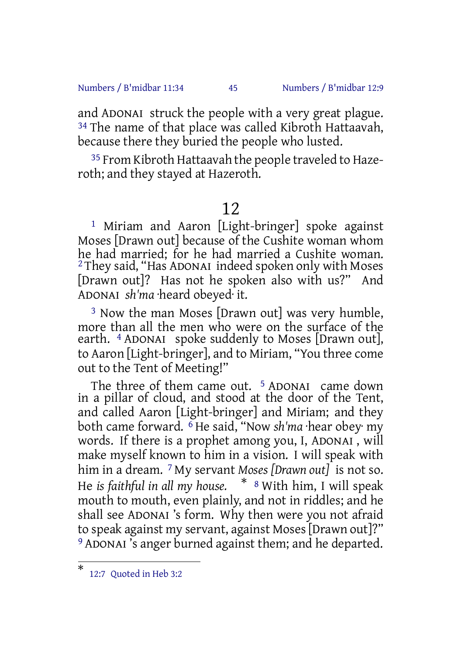Numbers / B'midbar 11:34 45 Numbers / B'midbar 12:9

and ADONAI struck the people with a very great plague. <sup>34</sup> The name of that place was called Kibroth Hattaavah, because there they buried the people who lusted.

35 From Kibroth Hattaavah the people traveled to Hazeroth; and they stayed at Hazeroth.

# 12

1 Miriam and Aaron [Light-bringer] spoke against Moses [Drawn out] because of the Cushite woman whom he had married; for he had married a Cushite woman.  $^2$ They said, "Has ADONAI indeed spoken only with Moses [Drawn out]? Has not he spoken also with us?" And ADONAI *sh'ma* ·heard obeyed· it.

3 Now the man Moses [Drawn out] was very humble, more than all the men who were on the surface of the earth. 4 ADONAI spoke suddenly to Moses [Drawn out], to Aaron [Light-bringer], and to Miriam, "You three come out to the Tent of Meeting!"

The three of them came out. <sup>5</sup> ADONAI came down in a pillar of cloud, and stood at the door of the Tent, and called Aaron [Light-bringer] and Miriam; and they both came forward. 6 He said, "Now *sh'ma* ·hear obey· my words. If there is a prophet among you, I, ADONAI , will make myself known to him in a vision. I will speak with him in a dream. 7 My servant *Moses [Drawn out]* is not so. He *is faithful in all my house.* \* <sup>8</sup> With him, I will speak mouth to mouth, even plainly, and not in riddles; and he shall see ADONAI 's form. Why then were you not afraid to speak against my servant, against Moses[Drawn out]?" 9 ADONAI 's anger burned against them; and he departed.

<sup>\*</sup> 12:7 Quoted in Heb 3:2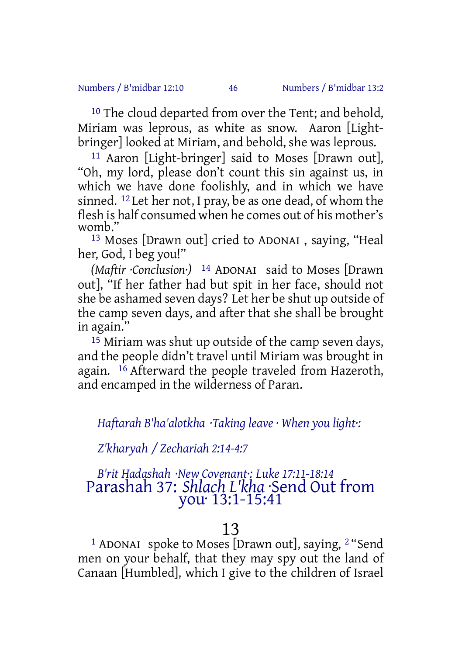#### Numbers / B'midbar 12:10 46 Numbers / B'midbar 13:2

<sup>10</sup> The cloud departed from over the Tent; and behold, Miriam was leprous, as white as snow. Aaron [Lightbringer] looked at Miriam, and behold, she was leprous.

11 Aaron [Light-bringer] said to Moses [Drawn out], "Oh, my lord, please don't count this sin against us, in which we have done foolishly, and in which we have sinned. 12 Let her not, I pray, be as one dead, of whom the flesh is half consumed when he comes out of his mother's womb."

13 Moses [Drawn out] cried to ADONAI , saying, "Heal her, God, I beg you!"

*(Maftir ·Conclusion·)* 14 ADONAI said to Moses [Drawn out], "If her father had but spit in her face, should not she be ashamed seven days? Let her be shut up outside of the camp seven days, and after that she shall be brought in again."

15 Miriam was shut up outside of the camp seven days, and the people didn't travel until Miriam was brought in again.  $16$  Afterward the people traveled from Hazeroth, and encamped in the wilderness of Paran.

*Haftarah B'ha'alotkha ·Taking leave · When you light·:*

*Z'kharyah / Zechariah 2:14-4:7*

# *B'rit Hadashah ·New Covenant·: Luke 17:11-18:14* Parashah 37: *Shlach L'kha* ·Send Out from you· 13:1-15:41

# 13

<sup>1</sup> ADONAI spoke to Moses [Drawn out], saying, <sup>2</sup> "Send men on your behalf, that they may spy out the land of Canaan [Humbled], which I give to the children of Israel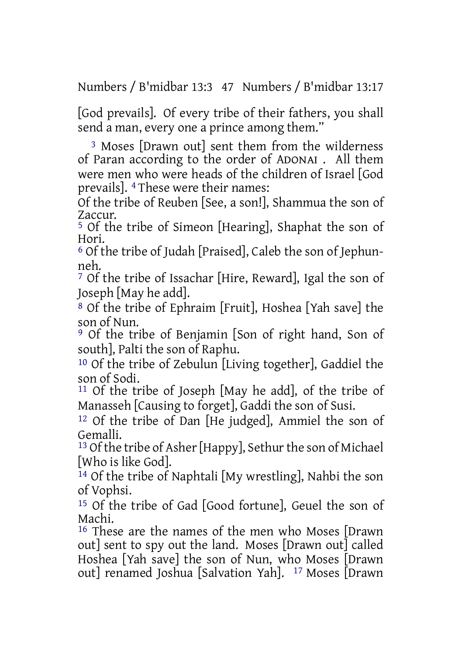Numbers / B'midbar 13:3 47 Numbers / B'midbar 13:17

[God prevails]. Of every tribe of their fathers, you shall send a man, every one a prince among them."

3 Moses [Drawn out] sent them from the wilderness of Paran according to the order of ADONAI . All them were men who were heads of the children of Israel [God prevails]. 4 These were their names:

Of the tribe of Reuben [See, a son!], Shammua the son of Zaccur.

5 Of the tribe of Simeon [Hearing], Shaphat the son of Hori.

6 Of the tribe of Judah [Praised], Caleb the son of Jephunneh.

7 Of the tribe of Issachar [Hire, Reward], Igal the son of Joseph [May he add].

8 Of the tribe of Ephraim [Fruit], Hoshea [Yah save] the son of Nun.

9 Of the tribe of Benjamin [Son of right hand, Son of south], Palti the son of Raphu.

10 Of the tribe of Zebulun [Living together], Gaddiel the son of Sodi.

11 Of the tribe of Joseph [May he add], of the tribe of Manasseh [Causing to forget], Gaddi the son of Susi.

12 Of the tribe of Dan [He judged], Ammiel the son of Gemalli.

<sup>13</sup> Of the tribe of Asher [Happy], Sethur the son of Michael [Who is like God].

14 Of the tribe of Naphtali [My wrestling], Nahbi the son of Vophsi.

15 Of the tribe of Gad [Good fortune], Geuel the son of Machi.

16 These are the names of the men who Moses [Drawn out] sent to spy out the land. Moses [Drawn out] called Hoshea [Yah save] the son of Nun, who Moses [Drawn out] renamed Joshua [Salvation Yah]. 17 Moses [Drawn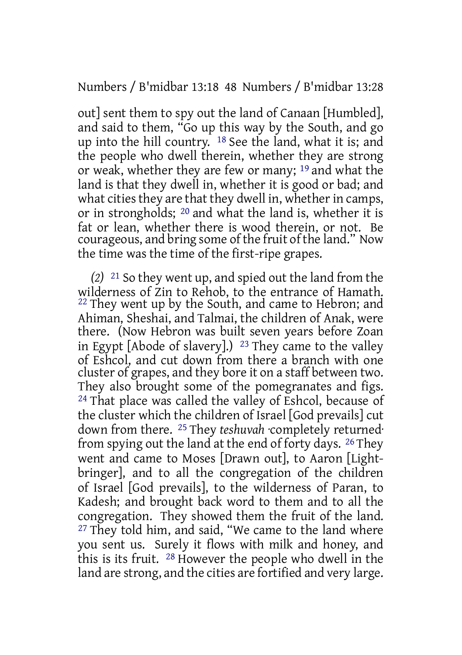Numbers / B'midbar 13:18 48 Numbers / B'midbar 13:28

out] sent them to spy out the land of Canaan [Humbled], and said to them, "Go up this way by the South, and go up into the hill country. 18 See the land, what it is; and the people who dwell therein, whether they are strong or weak, whether they are few or many; 19 and what the land is that they dwell in, whether it is good or bad; and what cities they are that they dwell in, whether in camps, or in strongholds; 20 and what the land is, whether it is fat or lean, whether there is wood therein, or not. Be courageous, and bring some of the fruit of the land." Now the time was the time of the first-ripe grapes.

*(2)* 21 So they went up, and spied out the land from the wilderness of Zin to Rehob, to the entrance of Hamath. <sup>22</sup> They went up by the South, and came to Hebron; and Ahiman, Sheshai, and Talmai, the children of Anak, were there. (Now Hebron was built seven years before Zoan in Egypt [Abode of slavery].)  $^{23}$  They came to the valley of Eshcol, and cut down from there a branch with one cluster of grapes, and they bore it on a staff between two. They also brought some of the pomegranates and figs. 24 That place was called the valley of Eshcol, because of the cluster which the children of Israel [God prevails] cut down from there. 25 They *teshuvah* ·completely returned· from spying out the land at the end of forty days. 26 They went and came to Moses [Drawn out], to Aaron [Lightbringer], and to all the congregation of the children of Israel [God prevails], to the wilderness of Paran, to Kadesh; and brought back word to them and to all the congregation. They showed them the fruit of the land. <sup>27</sup> They told him, and said, "We came to the land where you sent us. Surely it flows with milk and honey, and this is its fruit. 28 However the people who dwell in the land are strong, and the cities are fortified and very large.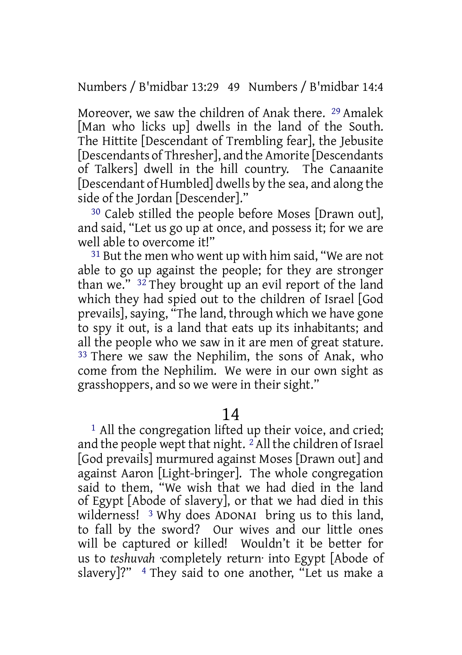Numbers / B'midbar 13:29 49 Numbers / B'midbar 14:4

Moreover, we saw the children of Anak there. 29 Amalek [Man who licks up] dwells in the land of the South. The Hittite [Descendant of Trembling fear], the Jebusite [Descendants of Thresher], and the Amorite [Descendants of Talkers] dwell in the hill country. The Canaanite [Descendant of Humbled] dwells by the sea, and along the side of the Jordan [Descender]."

30 Caleb stilled the people before Moses [Drawn out], and said, "Let us go up at once, and possess it; for we are well able to overcome it!"

31 But the men who went up with him said, "We are not able to go up against the people; for they are stronger than we." 32 They brought up an evil report of the land which they had spied out to the children of Israel [God prevails], saying, "The land, through which we have gone to spy it out, is a land that eats up its inhabitants; and all the people who we saw in it are men of great stature. 33 There we saw the Nephilim, the sons of Anak, who come from the Nephilim. We were in our own sight as grasshoppers, and so we were in their sight."

14

<sup>1</sup> All the congregation lifted up their voice, and cried; and the people wept that night. <sup>2</sup>All the children of Israel [God prevails] murmured against Moses [Drawn out] and against Aaron [Light-bringer]. The whole congregation said to them, "We wish that we had died in the land of Egypt [Abode of slavery], or that we had died in this wilderness! 3 Why does ADONAI bring us to this land, to fall by the sword? Our wives and our little ones will be captured or killed! Wouldn't it be better for us to *teshuvah* ·completely return· into Egypt [Abode of slavery]?" 4 They said to one another, "Let us make a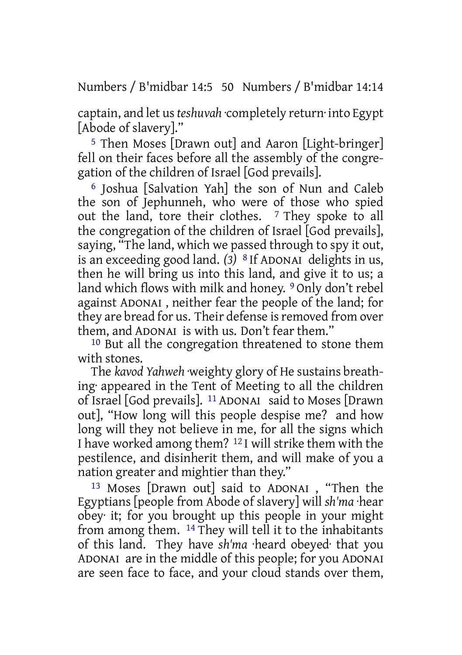Numbers / B'midbar 14:5 50 Numbers / B'midbar 14:14

captain, and let us*teshuvah* ·completely return· into Egypt [Abode of slavery]."

5 Then Moses [Drawn out] and Aaron [Light-bringer] fell on their faces before all the assembly of the congregation of the children of Israel [God prevails].

6 Joshua [Salvation Yah] the son of Nun and Caleb the son of Jephunneh, who were of those who spied out the land, tore their clothes. 7 They spoke to all the congregation of the children of Israel [God prevails], saying, "The land, which we passed through to spy it out, is an exceeding good land. *(3)* 8 If ADONAI delights in us, then he will bring us into this land, and give it to us; a land which flows with milk and honey. 9 Only don't rebel against ADONAI , neither fear the people of the land; for they are bread for us. Their defense is removed from over them, and ADONAI is with us. Don't fear them."

10 But all the congregation threatened to stone them with stones.

The *kavod Yahweh* ·weighty glory of He sustains breathing· appeared in the Tent of Meeting to all the children of Israel [God prevails]. 11 ADONAI said to Moses [Drawn out], "How long will this people despise me? and how long will they not believe in me, for all the signs which I have worked among them? 12 I will strike them with the pestilence, and disinherit them, and will make of you a nation greater and mightier than they."

13 Moses [Drawn out] said to ADONAI , "Then the Egyptians [people from Abode of slavery] will *sh'ma* ·hear obey· it; for you brought up this people in your might from among them. 14 They will tell it to the inhabitants of this land. They have *sh'ma* ·heard obeyed· that you ADONAI are in the middle of this people; for you ADONAI are seen face to face, and your cloud stands over them,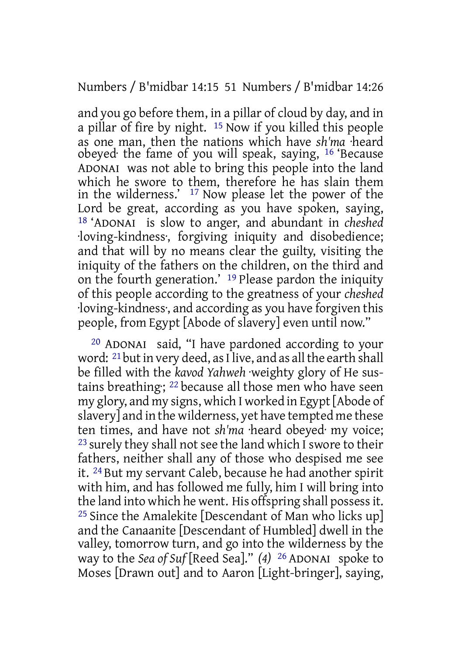# Numbers / B'midbar 14:15 51 Numbers / B'midbar 14:26

and you go before them, in a pillar of cloud by day, and in a pillar of fire by night. 15 Now if you killed this people as one man, then the nations which have *sh'ma* ·heard obeyed· the fame of you will speak, saying, 16 'Because ADONAI was not able to bring this people into the land which he swore to them, therefore he has slain them in the wilderness.' 17 Now please let the power of the Lord be great, according as you have spoken, saying, 18 'ADONAI is slow to anger, and abundant in *cheshed* ·loving-kindness·, forgiving iniquity and disobedience; and that will by no means clear the guilty, visiting the iniquity of the fathers on the children, on the third and on the fourth generation.' 19 Please pardon the iniquity of this people according to the greatness of your *cheshed* ·loving-kindness·, and according as you have forgiven this people, from Egypt [Abode of slavery] even until now."

20 ADONAI said, "I have pardoned according to your word:  $21$  but in very deed, as I live, and as all the earth shall be filled with the *kavod Yahweh* ·weighty glory of He sustains breathing: <sup>22</sup> because all those men who have seen my glory, and my signs, which I worked in Egypt[Abode of slavery] and in the wilderness, yet have tempted me these ten times, and have not *sh'ma* ·heard obeyed· my voice; <sup>23</sup> surely they shall not see the land which I swore to their fathers, neither shall any of those who despised me see it. 24 But my servant Caleb, because he had another spirit with him, and has followed me fully, him I will bring into the land into which he went. His offspring shall possessit. 25 Since the Amalekite [Descendant of Man who licks up] and the Canaanite [Descendant of Humbled] dwell in the valley, tomorrow turn, and go into the wilderness by the way to the *Sea of Suf* [Reed Sea]." *(4)* 26 ADONAI spoke to Moses [Drawn out] and to Aaron [Light-bringer], saying,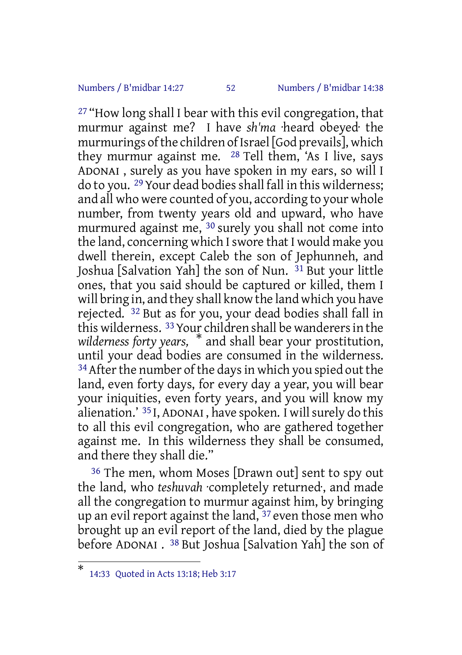## Numbers / B'midbar 14:27 52 Numbers / B'midbar 14:38

27 "How long shall I bear with this evil congregation, that murmur against me? I have *sh'ma* ·heard obeyed· the murmurings of the children of Israel [God prevails], which they murmur against me. 28 Tell them, 'As I live, says ADONAI , surely as you have spoken in my ears, so will I do to you. <sup>29</sup> Your dead bodies shall fall in this wilderness; and all who were counted of you, according to your whole number, from twenty years old and upward, who have murmured against me, 30 surely you shall not come into the land, concerning which Iswore that I would make you dwell therein, except Caleb the son of Jephunneh, and Joshua [Salvation Yah] the son of Nun. 31 But your little ones, that you said should be captured or killed, them I will bring in, and they shall know the land which you have rejected. 32 But as for you, your dead bodies shall fall in this wilderness. 33Your children shall be wanderersin the *wilderness forty years,* \* and shall bear your prostitution, until your dead bodies are consumed in the wilderness.  $34$  After the number of the days in which you spied out the land, even forty days, for every day a year, you will bear your iniquities, even forty years, and you will know my alienation.'  $35$  I, ADONAI, have spoken. I will surely do this to all this evil congregation, who are gathered together against me. In this wilderness they shall be consumed, and there they shall die."

36 The men, whom Moses [Drawn out] sent to spy out the land, who *teshuvah* ·completely returned·, and made all the congregation to murmur against him, by bringing up an evil report against the land, 37 even those men who brought up an evil report of the land, died by the plague before ADONAI . 38 But Joshua [Salvation Yah] the son of

<sup>\*</sup> 14:33 Quoted in Acts 13:18; Heb 3:17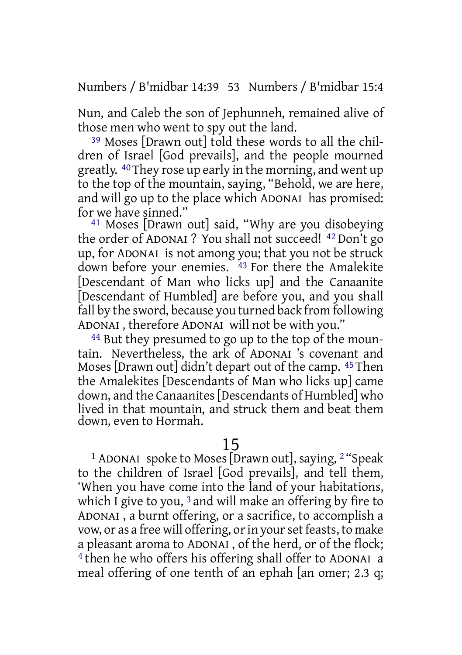Numbers / B'midbar 14:39 53 Numbers / B'midbar 15:4

Nun, and Caleb the son of Jephunneh, remained alive of those men who went to spy out the land.

39 Moses [Drawn out] told these words to all the children of Israel [God prevails], and the people mourned greatly. 40They rose up early in the morning, and went up to the top of the mountain, saying, "Behold, we are here, and will go up to the place which ADONAI has promised: for we have sinned."

41 Moses [Drawn out] said, "Why are you disobeying the order of ADONAI ? You shall not succeed! 42 Don't go up, for ADONAI is not among you; that you not be struck down before your enemies. <sup>43</sup> For there the Amalekite [Descendant of Man who licks up] and the Canaanite [Descendant of Humbled] are before you, and you shall fall by the sword, because you turned back from following ADONAI , therefore ADONAI will not be with you."

44 But they presumed to go up to the top of the mountain. Nevertheless, the ark of ADONAI 's covenant and Moses [Drawn out] didn't depart out of the camp. 45 Then the Amalekites [Descendants of Man who licks up] came down, and the Canaanites[Descendants of Humbled] who lived in that mountain, and struck them and beat them down, even to Hormah.

15

<sup>1</sup> ADONAI spoke to Moses [Drawn out], saying, <sup>2</sup> "Speak to the children of Israel [God prevails], and tell them, 'When you have come into the land of your habitations, which I give to you, <sup>3</sup> and will make an offering by fire to ADONAI , a burnt offering, or a sacrifice, to accomplish a vow, or as a free will offering, or in your set feasts, to make a pleasant aroma to ADONAI , of the herd, or of the flock; 4 then he who offers his offering shall offer to ADONAI a meal offering of one tenth of an ephah [an omer; 2.3 q;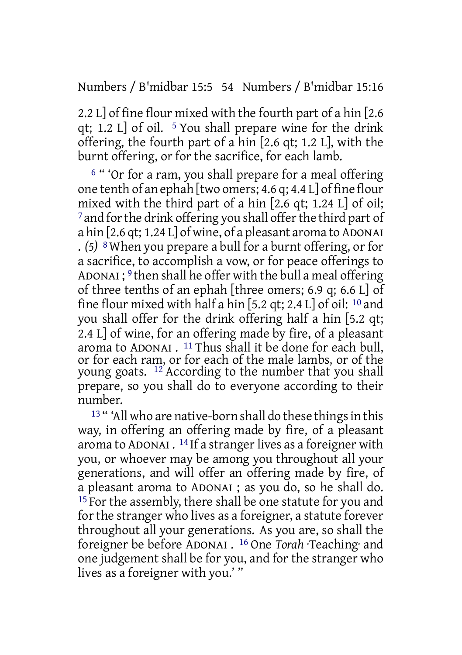Numbers / B'midbar 15:5 54 Numbers / B'midbar 15:16

2.2 L] of fine flour mixed with the fourth part of a hin [2.6 qt; 1.2 L] of oil.  $5$  You shall prepare wine for the drink offering, the fourth part of a hin [2.6 qt; 1.2 L], with the burnt offering, or for the sacrifice, for each lamb.

<sup>6</sup> " 'Or for a ram, you shall prepare for a meal offering one tenth of an ephah [two omers; 4.6 q; 4.4 L] of fine flour mixed with the third part of a hin [2.6 qt; 1.24 L] of oil;  $7$  and for the drink offering you shall offer the third part of a hin [2.6 qt; 1.24 L] of wine, of a pleasant aroma to ADONAI . *(5)* 8 When you prepare a bull for a burnt offering, or for a sacrifice, to accomplish a vow, or for peace offerings to ADONAI ; 9 then shall he offer with the bull a meal offering of three tenths of an ephah [three omers; 6.9 q; 6.6 L] of fine flour mixed with half a hin [5.2 qt; 2.4 L] of oil:  $10$  and you shall offer for the drink offering half a hin [5.2 qt; 2.4 L] of wine, for an offering made by fire, of a pleasant aroma to ADONAI . 11 Thus shall it be done for each bull, or for each ram, or for each of the male lambs, or of the young goats. 12 According to the number that you shall prepare, so you shall do to everyone according to their number.

<sup>13</sup> " 'All who are native-born shall do these things in this way, in offering an offering made by fire, of a pleasant aroma to ADONAI . <sup>14</sup> If a stranger lives as a foreigner with you, or whoever may be among you throughout all your generations, and will offer an offering made by fire, of a pleasant aroma to ADONAI ; as you do, so he shall do.  $15$  For the assembly, there shall be one statute for you and for the stranger who lives as a foreigner, a statute forever throughout all your generations. As you are, so shall the foreigner be before ADONAI . 16 One *Torah* ·Teaching· and one judgement shall be for you, and for the stranger who lives as a foreigner with you.' "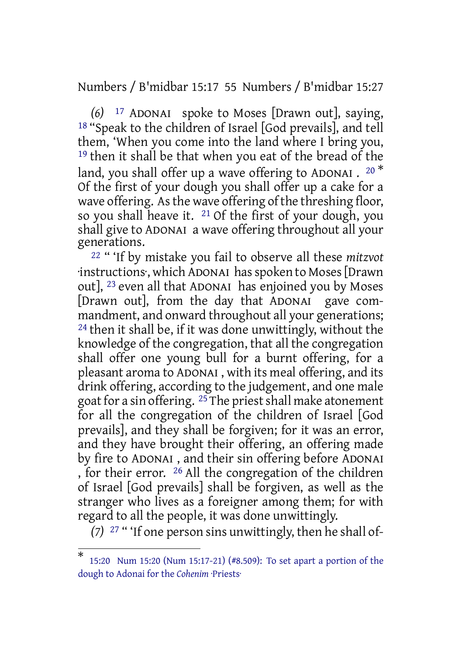Numbers / B'midbar 15:17 55 Numbers / B'midbar 15:27

*(6)* 17 ADONAI spoke to Moses [Drawn out], saying, 18 "Speak to the children of Israel [God prevails], and tell them, 'When you come into the land where I bring you, 19 then it shall be that when you eat of the bread of the land, you shall offer up a wave offering to ADONAI .  $^{20\, \ast}$ Of the first of your dough you shall offer up a cake for a wave offering. As the wave offering of the threshing floor, so you shall heave it.  $21$  Of the first of your dough, you shall give to ADONAI a wave offering throughout all your generations.

22 " 'If by mistake you fail to observe all these *mitzvot* ·instructions·, which ADONAI hasspoken to Moses[Drawn out], 23 even all that ADONAI has enjoined you by Moses [Drawn out], from the day that ADONAI gave commandment, and onward throughout all your generations; 24 then it shall be, if it was done unwittingly, without the knowledge of the congregation, that all the congregation shall offer one young bull for a burnt offering, for a pleasant aroma to ADONAI , with its meal offering, and its drink offering, according to the judgement, and one male goat for a sin offering.  $25$  The priest shall make atonement for all the congregation of the children of Israel [God prevails], and they shall be forgiven; for it was an error, and they have brought their offering, an offering made by fire to ADONAI , and their sin offering before ADONAI , for their error. 26 All the congregation of the children of Israel [God prevails] shall be forgiven, as well as the stranger who lives as a foreigner among them; for with regard to all the people, it was done unwittingly.

*(7)* 27 " 'If one person sins unwittingly, then he shall of-

<sup>\*</sup> 15:20 Num 15:20 (Num 15:17-21) (#8.509): To set apart a portion of the dough to Adonai for the *Cohenim* ·Priests·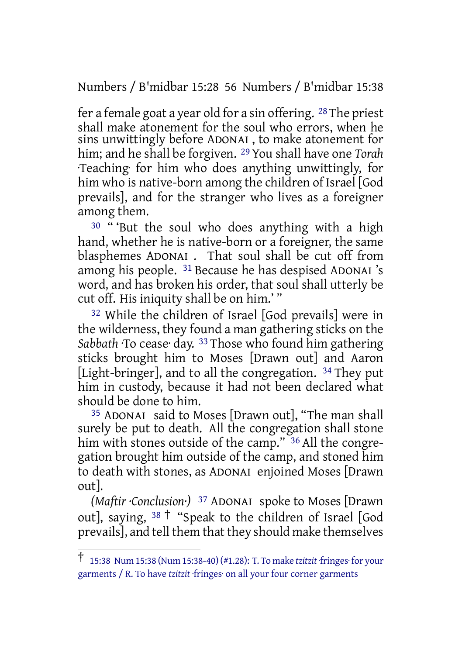Numbers / B'midbar 15:28 56 Numbers / B'midbar 15:38

fer a female goat a year old for a sin offering. 28 The priest shall make atonement for the soul who errors, when he sins unwittingly before ADONAI , to make atonement for him; and he shall be forgiven. 29 You shall have one *Torah* ·Teaching· for him who does anything unwittingly, for him who is native-born among the children of Israel [God prevails], and for the stranger who lives as a foreigner among them.

30 " 'But the soul who does anything with a high hand, whether he is native-born or a foreigner, the same blasphemes ADONAI . That soul shall be cut off from among his people. 31 Because he has despised ADONAI 's word, and has broken his order, that soul shall utterly be cut off. His iniquity shall be on him.' "

32 While the children of Israel [God prevails] were in the wilderness, they found a man gathering sticks on the *Sabbath* ·To cease· day. 33 Those who found him gathering sticks brought him to Moses [Drawn out] and Aaron [Light-bringer], and to all the congregation. <sup>34</sup> They put him in custody, because it had not been declared what should be done to him.

35 ADONAI said to Moses [Drawn out], "The man shall surely be put to death. All the congregation shall stone him with stones outside of the camp." 36 All the congregation brought him outside of the camp, and stoned him to death with stones, as ADONAI enjoined Moses [Drawn out].

*(Maftir ·Conclusion·)* 37 ADONAI spoke to Moses [Drawn out], saying,  $38 \dagger$  "Speak to the children of Israel [God] prevails], and tell them that they should make themselves

<sup>†</sup> 15:38 Num 15:38 (Num 15:38-40) (#1.28): T. To make *tzitzit* ·fringes· for your garments / R. To have *tzitzit* ·fringes· on all your four corner garments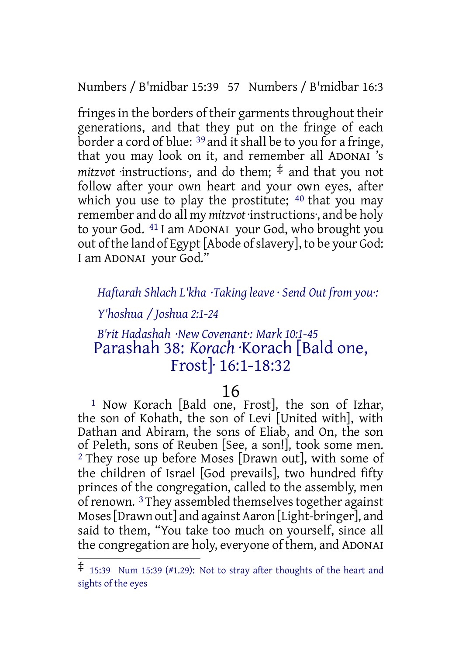Numbers / B'midbar 15:39 57 Numbers / B'midbar 16:3

fringes in the borders of their garments throughout their generations, and that they put on the fringe of each border a cord of blue: <sup>39</sup> and it shall be to you for a fringe, that you may look on it, and remember all ADONAI 's *mitzvot* ·instructions·, and do them; ‡ and that you not follow after your own heart and your own eyes, after which you use to play the prostitute; <sup>40</sup> that you may remember and do all my *mitzvot* ·instructions·, and be holy to your God. 41 I am ADONAI your God, who brought you out of the land of Egypt [Abode of slavery], to be your God: I am ADONAI your God."

# *Haftarah Shlach L'kha ·Taking leave · Send Out from you·:*

## *Y'hoshua / Joshua 2:1-24*

# *B'rit Hadashah ·New Covenant·: Mark 10:1-45* Parashah 38: *Korach* ·Korach [Bald one, Frost]· 16:1-18:32

# 16

1 Now Korach [Bald one, Frost], the son of Izhar, the son of Kohath, the son of Levi [United with], with Dathan and Abiram, the sons of Eliab, and On, the son of Peleth, sons of Reuben [See, a son!], took some men. 2 They rose up before Moses [Drawn out], with some of the children of Israel [God prevails], two hundred fifty princes of the congregation, called to the assembly, men of renown. <sup>3</sup>They assembled themselves together against Moses[Drawn out] and against Aaron [Light-bringer], and said to them, "You take too much on yourself, since all the congregation are holy, everyone of them, and ADONAI

<sup>‡</sup> 15:39 Num 15:39 (#1.29): Not to stray after thoughts of the heart and sights of the eyes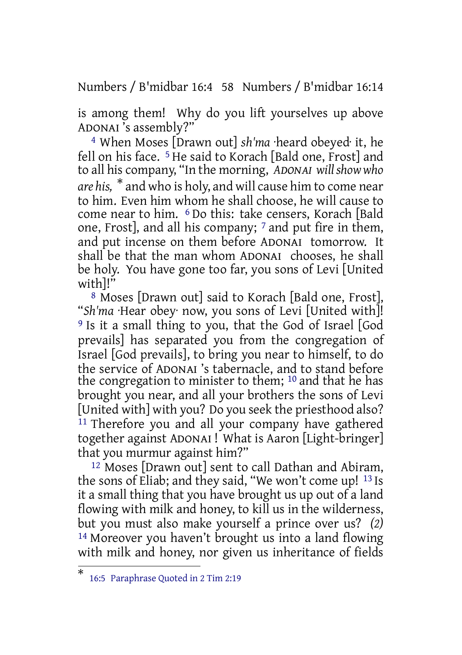Numbers / B'midbar 16:4 58 Numbers / B'midbar 16:14

is among them! Why do you lift yourselves up above ADONAI 's assembly?"

4 When Moses [Drawn out] *sh'ma* ·heard obeyed· it, he fell on his face. 5 He said to Korach [Bald one, Frost] and to all his company, "In the morning, *ADONAI willshow who are his,* \* and who is holy, and will cause him to come near to him. Even him whom he shall choose, he will cause to come near to him. 6 Do this: take censers, Korach [Bald one, Frost], and all his company;  $\frac{7}{7}$  and put fire in them, and put incense on them before ADONAI tomorrow. It shall be that the man whom ADONAI chooses, he shall be holy. You have gone too far, you sons of Levi [United with]!"

8 Moses [Drawn out] said to Korach [Bald one, Frost], "*Sh'ma* ·Hear obey· now, you sons of Levi [United with]! 9 Is it a small thing to you, that the God of Israel [God prevails] has separated you from the congregation of Israel [God prevails], to bring you near to himself, to do the service of ADONAI 's tabernacle, and to stand before the congregation to minister to them; <sup>10</sup> and that he has brought you near, and all your brothers the sons of Levi [United with] with you? Do you seek the priesthood also? <sup>11</sup> Therefore you and all your company have gathered together against ADONAI ! What is Aaron [Light-bringer] that you murmur against him?"

12 Moses [Drawn out] sent to call Dathan and Abiram, the sons of Eliab; and they said, "We won't come up! 13 Is it a small thing that you have brought us up out of a land flowing with milk and honey, to kill us in the wilderness, but you must also make yourself a prince over us? *(2)* 14 Moreover you haven't brought us into a land flowing with milk and honey, nor given us inheritance of fields

<sup>\*</sup> 16:5 Paraphrase Quoted in 2 Tim 2:19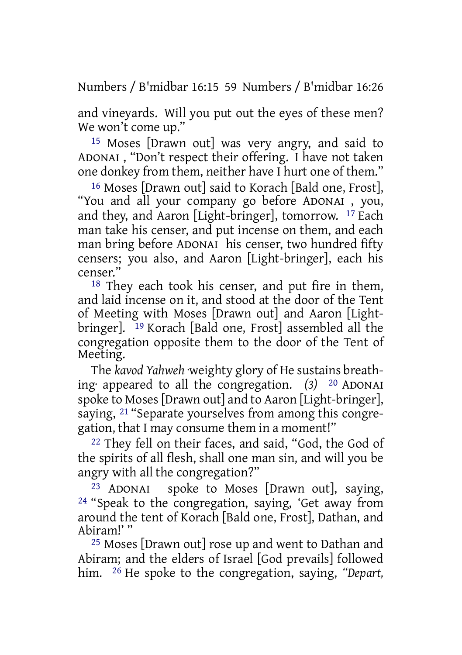Numbers / B'midbar 16:15 59 Numbers / B'midbar 16:26

and vineyards. Will you put out the eyes of these men? We won't come up."

15 Moses [Drawn out] was very angry, and said to ADONAI , "Don't respect their offering. I have not taken one donkey from them, neither have I hurt one of them."

16 Moses [Drawn out] said to Korach [Bald one, Frost], "You and all your company go before ADONAI , you, and they, and Aaron [Light-bringer], tomorrow. 17 Each man take his censer, and put incense on them, and each man bring before ADONAI his censer, two hundred fifty censers; you also, and Aaron [Light-bringer], each his censer."

18 They each took his censer, and put fire in them, and laid incense on it, and stood at the door of the Tent of Meeting with Moses [Drawn out] and Aaron [Lightbringer]. 19 Korach [Bald one, Frost] assembled all the congregation opposite them to the door of the Tent of Meeting.

The *kavod Yahweh* ·weighty glory of He sustains breathing· appeared to all the congregation. *(3)* 20 ADONAI spoke to Moses [Drawn out] and to Aaron [Light-bringer], saying, 21 "Separate yourselves from among this congregation, that I may consume them in a moment!"

22 They fell on their faces, and said, "God, the God of the spirits of all flesh, shall one man sin, and will you be angry with all the congregation?"

23 ADONAI spoke to Moses [Drawn out], saying, 24 "Speak to the congregation, saying, 'Get away from around the tent of Korach [Bald one, Frost], Dathan, and Abiram!' "

25 Moses [Drawn out] rose up and went to Dathan and Abiram; and the elders of Israel [God prevails] followed him. 26 He spoke to the congregation, saying, *"Depart,*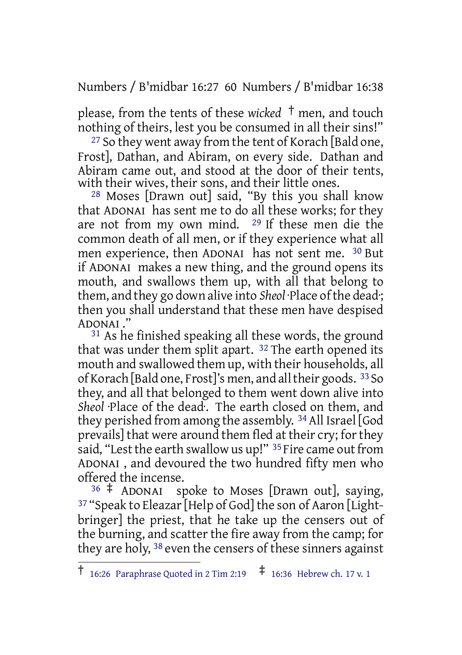Numbers / B'midbar 16:27 60 Numbers / B'midbar 16:38

please, from the tents of these *wicked* † men, and touch nothing of theirs, lest you be consumed in all their sins!"

<sup>27</sup> So they went away from the tent of Korach [Bald one, Frost], Dathan, and Abiram, on every side. Dathan and Abiram came out, and stood at the door of their tents, with their wives, their sons, and their little ones.

28 Moses [Drawn out] said, "By this you shall know that ADONAI has sent me to do all these works; for they are not from my own mind. 29 If these men die the common death of all men, or if they experience what all men experience, then ADONAI has not sent me. 30 But if ADONAI makes a new thing, and the ground opens its mouth, and swallows them up, with all that belong to them, and they go down alive into *Sheol* Place of the dead; then you shall understand that these men have despised ADONAI ."

<sup>31</sup> As he finished speaking all these words, the ground that was under them split apart. 32 The earth opened its mouth and swallowed them up, with their households, all of Korach [Bald one, Frost]'s men, and alltheir goods. 33So they, and all that belonged to them went down alive into *Sheol* ·Place of the dead·. The earth closed on them, and they perished from among the assembly. 34All Israel [God prevails] that were around them fled at their cry; for they said, "Lest the earth swallow us up!" <sup>35</sup> Fire came out from ADONAI , and devoured the two hundred fifty men who offered the incense.

<sup>36</sup> ‡ ADONAI spoke to Moses [Drawn out], saying, 37 "Speak to Eleazar[Help of God] the son of Aaron [Lightbringer] the priest, that he take up the censers out of the burning, and scatter the fire away from the camp; for they are holy, 38 even the censers of these sinners against

 $\dagger$  16:26 Paraphrase Quoted in 2 Tim 2:19  $\ddagger$  16:36 Hebrew ch. 17 v. 1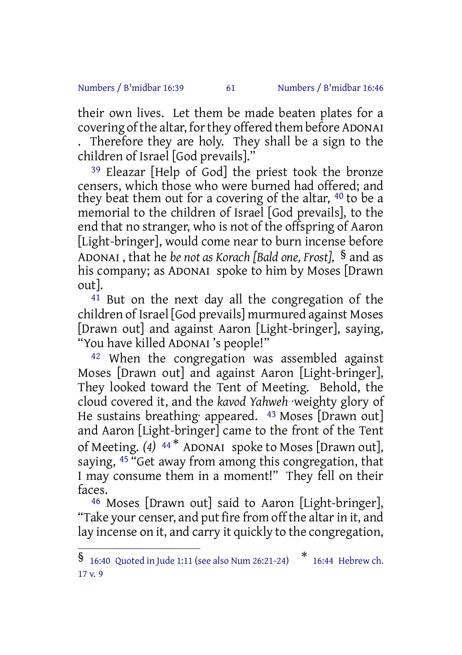## Numbers / B'midbar 16:39 61 Numbers / B'midbar 16:46

their own lives. Let them be made beaten plates for a covering of the altar, for they offered them before ADONAI . Therefore they are holy. They shall be a sign to the children of Israel [God prevails]."

39 Eleazar [Help of God] the priest took the bronze censers, which those who were burned had offered; and they beat them out for a covering of the altar, 40 to be a memorial to the children of Israel [God prevails], to the end that no stranger, who is not of the offspring of Aaron [Light-bringer], would come near to burn incense before ADONAI , that he *be not as Korach [Bald one, Frost],* § and as his company; as ADONAI spoke to him by Moses [Drawn out].

<sup>41</sup> But on the next day all the congregation of the children of Israel [God prevails] murmured against Moses [Drawn out] and against Aaron [Light-bringer], saying, "You have killed ADONAI 's people!"

42 When the congregation was assembled against Moses [Drawn out] and against Aaron [Light-bringer], They looked toward the Tent of Meeting. Behold, the cloud covered it, and the *kavod Yahweh* ·weighty glory of He sustains breathing· appeared. 43 Moses [Drawn out] and Aaron [Light-bringer] came to the front of the Tent of Meeting. *(4)* <sup>44</sup> \* ADONAI spoke to Moses [Drawn out], saying,  $45$  "Get away from among this congregation, that I may consume them in a moment!" They fell on their faces.

46 Moses [Drawn out] said to Aaron [Light-bringer], "Take your censer, and put fire from off the altar in it, and lay incense on it, and carry it quickly to the congregation,

<sup>§</sup> 16:40 Quoted in Jude 1:11 (see also Num 26:21-24) \* 16:44 Hebrew ch. 17 v. 9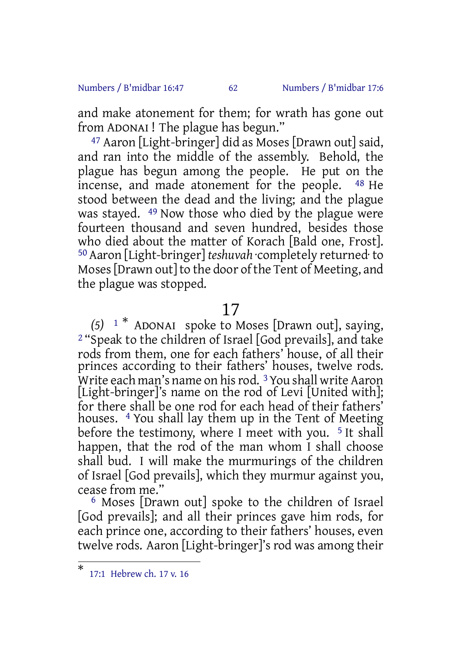### Numbers / B'midbar 16:47 62 Numbers / B'midbar 17:6

and make atonement for them; for wrath has gone out from ADONAI ! The plague has begun."

47 Aaron [Light-bringer] did as Moses [Drawn out] said, and ran into the middle of the assembly. Behold, the plague has begun among the people. He put on the incense, and made atonement for the people. 48 He stood between the dead and the living; and the plague was stayed. 49 Now those who died by the plague were fourteen thousand and seven hundred, besides those who died about the matter of Korach [Bald one, Frost]. 50Aaron [Light-bringer] *teshuvah* ·completely returned· to Moses [Drawn out] to the door of the Tent of Meeting, and the plague was stopped.

# 17

*(5)* <sup>1</sup> \* ADONAI spoke to Moses [Drawn out], saying, 2 "Speak to the children of Israel [God prevails], and take rods from them, one for each fathers' house, of all their princes according to their fathers' houses, twelve rods. Write each man's name on hisrod. 3You shall write Aaron [Light-bringer]'s name on the rod of Levi [United with]; for there shall be one rod for each head of their fathers' houses. 4 You shall lay them up in the Tent of Meeting before the testimony, where I meet with you.  $5$  It shall happen, that the rod of the man whom I shall choose shall bud. I will make the murmurings of the children of Israel [God prevails], which they murmur against you, cease from me."

6 Moses [Drawn out] spoke to the children of Israel [God prevails]; and all their princes gave him rods, for each prince one, according to their fathers' houses, even twelve rods. Aaron [Light-bringer]'s rod was among their

<sup>\*</sup> 17:1 Hebrew ch. 17 v. 16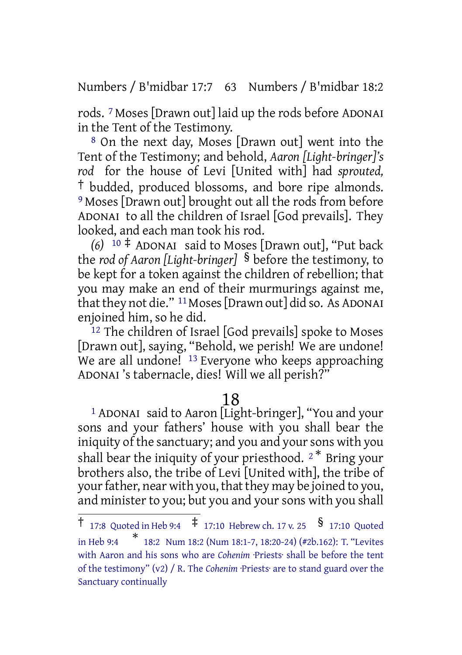Numbers / B'midbar 17:7 63 Numbers / B'midbar 18:2

rods. 7 Moses [Drawn out] laid up the rods before ADONAI in the Tent of the Testimony.

8 On the next day, Moses [Drawn out] went into the Tent of the Testimony; and behold, *Aaron [Light-bringer]'s rod* for the house of Levi [United with] had *sprouted,* † budded, produced blossoms, and bore ripe almonds. 9 Moses [Drawn out] brought out all the rods from before ADONAI to all the children of Israel [God prevails]. They looked, and each man took his rod.

*(6)* <sup>10</sup> ‡ ADONAI said to Moses [Drawn out], "Put back the *rod of Aaron [Light-bringer]* § before the testimony, to be kept for a token against the children of rebellion; that you may make an end of their murmurings against me, that they not die." <sup>11</sup> Moses [Drawn out] did so. As ADONAI enjoined him, so he did.

12 The children of Israel [God prevails] spoke to Moses [Drawn out], saying, "Behold, we perish! We are undone! We are all undone! <sup>13</sup> Everyone who keeps approaching ADONAI 's tabernacle, dies! Will we all perish?"

# 18

1 ADONAI said to Aaron [Light-bringer], "You and your sons and your fathers' house with you shall bear the iniquity of the sanctuary; and you and your sons with you shall bear the iniquity of your priesthood.  $2^*$  Bring your brothers also, the tribe of Levi [United with], the tribe of your father, near with you, that they may be joined to you, and minister to you; but you and your sons with you shall

<sup>†</sup> 17:8 Quoted in Heb 9:4 ‡ 17:10 Hebrew ch. <sup>17</sup> v. <sup>25</sup> § 17:10 Quoted in Heb 9:4 \* 18:2 Num 18:2 (Num 18:1-7, 18:20-24) (#2b.162): T. "Levites with Aaron and his sons who are *Cohenim* ·Priests· shall be before the tent of the testimony" (v2) / R. The *Cohenim* ·Priests· are to stand guard over the Sanctuary continually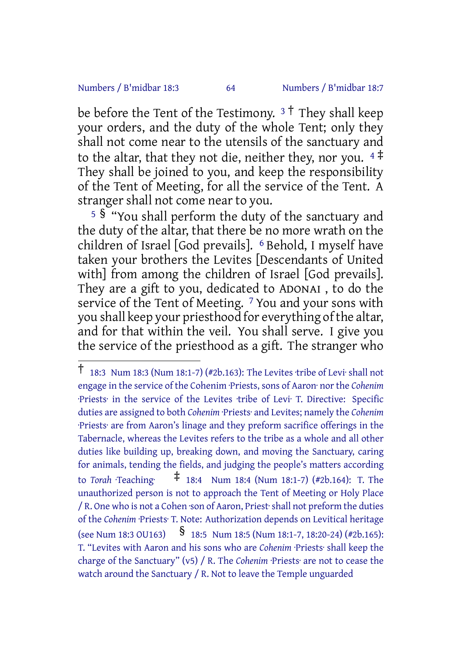### Numbers / B'midbar 18:3 64 Numbers / B'midbar 18:7

be before the Tent of the Testimony.  $3^{\dagger}$  They shall keep your orders, and the duty of the whole Tent; only they shall not come near to the utensils of the sanctuary and to the altar, that they not die, neither they, nor you.  $4\ddot$ They shall be joined to you, and keep the responsibility of the Tent of Meeting, for all the service of the Tent. A stranger shall not come near to you.

<sup>5</sup> § "You shall perform the duty of the sanctuary and the duty of the altar, that there be no more wrath on the children of Israel [God prevails]. 6 Behold, I myself have taken your brothers the Levites [Descendants of United with] from among the children of Israel [God prevails]. They are a gift to you, dedicated to ADONAI , to do the service of the Tent of Meeting. <sup>7</sup> You and your sons with you shall keep your priesthood for everything of the altar, and for that within the veil. You shall serve. I give you the service of the priesthood as a gift. The stranger who

 $\dagger$  18:3 Num 18:3 (Num 18:1-7) (#2b.163): The Levites tribe of Levi· shall not engage in the service of the Cohenim ·Priests, sons of Aaron· nor the *Cohenim* ·Priests· in the service of the Levites ·tribe of Levi· T. Directive: Specific duties are assigned to both *Cohenim* ·Priests· and Levites; namely the *Cohenim* ·Priests· are from Aaron's linage and they preform sacrifice offerings in the Tabernacle, whereas the Levites refers to the tribe as a whole and all other duties like building up, breaking down, and moving the Sanctuary, caring for animals, tending the fields, and judging the people's matters according to *Torah* ·Teaching· ‡ 18:4 Num 18:4 (Num 18:1-7) (#2b.164): T. The unauthorized person is not to approach the Tent of Meeting or Holy Place / R. One who is not a Cohen ·son of Aaron, Priest·shall not preform the duties of the *Cohenim* ·Priests· T. Note: Authorization depends on Levitical heritage (see Num 18:3 OU163) § 18:5 Num 18:5 (Num 18:1-7, 18:20-24) (#2b.165): T. "Levites with Aaron and his sons who are *Cohenim* ·Priests· shall keep the charge of the Sanctuary" (v5) / R. The *Cohenim* ·Priests· are not to cease the watch around the Sanctuary / R. Not to leave the Temple unguarded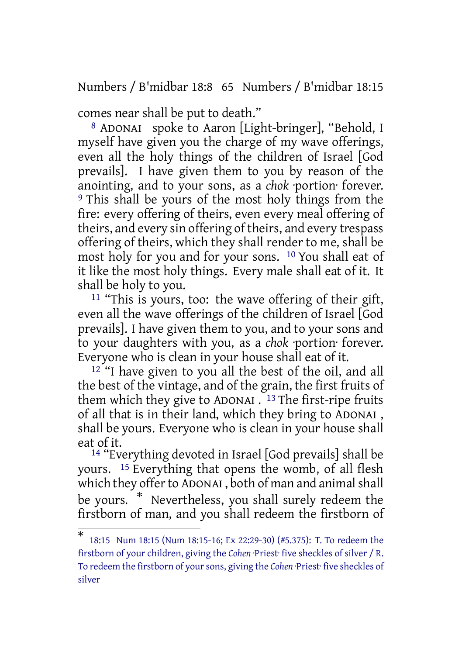Numbers / B'midbar 18:8 65 Numbers / B'midbar 18:15

comes near shall be put to death."

8 ADONAI spoke to Aaron [Light-bringer], "Behold, I myself have given you the charge of my wave offerings, even all the holy things of the children of Israel [God prevails]. I have given them to you by reason of the anointing, and to your sons, as a *chok* ·portion· forever. 9 This shall be yours of the most holy things from the fire: every offering of theirs, even every meal offering of theirs, and every sin offering of theirs, and every trespass offering of theirs, which they shall render to me, shall be most holy for you and for your sons. 10 You shall eat of it like the most holy things. Every male shall eat of it. It shall be holy to you.

 $11$  "This is yours, too: the wave offering of their gift, even all the wave offerings of the children of Israel [God prevails]. I have given them to you, and to your sons and to your daughters with you, as a *chok* ·portion· forever. Everyone who is clean in your house shall eat of it.

12 "I have given to you all the best of the oil, and all the best of the vintage, and of the grain, the first fruits of them which they give to ADONAI . 13 The first-ripe fruits of all that is in their land, which they bring to ADONAI , shall be yours. Everyone who is clean in your house shall eat of it.

14 "Everything devoted in Israel [God prevails] shall be yours. 15 Everything that opens the womb, of all flesh which they offer to ADONAI, both of man and animal shall be yours. \* Nevertheless, you shall surely redeem the firstborn of man, and you shall redeem the firstborn of

<sup>\*</sup> 18:15 Num 18:15 (Num 18:15-16; Ex 22:29-30) (#5.375): T. To redeem the firstborn of your children, giving the *Cohen* ·Priest· five sheckles of silver / R. To redeem the firstborn of your sons, giving the *Cohen* ·Priest· five sheckles of silver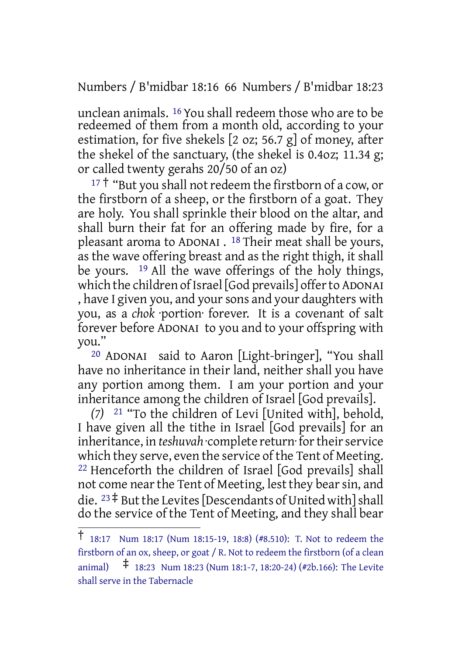Numbers / B'midbar 18:16 66 Numbers / B'midbar 18:23

unclean animals. 16 You shall redeem those who are to be redeemed of them from a month old, according to your estimation, for five shekels [2 oz; 56.7 g] of money, after the shekel of the sanctuary, (the shekel is 0.4oz; 11.34 g; or called twenty gerahs 20/50 of an oz)

 $17 \dagger$  "But you shall not redeem the firstborn of a cow, or the firstborn of a sheep, or the firstborn of a goat. They are holy. You shall sprinkle their blood on the altar, and shall burn their fat for an offering made by fire, for a pleasant aroma to ADONAI . 18 Their meat shall be yours, as the wave offering breast and as the right thigh, it shall be yours. 19 All the wave offerings of the holy things, which the children of Israel [God prevails] offerto ADONAI , have I given you, and your sons and your daughters with you, as a *chok* ·portion· forever. It is a covenant of salt forever before ADONAI to you and to your offspring with you."

20 ADONAI said to Aaron [Light-bringer], "You shall have no inheritance in their land, neither shall you have any portion among them. I am your portion and your inheritance among the children of Israel [God prevails].

*(7)* 21 "To the children of Levi [United with], behold, I have given all the tithe in Israel [God prevails] for an inheritance, in *teshuvah* complete return for their service which they serve, even the service of the Tent of Meeting. 22 Henceforth the children of Israel [God prevails] shall not come nearthe Tent of Meeting, lest they bearsin, and die.  $23 \ddagger$  But the Levites [Descendants of United with] shall do the service of the Tent of Meeting, and they shall bear

<sup>†</sup> 18:17 Num 18:17 (Num 18:15-19, 18:8) (#8.510): T. Not to redeem the firstborn of an ox, sheep, or goat / R. Not to redeem the firstborn (of a clean animal) ‡ 18:23 Num 18:23 (Num 18:1-7, 18:20-24) (#2b.166): The Levite shall serve in the Tabernacle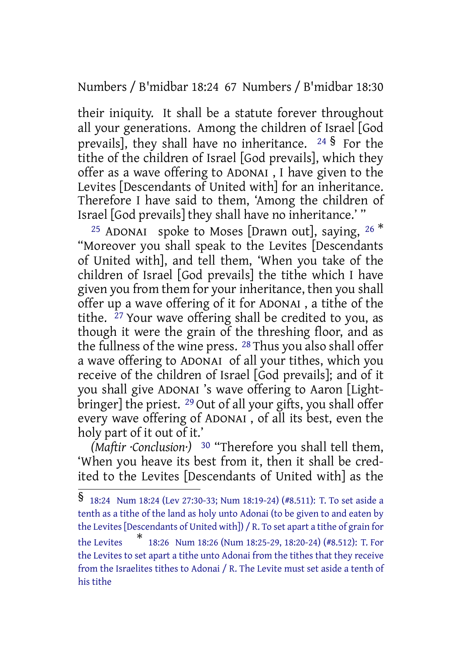Numbers / B'midbar 18:24 67 Numbers / B'midbar 18:30

their iniquity. It shall be a statute forever throughout all your generations. Among the children of Israel [God prevails], they shall have no inheritance.  $24\frac{1}{3}$  For the tithe of the children of Israel [God prevails], which they offer as a wave offering to ADONAI , I have given to the Levites [Descendants of United with] for an inheritance. Therefore I have said to them, 'Among the children of Israel [God prevails] they shall have no inheritance.' "

<sup>25</sup> ADONAI spoke to Moses [Drawn out], saying,  $26$ <sup>\*</sup> "Moreover you shall speak to the Levites [Descendants of United with], and tell them, 'When you take of the children of Israel [God prevails] the tithe which I have given you from them for your inheritance, then you shall offer up a wave offering of it for ADONAI , a tithe of the tithe. 27 Your wave offering shall be credited to you, as though it were the grain of the threshing floor, and as the fullness of the wine press. 28 Thus you also shall offer a wave offering to ADONAI of all your tithes, which you receive of the children of Israel [God prevails]; and of it you shall give ADONAI 's wave offering to Aaron [Lightbringer] the priest. 29 Out of all your gifts, you shall offer every wave offering of ADONAI , of all its best, even the holy part of it out of it.'

*(Maftir ·Conclusion·)* 30 "Therefore you shall tell them, 'When you heave its best from it, then it shall be credited to the Levites [Descendants of United with] as the

<sup>§</sup> 18:24 Num 18:24 (Lev 27:30-33; Num 18:19-24) (#8.511): T. To set aside <sup>a</sup> tenth as a tithe of the land as holy unto Adonai (to be given to and eaten by the Levites [Descendants of United with]) / R. To set apart a tithe of grain for the Levites \* 18:26 Num 18:26 (Num 18:25-29, 18:20-24) (#8.512): T. For the Levites to set apart a tithe unto Adonai from the tithes that they receive from the Israelites tithes to Adonai / R. The Levite must set aside a tenth of his tithe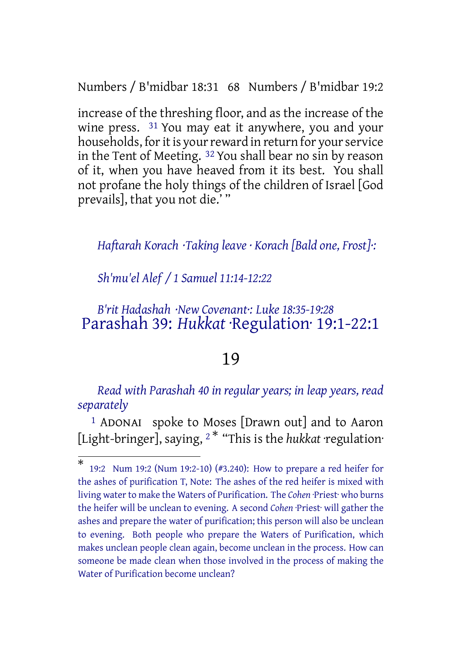Numbers / B'midbar 18:31 68 Numbers / B'midbar 19:2

increase of the threshing floor, and as the increase of the wine press. 31 You may eat it anywhere, you and your households, for it is your reward in return for your service in the Tent of Meeting. 32 You shall bear no sin by reason of it, when you have heaved from it its best. You shall not profane the holy things of the children of Israel [God prevails], that you not die.' "

# *Haftarah Korach ·Taking leave · Korach [Bald one, Frost]·:*

*Sh'mu'el Alef / 1 Samuel 11:14-12:22*

# *B'rit Hadashah ·New Covenant·: Luke 18:35-19:28* Parashah 39: *Hukkat* ·Regulation· 19:1-22:1

# 19

*Read with Parashah 40 in regular years; in leap years, read separately*

1 ADONAI spoke to Moses [Drawn out] and to Aaron [Light-bringer], saying, <sup>2</sup> \* "This is the *hukkat* ·regulation·

<sup>\*</sup> 19:2 Num 19:2 (Num 19:2-10) (#3.240): How to prepare a red heifer for the ashes of purification T, Note: The ashes of the red heifer is mixed with living water to make the Waters of Purification. The *Cohen* ·Priest· who burns the heifer will be unclean to evening. A second *Cohen* ·Priest· will gather the ashes and prepare the water of purification; this person will also be unclean to evening. Both people who prepare the Waters of Purification, which makes unclean people clean again, become unclean in the process. How can someone be made clean when those involved in the process of making the Water of Purification become unclean?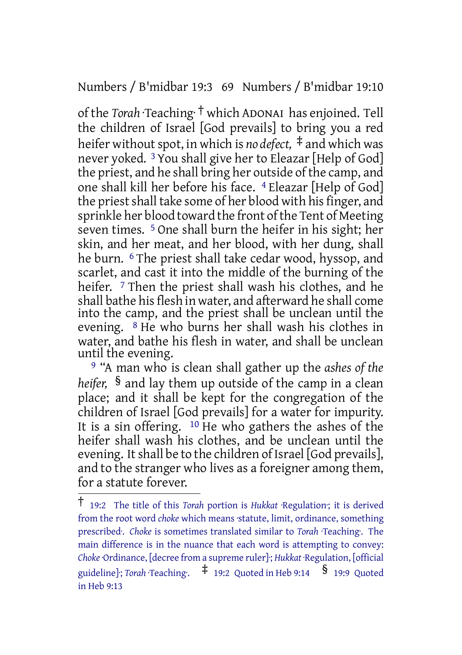Numbers / B'midbar 19:3 69 Numbers / B'midbar 19:10

of the *Torah* ·Teaching· † which ADONAI has enjoined. Tell the children of Israel [God prevails] to bring you a red heifer without spot, in which is *no* defect,  $\ddagger$  and which was never yoked. 3 You shall give her to Eleazar [Help of God] the priest, and he shall bring her outside of the camp, and one shall kill her before his face. 4 Eleazar [Help of God] the priest shall take some of her blood with his finger, and sprinkle her blood toward the front of the Tent of Meeting seven times. 5 One shall burn the heifer in his sight; her skin, and her meat, and her blood, with her dung, shall he burn. <sup>6</sup> The priest shall take cedar wood, hyssop, and scarlet, and cast it into the middle of the burning of the heifer. <sup>7</sup> Then the priest shall wash his clothes, and he shall bathe his flesh in water, and afterward he shall come into the camp, and the priest shall be unclean until the evening. 8 He who burns her shall wash his clothes in water, and bathe his flesh in water, and shall be unclean until the evening.

9 "A man who is clean shall gather up the *ashes of the heifer,* § and lay them up outside of the camp in a clean place; and it shall be kept for the congregation of the children of Israel [God prevails] for a water for impurity. It is a sin offering.  $10$  He who gathers the ashes of the heifer shall wash his clothes, and be unclean until the evening. It shall be to the children of Israel [God prevails], and to the stranger who lives as a foreigner among them, for a statute forever.

<sup>†</sup> 19:2 The title of this *Torah* portion is *Hukkat* ·Regulation·; it is derived from the root word *choke* which means ·statute, limit, ordinance, something prescribed·. *Choke* is sometimes translated similar to *Torah* ·Teaching·. The main difference is in the nuance that each word is attempting to convey: *Choke*·Ordinance, [decree from a supreme ruler]·; *Hukkat* ·Regulation, [official guideline]·; *Torah* ·Teaching·. ‡ 19:2 Quoted in Heb 9:14 § 19:9 Quoted in Heb 9:13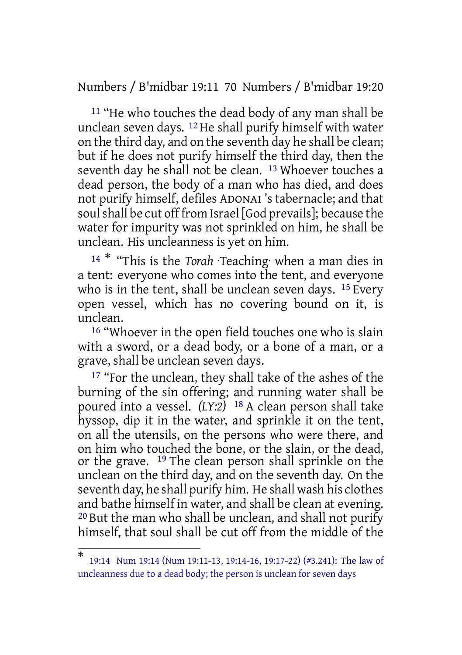Numbers / B'midbar 19:11 70 Numbers / B'midbar 19:20

11 "He who touches the dead body of any man shall be unclean seven days. 12 He shall purify himself with water on the third day, and on the seventh day he shall be clean; but if he does not purify himself the third day, then the seventh day he shall not be clean. 13 Whoever touches a dead person, the body of a man who has died, and does not purify himself, defiles ADONAI 's tabernacle; and that soul shall be cut off from Israel [God prevails]; because the water for impurity was not sprinkled on him, he shall be unclean. His uncleanness is yet on him.

<sup>14</sup> \* "This is the *Torah* ·Teaching· when a man dies in a tent: everyone who comes into the tent, and everyone who is in the tent, shall be unclean seven days. <sup>15</sup> Every open vessel, which has no covering bound on it, is unclean.

<sup>16</sup> "Whoever in the open field touches one who is slain with a sword, or a dead body, or a bone of a man, or a grave, shall be unclean seven days.

<sup>17</sup> "For the unclean, they shall take of the ashes of the burning of the sin offering; and running water shall be poured into a vessel. *(LY:2)* 18 A clean person shall take hyssop, dip it in the water, and sprinkle it on the tent, on all the utensils, on the persons who were there, and on him who touched the bone, or the slain, or the dead, or the grave. 19 The clean person shall sprinkle on the unclean on the third day, and on the seventh day. On the seventh day, he shall purify him. He shall wash his clothes and bathe himself in water, and shall be clean at evening. 20 But the man who shall be unclean, and shall not purify himself, that soul shall be cut off from the middle of the

<sup>\*</sup> 19:14 Num 19:14 (Num 19:11-13, 19:14-16, 19:17-22) (#3.241): The law of uncleanness due to a dead body; the person is unclean for seven days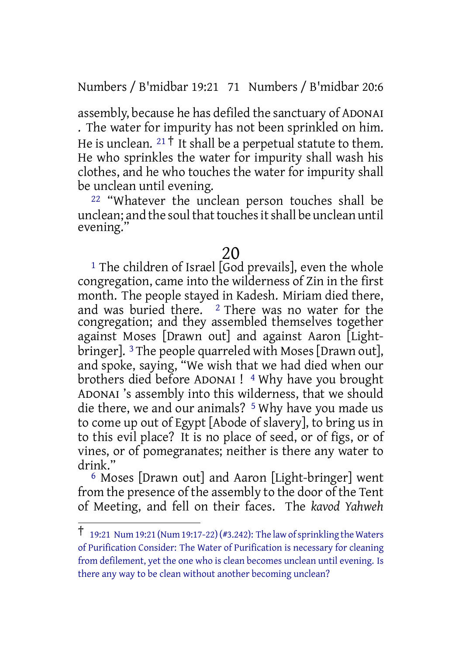Numbers / B'midbar 19:21 71 Numbers / B'midbar 20:6

assembly, because he has defiled the sanctuary of ADONAI . The water for impurity has not been sprinkled on him. He is unclean.  $21 \dagger$  It shall be a perpetual statute to them. He who sprinkles the water for impurity shall wash his clothes, and he who touches the water for impurity shall be unclean until evening.

22 "Whatever the unclean person touches shall be unclean; and the soul that touches it shall be unclean until evening.'

# 20

<sup>1</sup> The children of Israel [God prevails], even the whole congregation, came into the wilderness of Zin in the first month. The people stayed in Kadesh. Miriam died there, and was buried there. <sup>2</sup> There was no water for the congregation; and they assembled themselves together against Moses [Drawn out] and against Aaron [Lightbringer]. 3 The people quarreled with Moses [Drawn out], and spoke, saying, "We wish that we had died when our brothers died before ADONAI ! 4 Why have you brought ADONAI 's assembly into this wilderness, that we should die there, we and our animals? 5 Why have you made us to come up out of Egypt [Abode of slavery], to bring us in to this evil place? It is no place of seed, or of figs, or of vines, or of pomegranates; neither is there any water to drink."

6 Moses [Drawn out] and Aaron [Light-bringer] went from the presence of the assembly to the door of the Tent of Meeting, and fell on their faces. The *kavod Yahweh*

<sup>†</sup> 19:21 Num 19:21 (Num 19:17-22)(#3.242): The law ofsprinkling the Waters of Purification Consider: The Water of Purification is necessary for cleaning from defilement, yet the one who is clean becomes unclean until evening. Is there any way to be clean without another becoming unclean?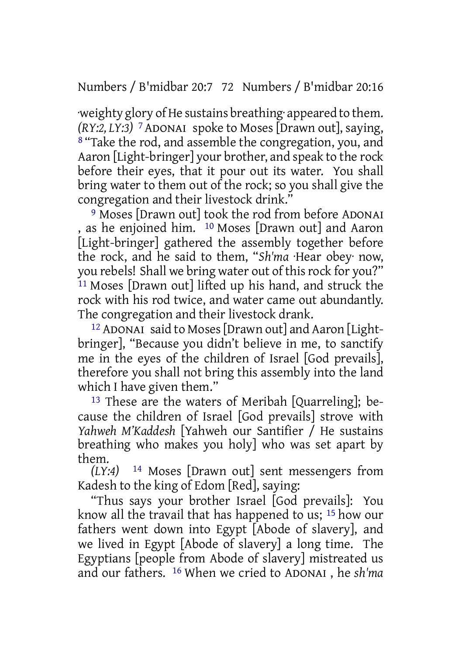Numbers / B'midbar 20:7 72 Numbers / B'midbar 20:16

·weighty glory ofHe sustains breathing· appeared to them. *(RY:2, LY:3)* 7ADONAI spoke to Moses [Drawn out], saying, 8 "Take the rod, and assemble the congregation, you, and Aaron [Light-bringer] your brother, and speak to the rock before their eyes, that it pour out its water. You shall bring water to them out of the rock; so you shall give the congregation and their livestock drink."

9 Moses [Drawn out] took the rod from before ADONAI , as he enjoined him. 10 Moses [Drawn out] and Aaron [Light-bringer] gathered the assembly together before the rock, and he said to them, "*Sh'ma* ·Hear obey· now, you rebels! Shall we bring water out of thisrock for you?" <sup>11</sup> Moses [Drawn out] lifted up his hand, and struck the rock with his rod twice, and water came out abundantly. The congregation and their livestock drank.

12 ADONAI said to Moses[Drawn out] and Aaron [Lightbringer], "Because you didn't believe in me, to sanctify me in the eyes of the children of Israel [God prevails], therefore you shall not bring this assembly into the land which I have given them."

13 These are the waters of Meribah [Quarreling]; because the children of Israel [God prevails] strove with *Yahweh M'Kaddesh* [Yahweh our Santifier / He sustains breathing who makes you holy] who was set apart by them.

*(LY:4)* 14 Moses [Drawn out] sent messengers from Kadesh to the king of Edom [Red], saying:

"Thus says your brother Israel [God prevails]: You know all the travail that has happened to us; 15 how our fathers went down into Egypt [Abode of slavery], and we lived in Egypt [Abode of slavery] a long time. The Egyptians [people from Abode of slavery] mistreated us and our fathers. 16 When we cried to ADONAI , he *sh'ma*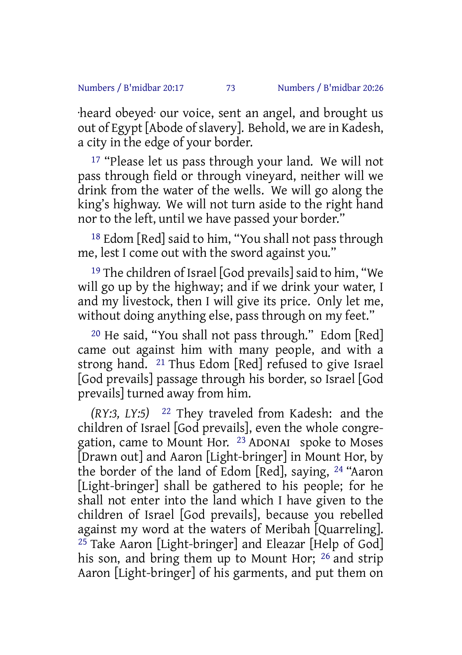·heard obeyed· our voice, sent an angel, and brought us out of Egypt [Abode of slavery]. Behold, we are in Kadesh, a city in the edge of your border.

17 "Please let us pass through your land. We will not pass through field or through vineyard, neither will we drink from the water of the wells. We will go along the king's highway. We will not turn aside to the right hand nor to the left, until we have passed your border."

18 Edom [Red] said to him, "You shall not pass through me, lest I come out with the sword against you."

19 The children of Israel [God prevails] said to him, "We will go up by the highway; and if we drink your water, I and my livestock, then I will give its price. Only let me, without doing anything else, pass through on my feet."

20 He said, "You shall not pass through." Edom [Red] came out against him with many people, and with a strong hand. 21 Thus Edom [Red] refused to give Israel [God prevails] passage through his border, so Israel [God prevails] turned away from him.

*(RY:3, LY:5)* 22 They traveled from Kadesh: and the children of Israel [God prevails], even the whole congregation, came to Mount Hor. 23 ADONAI spoke to Moses [Drawn out] and Aaron [Light-bringer] in Mount Hor, by the border of the land of Edom [Red], saying, 24 "Aaron [Light-bringer] shall be gathered to his people; for he shall not enter into the land which I have given to the children of Israel [God prevails], because you rebelled against my word at the waters of Meribah [Quarreling].  $25$  Take Aaron [Light-bringer] and Eleazar [Help of God] his son, and bring them up to Mount Hor; 26 and strip Aaron [Light-bringer] of his garments, and put them on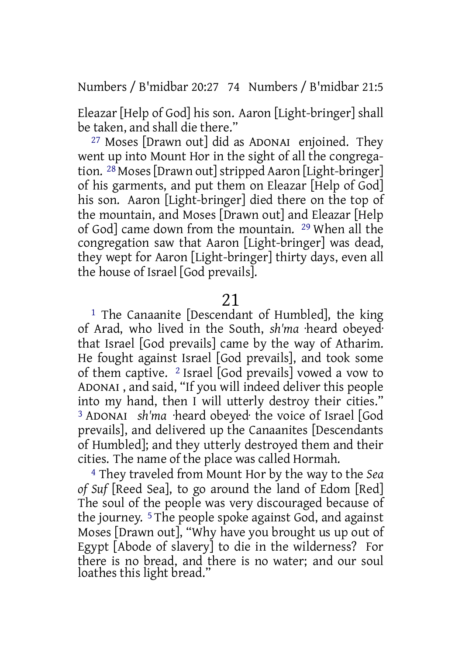Numbers / B'midbar 20:27 74 Numbers / B'midbar 21:5

Eleazar [Help of God] his son. Aaron [Light-bringer] shall be taken, and shall die there."

27 Moses [Drawn out] did as ADONAI enjoined. They went up into Mount Hor in the sight of all the congregation. 28 Moses[Drawn out]stripped Aaron [Light-bringer] of his garments, and put them on Eleazar [Help of God] his son. Aaron [Light-bringer] died there on the top of the mountain, and Moses [Drawn out] and Eleazar [Help of God] came down from the mountain. 29 When all the congregation saw that Aaron [Light-bringer] was dead, they wept for Aaron [Light-bringer] thirty days, even all the house of Israel [God prevails].

21

1 The Canaanite [Descendant of Humbled], the king of Arad, who lived in the South, *sh'ma* ·heard obeyed· that Israel [God prevails] came by the way of Atharim. He fought against Israel [God prevails], and took some of them captive. 2 Israel [God prevails] vowed a vow to ADONAI , and said, "If you will indeed deliver this people into my hand, then I will utterly destroy their cities." <sup>3</sup> ADONAI *sh'ma* ·heard obeyed· the voice of Israel [God prevails], and delivered up the Canaanites [Descendants of Humbled]; and they utterly destroyed them and their cities. The name of the place was called Hormah.

4 They traveled from Mount Hor by the way to the *Sea of Suf* [Reed Sea], to go around the land of Edom [Red] The soul of the people was very discouraged because of the journey. 5 The people spoke against God, and against Moses [Drawn out], "Why have you brought us up out of Egypt [Abode of slavery] to die in the wilderness? For there is no bread, and there is no water; and our soul loathes this light bread."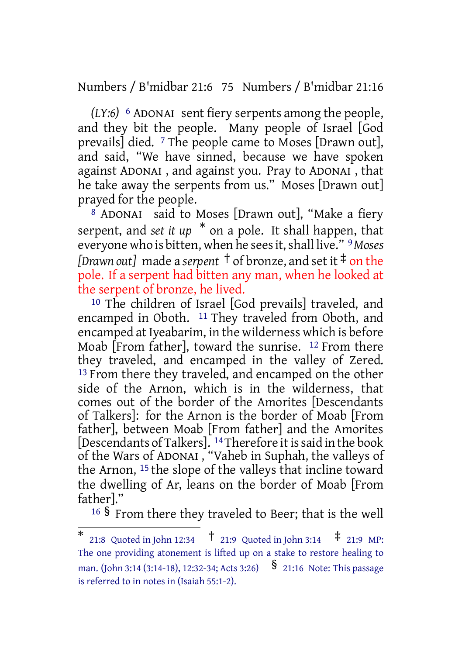Numbers / B'midbar 21:6 75 Numbers / B'midbar 21:16

*(LY:6)* 6 ADONAI sent fiery serpents among the people, and they bit the people. Many people of Israel [God prevails] died. 7 The people came to Moses [Drawn out], and said, "We have sinned, because we have spoken against ADONAI , and against you. Pray to ADONAI , that he take away the serpents from us." Moses [Drawn out] prayed for the people.

8 ADONAI said to Moses [Drawn out], "Make a fiery serpent, and *set it up* \* on a pole. It shall happen, that everyone who is bitten, when he seesit,shall live." 9*Moses [Drawn out]* made a *serpent* † of bronze, and set it ‡ on the pole. If a serpent had bitten any man, when he looked at the serpent of bronze, he lived.

10 The children of Israel [God prevails] traveled, and encamped in Oboth. <sup>11</sup> They traveled from Oboth, and encamped at Iyeabarim, in the wilderness which is before Moab [From father], toward the sunrise. 12 From there they traveled, and encamped in the valley of Zered. <sup>13</sup> From there they traveled, and encamped on the other side of the Arnon, which is in the wilderness, that comes out of the border of the Amorites [Descendants of Talkers]: for the Arnon is the border of Moab [From father], between Moab [From father] and the Amorites [Descendants of Talkers]. <sup>14</sup> Therefore it is said in the book of the Wars of ADONAI , "Vaheb in Suphah, the valleys of the Arnon, 15 the slope of the valleys that incline toward the dwelling of Ar, leans on the border of Moab [From father]."

<sup>16</sup> § From there they traveled to Beer; that is the well

<sup>\*</sup> 21:8 Quoted in John 12:34 † 21:9 Quoted in John 3:14 ‡ 21:9 MP: The one providing atonement is lifted up on a stake to restore healing to man. (John 3:14 (3:14-18), 12:32-34; Acts 3:26) § 21:16 Note: This passage is referred to in notes in (Isaiah 55:1-2).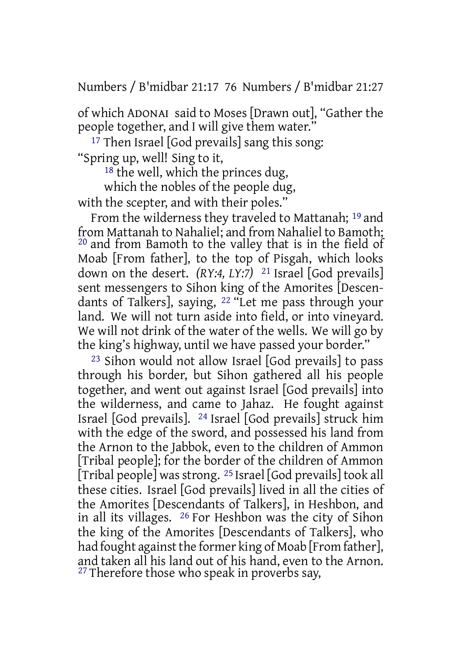Numbers / B'midbar 21:17 76 Numbers / B'midbar 21:27

of which ADONAI said to Moses [Drawn out], "Gather the people together, and I will give them water."

17 Then Israel [God prevails] sang this song: "Spring up, well! Sing to it,

 $18$  the well, which the princes dug,

which the nobles of the people dug, with the scepter, and with their poles."

From the wilderness they traveled to Mattanah; 19 and from Mattanah to Nahaliel; and from Nahaliel to Bamoth; 20 and from Bamoth to the valley that is in the field of Moab [From father], to the top of Pisgah, which looks down on the desert. *(RY:4, LY:7)* 21 Israel [God prevails] sent messengers to Sihon king of the Amorites [Descendants of Talkers], saying, 22 "Let me pass through your land. We will not turn aside into field, or into vineyard. We will not drink of the water of the wells. We will go by the king's highway, until we have passed your border."

23 Sihon would not allow Israel [God prevails] to pass through his border, but Sihon gathered all his people together, and went out against Israel [God prevails] into the wilderness, and came to Jahaz. He fought against Israel [God prevails]. 24 Israel [God prevails] struck him with the edge of the sword, and possessed his land from the Arnon to the Jabbok, even to the children of Ammon [Tribal people]; for the border of the children of Ammon [Tribal people] was strong. <sup>25</sup> Israel [God prevails] took all these cities. Israel [God prevails] lived in all the cities of the Amorites [Descendants of Talkers], in Heshbon, and in all its villages. 26 For Heshbon was the city of Sihon the king of the Amorites [Descendants of Talkers], who had fought against the former king of Moab [From father], and taken all his land out of his hand, even to the Arnon.  $27$  Therefore those who speak in proverbs say,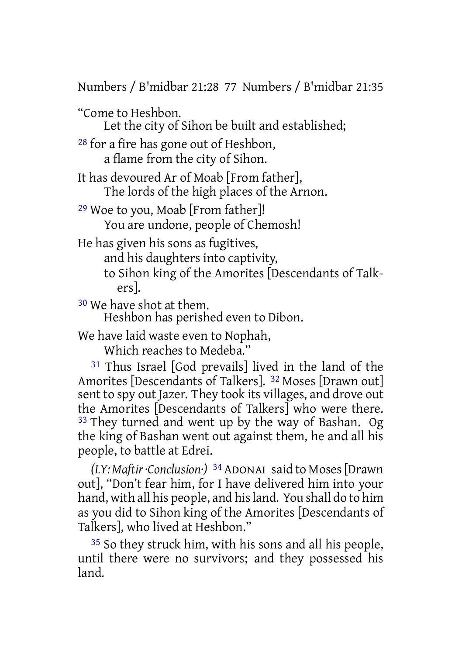Numbers / B'midbar 21:28 77 Numbers / B'midbar 21:35

"Come to Heshbon.

Let the city of Sihon be built and established;

28 for a fire has gone out of Heshbon, a flame from the city of Sihon.

It has devoured Ar of Moab [From father], The lords of the high places of the Arnon.

29 Woe to you, Moab [From father]! You are undone, people of Chemosh!

He has given his sons as fugitives,

and his daughters into captivity,

to Sihon king of the Amorites [Descendants of Talkers].

30 We have shot at them.

Heshbon has perished even to Dibon.

We have laid waste even to Nophah,

Which reaches to Medeba."

31 Thus Israel [God prevails] lived in the land of the Amorites [Descendants of Talkers]. 32 Moses [Drawn out] sent to spy out Jazer. They took its villages, and drove out the Amorites [Descendants of Talkers] who were there. 33 They turned and went up by the way of Bashan. Og the king of Bashan went out against them, he and all his people, to battle at Edrei.

*(LY: Maftir·Conclusion·)* 34 ADONAI said to Moses[Drawn out], "Don't fear him, for I have delivered him into your hand, with all his people, and hisland. You shall do to him as you did to Sihon king of the Amorites [Descendants of Talkers], who lived at Heshbon."

35 So they struck him, with his sons and all his people, until there were no survivors; and they possessed his land.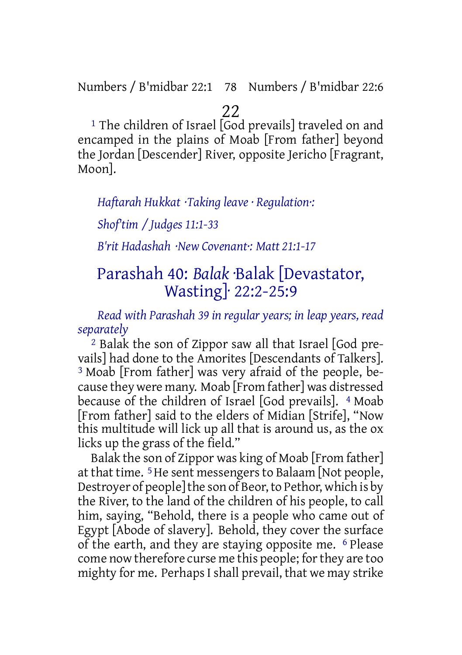Numbers / B'midbar 22:1 78 Numbers / B'midbar 22:6

# 22

<sup>1</sup> The children of Israel [God prevails] traveled on and encamped in the plains of Moab [From father] beyond the Jordan [Descender] River, opposite Jericho [Fragrant, Moon].

## *Haftarah Hukkat ·Taking leave · Regulation·:*

*Shof'tim / Judges 11:1-33*

*B'rit Hadashah ·New Covenant·: Matt 21:1-17*

# Parashah 40: *Balak* ·Balak [Devastator, Wasting]· 22:2-25:9

*Read with Parashah 39 in regular years; in leap years, read separately*

2 Balak the son of Zippor saw all that Israel [God prevails] had done to the Amorites [Descendants of Talkers]. 3 Moab [From father] was very afraid of the people, because they were many. Moab [From father] was distressed because of the children of Israel [God prevails]. <sup>4</sup> Moab [From father] said to the elders of Midian [Strife], "Now this multitude will lick up all that is around us, as the ox licks up the grass of the field."

Balak the son of Zippor was king of Moab [From father] at that time. 5He sent messengers to Balaam [Not people, Destroyer of people] the son of Beor, to Pethor, which is by the River, to the land of the children of his people, to call him, saying, "Behold, there is a people who came out of Egypt [Abode of slavery]. Behold, they cover the surface of the earth, and they are staying opposite me. 6 Please come now therefore curse me this people; forthey are too mighty for me. Perhaps I shall prevail, that we may strike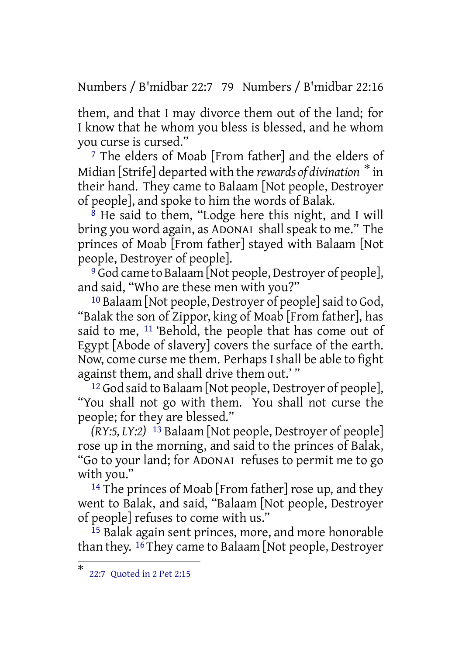Numbers / B'midbar 22:7 79 Numbers / B'midbar 22:16

them, and that I may divorce them out of the land; for I know that he whom you bless is blessed, and he whom you curse is cursed."

7 The elders of Moab [From father] and the elders of Midian [Strife] departed with the *rewards of divination* \* in their hand. They came to Balaam [Not people, Destroyer of people], and spoke to him the words of Balak.

 $8$  He said to them, "Lodge here this night, and I will bring you word again, as ADONAI shall speak to me." The princes of Moab [From father] stayed with Balaam [Not people, Destroyer of people].

9 God came to Balaam [Not people, Destroyer of people], and said, "Who are these men with you?"

10 Balaam [Not people, Destroyer of people]said to God, "Balak the son of Zippor, king of Moab [From father], has said to me, <sup>11</sup> 'Behold, the people that has come out of Egypt [Abode of slavery] covers the surface of the earth. Now, come curse me them. Perhaps I shall be able to fight against them, and shall drive them out.' "

<sup>12</sup> God said to Balaam [Not people, Destroyer of people], "You shall not go with them. You shall not curse the people; for they are blessed."

*(RY:5, LY:2)* 13 Balaam [Not people, Destroyer of people] rose up in the morning, and said to the princes of Balak, "Go to your land; for ADONAI refuses to permit me to go with you."

14 The princes of Moab [From father] rose up, and they went to Balak, and said, "Balaam [Not people, Destroyer of people] refuses to come with us."

<sup>15</sup> Balak again sent princes, more, and more honorable than they. 16 They came to Balaam [Not people, Destroyer

<sup>\*</sup> 22:7 Quoted in 2 Pet 2:15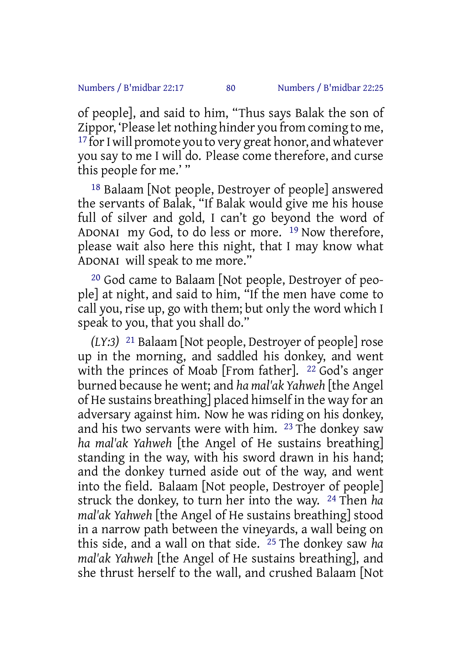of people], and said to him, "Thus says Balak the son of Zippor, 'Please let nothing hinder you from coming to me, <sup>17</sup> for I will promote you to very great honor, and whatever you say to me I will do. Please come therefore, and curse this people for me.' "

18 Balaam [Not people, Destroyer of people] answered the servants of Balak, "If Balak would give me his house full of silver and gold, I can't go beyond the word of ADONAI my God, to do less or more. 19 Now therefore, please wait also here this night, that I may know what ADONAI will speak to me more."

20 God came to Balaam [Not people, Destroyer of people] at night, and said to him, "If the men have come to call you, rise up, go with them; but only the word which I speak to you, that you shall do."

*(LY:3)* 21 Balaam [Not people, Destroyer of people] rose up in the morning, and saddled his donkey, and went with the princes of Moab [From father]. <sup>22</sup> God's anger burned because he went; and *ha mal'ak Yahweh* [the Angel of He sustains breathing] placed himself in the way for an adversary against him. Now he was riding on his donkey, and his two servants were with him. 23 The donkey saw *ha mal'ak Yahweh* [the Angel of He sustains breathing] standing in the way, with his sword drawn in his hand; and the donkey turned aside out of the way, and went into the field. Balaam [Not people, Destroyer of people] struck the donkey, to turn her into the way. 24 Then *ha mal'ak Yahweh* [the Angel of He sustains breathing] stood in a narrow path between the vineyards, a wall being on this side, and a wall on that side. 25 The donkey saw *ha mal'ak Yahweh* [the Angel of He sustains breathing], and she thrust herself to the wall, and crushed Balaam [Not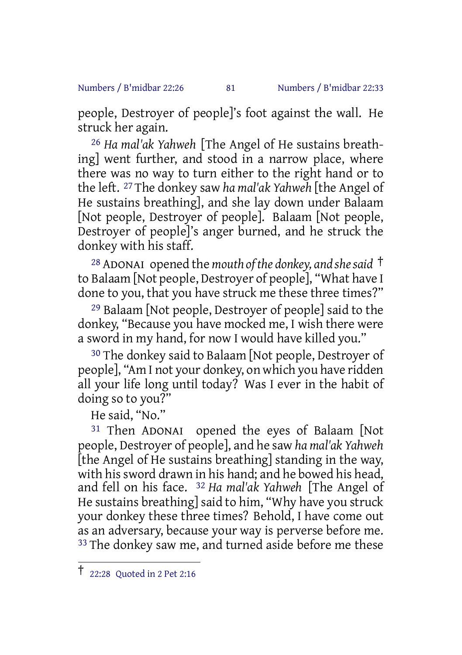#### Numbers / B'midbar 22:26 81 Numbers / B'midbar 22:33

people, Destroyer of people]'s foot against the wall. He struck her again.

26 *Ha mal'ak Yahweh* [The Angel of He sustains breathing] went further, and stood in a narrow place, where there was no way to turn either to the right hand or to the left. 27 The donkey saw *ha mal'ak Yahweh* [the Angel of He sustains breathing], and she lay down under Balaam [Not people, Destroyer of people]. Balaam [Not people, Destroyer of people]'s anger burned, and he struck the donkey with his staff.

<sup>28</sup> ADONAI opened the *mouth of the donkey, and shesaid* † to Balaam [Not people, Destroyer of people], "What have I done to you, that you have struck me these three times?"

29 Balaam [Not people, Destroyer of people] said to the donkey, "Because you have mocked me, I wish there were a sword in my hand, for now I would have killed you."

30 The donkey said to Balaam [Not people, Destroyer of people], "Am I not your donkey, on which you have ridden all your life long until today? Was I ever in the habit of doing so to you?"

He said, "No."

31 Then ADONAI opened the eyes of Balaam [Not people, Destroyer of people], and he saw *ha mal'ak Yahweh* [the Angel of He sustains breathing] standing in the way, with his sword drawn in his hand; and he bowed his head, and fell on his face. 32 *Ha mal'ak Yahweh* [The Angel of He sustains breathing] said to him, "Why have you struck your donkey these three times? Behold, I have come out as an adversary, because your way is perverse before me. <sup>33</sup> The donkey saw me, and turned aside before me these

<sup>†</sup> 22:28 Quoted in <sup>2</sup> Pet 2:16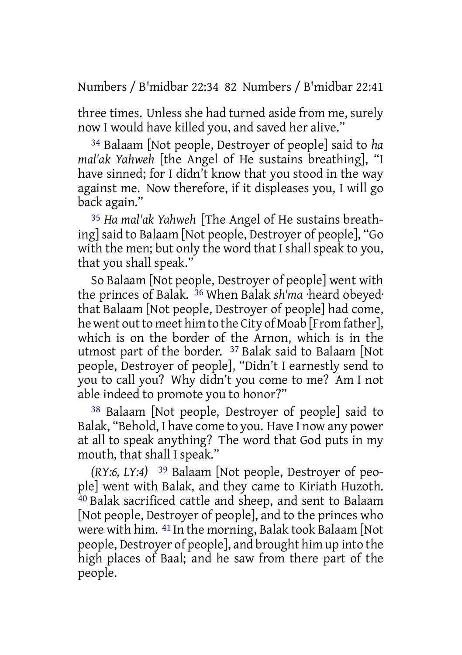Numbers / B'midbar 22:34 82 Numbers / B'midbar 22:41

three times. Unless she had turned aside from me, surely now I would have killed you, and saved her alive."

34 Balaam [Not people, Destroyer of people] said to *ha mal'ak Yahweh* [the Angel of He sustains breathing], "I have sinned; for I didn't know that you stood in the way against me. Now therefore, if it displeases you, I will go back again."

35 *Ha mal'ak Yahweh* [The Angel of He sustains breathing]said to Balaam [Not people, Destroyer of people], "Go with the men; but only the word that I shall speak to you, that you shall speak."

So Balaam [Not people, Destroyer of people] went with the princes of Balak. 36 When Balak *sh'ma* ·heard obeyed· that Balaam [Not people, Destroyer of people] had come, he went out to meet him to the City of Moab [From father], which is on the border of the Arnon, which is in the utmost part of the border. 37 Balak said to Balaam [Not people, Destroyer of people], "Didn't I earnestly send to you to call you? Why didn't you come to me? Am I not able indeed to promote you to honor?"

38 Balaam [Not people, Destroyer of people] said to Balak, "Behold, I have come to you. Have I now any power at all to speak anything? The word that God puts in my mouth, that shall I speak."

*(RY:6, LY:4)* 39 Balaam [Not people, Destroyer of people] went with Balak, and they came to Kiriath Huzoth. 40 Balak sacrificed cattle and sheep, and sent to Balaam [Not people, Destroyer of people], and to the princes who were with him. 41 In the morning, Balak took Balaam [Not people, Destroyer of people], and brought him up into the high places of Baal; and he saw from there part of the people.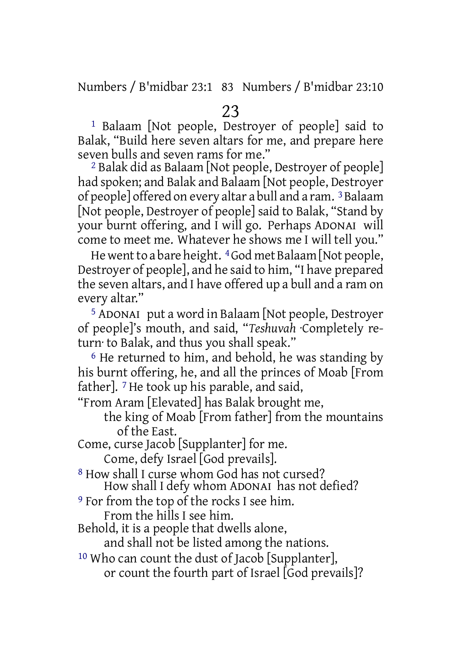Numbers / B'midbar 23:1 83 Numbers / B'midbar 23:10

1 Balaam [Not people, Destroyer of people] said to Balak, "Build here seven altars for me, and prepare here seven bulls and seven rams for me."

2 Balak did as Balaam [Not people, Destroyer of people] had spoken; and Balak and Balaam [Not people, Destroyer of people] offered on every altar a bull and a ram. 3Balaam [Not people, Destroyer of people] said to Balak, "Stand by your burnt offering, and I will go. Perhaps ADONAI will come to meet me. Whatever he shows me I will tell you."

He went to a bare height. <sup>4</sup> God met Balaam [Not people, Destroyer of people], and he said to him, "I have prepared the seven altars, and I have offered up a bull and a ram on every altar."

5 ADONAI put a word in Balaam [Not people, Destroyer of people]'s mouth, and said, "*Teshuvah* ·Completely return· to Balak, and thus you shall speak."

6 He returned to him, and behold, he was standing by his burnt offering, he, and all the princes of Moab [From father]. 7 He took up his parable, and said,

"From Aram [Elevated] has Balak brought me,

the king of Moab [From father] from the mountains of the East.

Come, curse Jacob [Supplanter] for me.

Come, defy Israel [God prevails].

8 How shall I curse whom God has not cursed? How shall I defy whom ADONAI has not defied?

9 For from the top of the rocks I see him.

From the hills I see him.

Behold, it is a people that dwells alone,

and shall not be listed among the nations.

10 Who can count the dust of Jacob [Supplanter], or count the fourth part of Israel [God prevails]?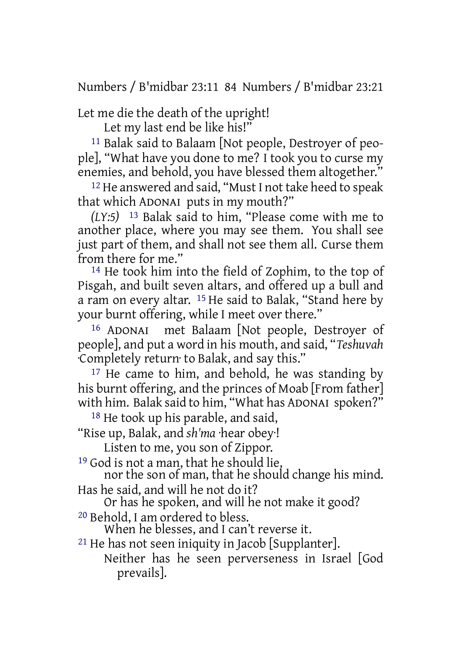Numbers / B'midbar 23:11 84 Numbers / B'midbar 23:21

Let me die the death of the upright!

Let my last end be like his!"

11 Balak said to Balaam [Not people, Destroyer of people], "What have you done to me? I took you to curse my enemies, and behold, you have blessed them altogether."

12 He answered and said, "Must I not take heed to speak that which ADONAI puts in my mouth?"

*(LY:5)* 13 Balak said to him, "Please come with me to another place, where you may see them. You shall see just part of them, and shall not see them all. Curse them from there for me."

14 He took him into the field of Zophim, to the top of Pisgah, and built seven altars, and offered up a bull and a ram on every altar. 15 He said to Balak, "Stand here by your burnt offering, while I meet over there."

16 ADONAI met Balaam [Not people, Destroyer of people], and put a word in his mouth, and said, "*Teshuvah* ·Completely return· to Balak, and say this."

<sup>17</sup> He came to him, and behold, he was standing by his burnt offering, and the princes of Moab [From father] with him. Balak said to him, "What has ADONAI spoken?"

<sup>18</sup> He took up his parable, and said,

"Rise up, Balak, and *sh'ma* ·hear obey·!

Listen to me, you son of Zippor.

19 God is not a man, that he should lie,

nor the son of man, that he should change his mind.

Has he said, and will he not do it?

Or has he spoken, and will he not make it good?

20 Behold, I am ordered to bless.

When he blesses, and I can't reverse it.

 $21$  He has not seen iniquity in Jacob [Supplanter].

Neither has he seen perverseness in Israel [God prevails].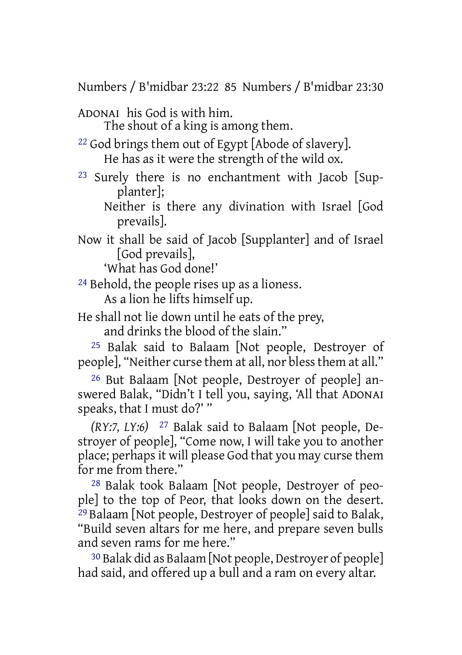Numbers / B'midbar 23:22 85 Numbers / B'midbar 23:30

ADONAI his God is with him. The shout of a king is among them.

<sup>22</sup> God brings them out of Egypt [Abode of slavery]. He has as it were the strength of the wild ox.

23 Surely there is no enchantment with Jacob [Supplanter];

Neither is there any divination with Israel [God prevails].

Now it shall be said of Jacob [Supplanter] and of Israel [God prevails],

'What has God done!'

24 Behold, the people rises up as a lioness.

As a lion he lifts himself up.

He shall not lie down until he eats of the prey, and drinks the blood of the slain."

25 Balak said to Balaam [Not people, Destroyer of people], "Neither curse them at all, nor blessthem at all."

26 But Balaam [Not people, Destroyer of people] answered Balak, "Didn't I tell you, saying, 'All that ADONAI speaks, that I must do?' "

*(RY:7, LY:6)* 27 Balak said to Balaam [Not people, Destroyer of people], "Come now, I will take you to another place; perhapsit will please God that you may curse them for me from there."

28 Balak took Balaam [Not people, Destroyer of people] to the top of Peor, that looks down on the desert.  $29$  Balaam [Not people, Destroyer of people] said to Balak, "Build seven altars for me here, and prepare seven bulls and seven rams for me here."

30 Balak did as Balaam [Not people, Destroyer of people] had said, and offered up a bull and a ram on every altar.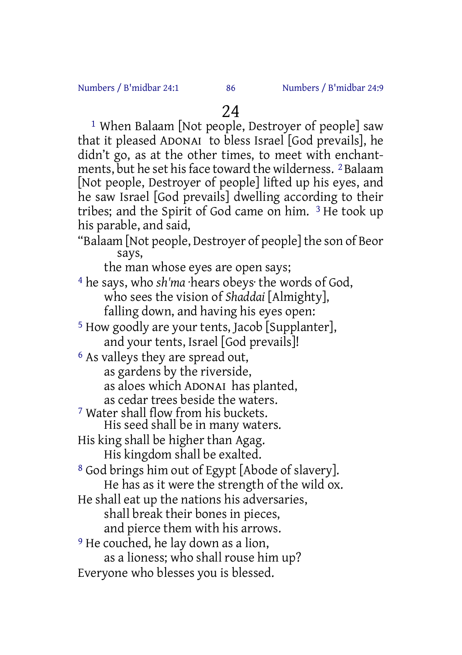1 When Balaam [Not people, Destroyer of people] saw that it pleased ADONAI to bless Israel [God prevails], he didn't go, as at the other times, to meet with enchantments, but he set his face toward the wilderness. <sup>2</sup>Balaam [Not people, Destroyer of people] lifted up his eyes, and he saw Israel [God prevails] dwelling according to their tribes; and the Spirit of God came on him. 3 He took up his parable, and said,

"Balaam [Not people, Destroyer of people] the son of Beor says,

the man whose eyes are open says;

- 4 he says, who *sh'ma* ·hears obeys· the words of God, who sees the vision of *Shaddai* [Almighty], falling down, and having his eyes open:
- 5 How goodly are your tents, Jacob [Supplanter], and your tents, Israel [God prevails]!

6 As valleys they are spread out, as gardens by the riverside, as aloes which ADONAI has planted, as cedar trees beside the waters.

- 7 Water shall flow from his buckets. His seed shall be in many waters.
- His king shall be higher than Agag. His kingdom shall be exalted.

8 God brings him out of Egypt [Abode of slavery]. He has as it were the strength of the wild ox.

He shall eat up the nations his adversaries,

shall break their bones in pieces, and pierce them with his arrows.

- 9 He couched, he lay down as a lion, as a lioness; who shall rouse him up?
- Everyone who blesses you is blessed.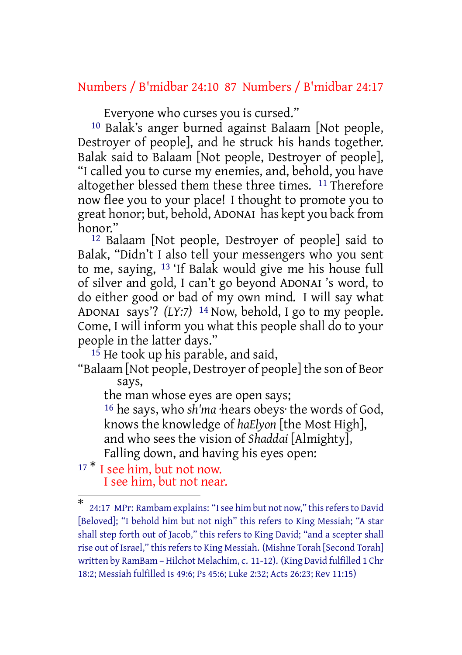## Numbers / B'midbar 24:10 87 Numbers / B'midbar 24:17

Everyone who curses you is cursed."

10 Balak's anger burned against Balaam [Not people, Destroyer of people], and he struck his hands together. Balak said to Balaam [Not people, Destroyer of people], "I called you to curse my enemies, and, behold, you have altogether blessed them these three times. 11 Therefore now flee you to your place! I thought to promote you to great honor; but, behold, ADONAI has kept you back from honor."

12 Balaam [Not people, Destroyer of people] said to Balak, "Didn't I also tell your messengers who you sent to me, saying, 13 'If Balak would give me his house full of silver and gold, I can't go beyond ADONAI 's word, to do either good or bad of my own mind. I will say what ADONAI says'? *(LY:7)* 14 Now, behold, I go to my people. Come, I will inform you what this people shall do to your people in the latter days."

<sup>15</sup> He took up his parable, and said,

"Balaam [Not people, Destroyer of people] the son of Beor says,

the man whose eyes are open says; 16 he says, who *sh'ma* ·hears obeys· the words of God, knows the knowledge of *haElyon* [the Most High], and who sees the vision of *Shaddai* [Almighty], Falling down, and having his eyes open:

<sup>17</sup> <sup>\*</sup> I see him, but not now. I see him, but not near.

<sup>\*</sup> 24:17 MPr: Rambam explains: "I see him but not now," this refers to David [Beloved]; "I behold him but not nigh" this refers to King Messiah; "A star shall step forth out of Jacob," this refers to King David; "and a scepter shall rise out of Israel," this refers to King Messiah. (Mishne Torah [Second Torah] written by RamBam – Hilchot Melachim, c. 11-12). (King David fulfilled 1 Chr 18:2; Messiah fulfilled Is 49:6; Ps 45:6; Luke 2:32; Acts 26:23; Rev 11:15)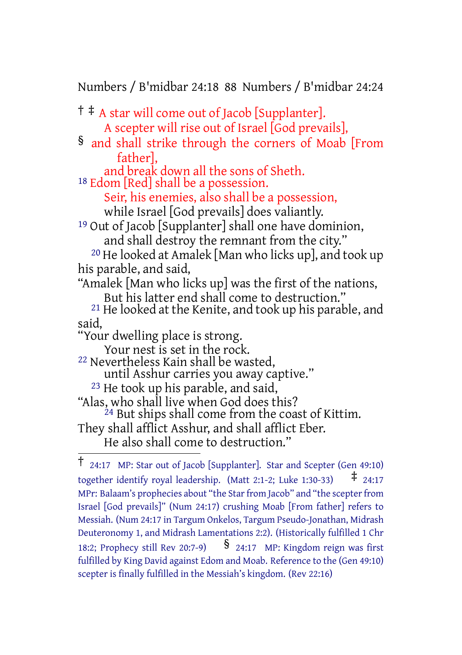Numbers / B'midbar 24:18 88 Numbers / B'midbar 24:24

† ‡ A star will come out of Jacob [Supplanter]. A scepter will rise out of Israel  $\overline{[G}$ od prevails], § and shall strike through the corners of Moab [From father], and break down all the sons of Sheth. 18 Edom [Red] shall be a possession. Seir, his enemies, also shall be a possession, while Israel [God prevails] does valiantly. 19 Out of Jacob [Supplanter] shall one have dominion, and shall destroy the remnant from the city." 20 He looked at Amalek [Man who licks up], and took up his parable, and said, "Amalek [Man who licks up] was the first of the nations, But his latter end shall come to destruction." 21 He looked at the Kenite, and took up his parable, and said, "Your dwelling place is strong. Your nest is set in the rock. 22 Nevertheless Kain shall be wasted, until Asshur carries you away captive." 23 He took up his parable, and said, "Alas, who shall live when God does this?  $^{24}$  But ships shall come from the coast of Kittim. They shall afflict Asshur, and shall afflict Eber. He also shall come to destruction." † 24:17 MP: Star out of Jacob [Supplanter]. Star and Scepter (Gen 49:10)

together identify royal leadership. (Matt 2:1-2; Luke 1:30-33)  $\pm$  24:17 MPr: Balaam's prophecies about "the Star from Jacob" and "the scepter from Israel [God prevails]" (Num 24:17) crushing Moab [From father] refers to Messiah. (Num 24:17 in Targum Onkelos, Targum Pseudo-Jonathan, Midrash Deuteronomy 1, and Midrash Lamentations 2:2). (Historically fulfilled 1 Chr 18:2; Prophecy still Rev 20:7-9)  $\frac{8}{24:17}$  MP: Kingdom reign was first fulfilled by King David against Edom and Moab. Reference to the (Gen 49:10) scepter is finally fulfilled in the Messiah's kingdom. (Rev 22:16)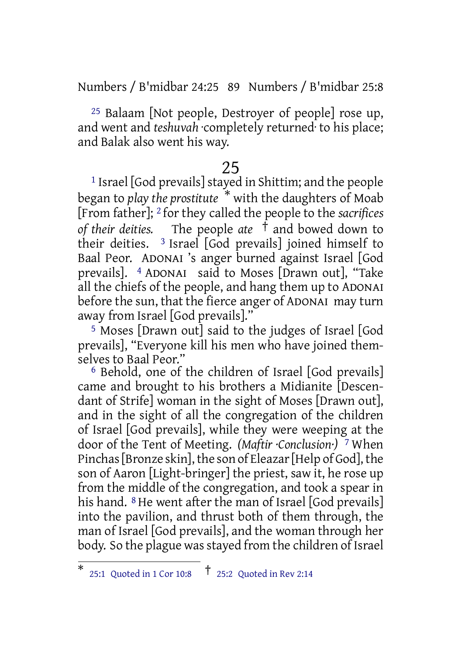Numbers / B'midbar 24:25 89 Numbers / B'midbar 25:8

 $25$  Balaam [Not people, Destroyer of people] rose up, and went and *teshuvah* ·completely returned· to his place; and Balak also went his way.

# 25

<sup>1</sup> Israel [God prevails] stayed in Shittim; and the people began to *play the prostitute* \* with the daughters of Moab [From father]; 2 for they called the people to the *sacrifices of their deities.* The people *ate* † and bowed down to their deities.  $\frac{3}{5}$  Israel [God prevails] joined himself to Baal Peor. ADONAI 's anger burned against Israel [God prevails]. 4 ADONAI said to Moses [Drawn out], "Take all the chiefs of the people, and hang them up to ADONAI before the sun, that the fierce anger of ADONAI may turn away from Israel [God prevails]."

5 Moses [Drawn out] said to the judges of Israel [God prevails], "Everyone kill his men who have joined themselves to Baal Peor."

6 Behold, one of the children of Israel [God prevails] came and brought to his brothers a Midianite [Descendant of Strife] woman in the sight of Moses [Drawn out], and in the sight of all the congregation of the children of Israel [God prevails], while they were weeping at the door of the Tent of Meeting. *(Maftir ·Conclusion·)* 7 When Pinchas [Bronze skin], the son of Eleazar [Help of God], the son of Aaron [Light-bringer] the priest, saw it, he rose up from the middle of the congregation, and took a spear in his hand. <sup>8</sup> He went after the man of Israel [God prevails] into the pavilion, and thrust both of them through, the man of Israel [God prevails], and the woman through her body. So the plague was stayed from the children of Israel

<sup>\*</sup> 25:1 Quoted in <sup>1</sup> Cor 10:8 † 25:2 Quoted in Rev 2:14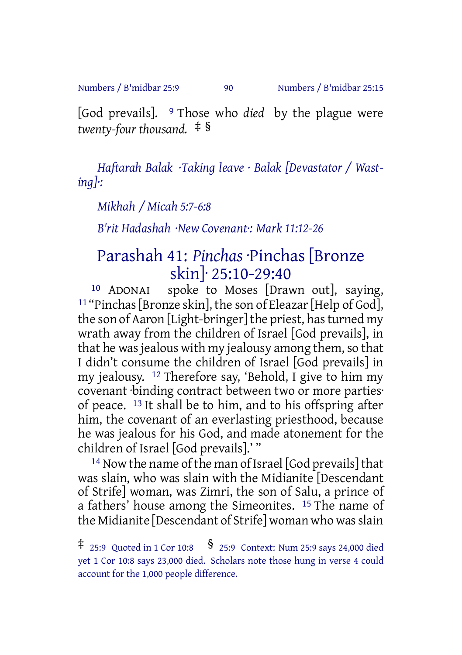Numbers / B'midbar 25:9 90 Numbers / B'midbar 25:15

[God prevails]. 9 Those who *died* by the plague were *twenty-four thousand.* ‡ §

*Haftarah Balak ·Taking leave · Balak [Devastator / Wasting]·:*

*Mikhah / Micah 5:7-6:8*

*B'rit Hadashah ·New Covenant·: Mark 11:12-26*

# Parashah 41: *Pinchas* ·Pinchas [Bronze skin]· 25:10-29:40

10 ADONAI spoke to Moses [Drawn out], saying, <sup>11</sup> "Pinchas [Bronze skin], the son of Eleazar [Help of God], the son of Aaron [Light-bringer] the priest, has turned my wrath away from the children of Israel [God prevails], in that he was jealous with my jealousy among them, so that I didn't consume the children of Israel [God prevails] in my jealousy. 12 Therefore say, 'Behold, I give to him my covenant ·binding contract between two or more parties· of peace. 13 It shall be to him, and to his offspring after him, the covenant of an everlasting priesthood, because he was jealous for his God, and made atonement for the children of Israel [God prevails].' "

 $14$  Now the name of the man of Israel [God prevails] that was slain, who was slain with the Midianite [Descendant of Strife] woman, was Zimri, the son of Salu, a prince of a fathers' house among the Simeonites. 15 The name of the Midianite [Descendant of Strife] woman who wasslain

<sup>‡</sup> 25:9 Quoted in <sup>1</sup> Cor 10:8 § 25:9 Context: Num 25:9 says 24,000 died yet 1 Cor 10:8 says 23,000 died. Scholars note those hung in verse 4 could account for the 1,000 people difference.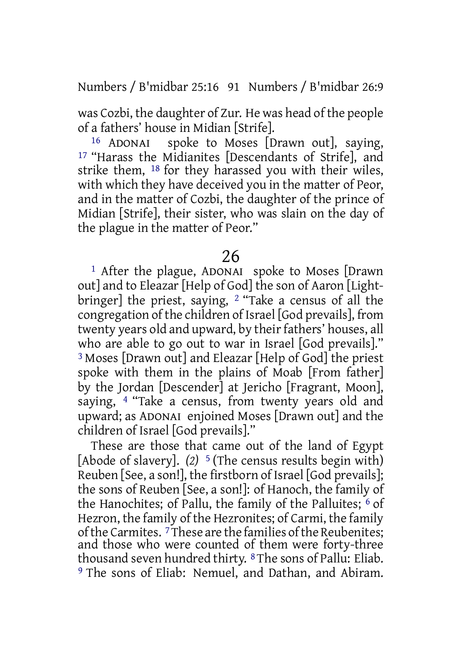Numbers / B'midbar 25:16 91 Numbers / B'midbar 26:9

was Cozbi, the daughter of Zur. He was head of the people of a fathers' house in Midian [Strife].

16 ADONAI spoke to Moses [Drawn out], saying, 17 "Harass the Midianites [Descendants of Strife], and strike them, 18 for they harassed you with their wiles, with which they have deceived you in the matter of Peor, and in the matter of Cozbi, the daughter of the prince of Midian [Strife], their sister, who was slain on the day of the plague in the matter of Peor."

### 26

1 After the plague, ADONAI spoke to Moses [Drawn out] and to Eleazar [Help of God] the son of Aaron [Lightbringer] the priest, saying, 2 "Take a census of all the congregation of the children of Israel [God prevails], from twenty years old and upward, by their fathers' houses, all who are able to go out to war in Israel [God prevails]." 3 Moses [Drawn out] and Eleazar [Help of God] the priest spoke with them in the plains of Moab [From father] by the Jordan [Descender] at Jericho [Fragrant, Moon], saying, 4 "Take a census, from twenty years old and upward; as ADONAI enjoined Moses [Drawn out] and the children of Israel [God prevails]."

These are those that came out of the land of Egypt [Abode of slavery]. *(2)* 5 (The census results begin with) Reuben [See, a son!], the firstborn of Israel [God prevails]; the sons of Reuben [See, a son!]: of Hanoch, the family of the Hanochites; of Pallu, the family of the Palluites;  $6$  of Hezron, the family of the Hezronites; of Carmi, the family of the Carmites.<sup>7</sup>These are the families of the Reubenites: and those who were counted of them were forty-three thousand seven hundred thirty. 8 The sons of Pallu: Eliab. 9 The sons of Eliab: Nemuel, and Dathan, and Abiram.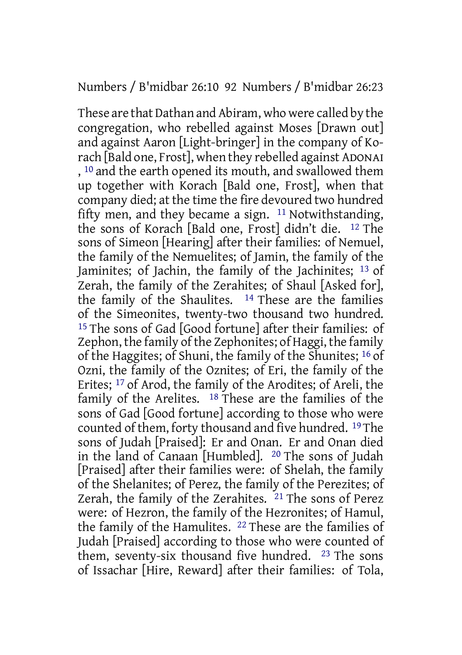#### Numbers / B'midbar 26:10 92 Numbers / B'midbar 26:23

These are that Dathan and Abiram, who were called by the congregation, who rebelled against Moses [Drawn out] and against Aaron [Light-bringer] in the company of Korach [Bald one, Frost], when they rebelled against ADONAI , 10 and the earth opened its mouth, and swallowed them up together with Korach [Bald one, Frost], when that company died; at the time the fire devoured two hundred fifty men, and they became a sign. 11 Notwithstanding, the sons of Korach [Bald one, Frost] didn't die. 12 The sons of Simeon [Hearing] after their families: of Nemuel, the family of the Nemuelites; of Jamin, the family of the Jaminites; of Jachin, the family of the Jachinites; 13 of Zerah, the family of the Zerahites; of Shaul [Asked for], the family of the Shaulites. 14 These are the families of the Simeonites, twenty-two thousand two hundred. 15 The sons of Gad [Good fortune] after their families: of Zephon, the family of the Zephonites; of Haggi, the family of the Haggites; of Shuni, the family of the Shunites; 16 of Ozni, the family of the Oznites; of Eri, the family of the Erites; 17 of Arod, the family of the Arodites; of Areli, the family of the Arelites. 18 These are the families of the sons of Gad [Good fortune] according to those who were counted of them, forty thousand and five hundred. 19 The sons of Judah [Praised]: Er and Onan. Er and Onan died in the land of Canaan [Humbled]. 20 The sons of Judah [Praised] after their families were: of Shelah, the family of the Shelanites; of Perez, the family of the Perezites; of Zerah, the family of the Zerahites. 21 The sons of Perez were: of Hezron, the family of the Hezronites; of Hamul, the family of the Hamulites. 22 These are the families of Judah [Praised] according to those who were counted of them, seventy-six thousand five hundred. 23 The sons of Issachar [Hire, Reward] after their families: of Tola,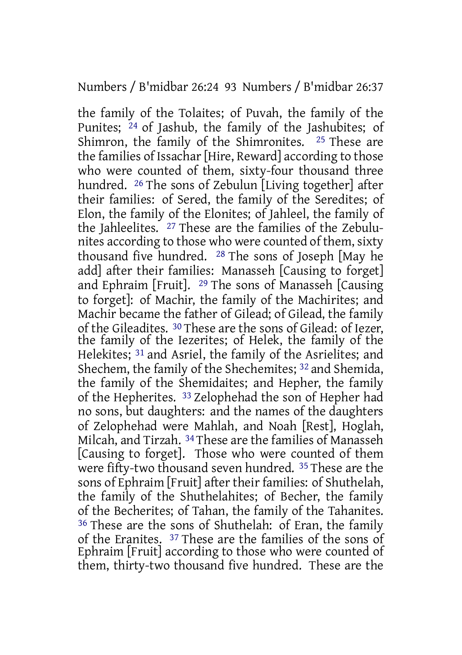#### Numbers / B'midbar 26:24 93 Numbers / B'midbar 26:37

the family of the Tolaites; of Puvah, the family of the Punites; 24 of Jashub, the family of the Jashubites; of Shimron, the family of the Shimronites. 25 These are the families of Issachar [Hire, Reward] according to those who were counted of them, sixty-four thousand three hundred. 26 The sons of Zebulun [Living together] after their families: of Sered, the family of the Seredites; of Elon, the family of the Elonites; of Jahleel, the family of the Jahleelites. 27 These are the families of the Zebulunites according to those who were counted of them, sixty thousand five hundred. 28 The sons of Joseph [May he add] after their families: Manasseh [Causing to forget] and Ephraim [Fruit]. 29 The sons of Manasseh [Causing to forget]: of Machir, the family of the Machirites; and Machir became the father of Gilead; of Gilead, the family of the Gileadites. 30 These are the sons of Gilead: of Iezer, the family of the Iezerites; of Helek, the family of the Helekites; 31 and Asriel, the family of the Asrielites; and Shechem, the family of the Shechemites; 32 and Shemida, the family of the Shemidaites; and Hepher, the family of the Hepherites. 33 Zelophehad the son of Hepher had no sons, but daughters: and the names of the daughters of Zelophehad were Mahlah, and Noah [Rest], Hoglah, Milcah, and Tirzah. 34 These are the families of Manasseh [Causing to forget]. Those who were counted of them were fifty-two thousand seven hundred. 35 These are the sons of Ephraim [Fruit] after their families: of Shuthelah, the family of the Shuthelahites; of Becher, the family of the Becherites; of Tahan, the family of the Tahanites. 36 These are the sons of Shuthelah: of Eran, the family of the Eranites. 37 These are the families of the sons of Ephraim [Fruit] according to those who were counted of them, thirty-two thousand five hundred. These are the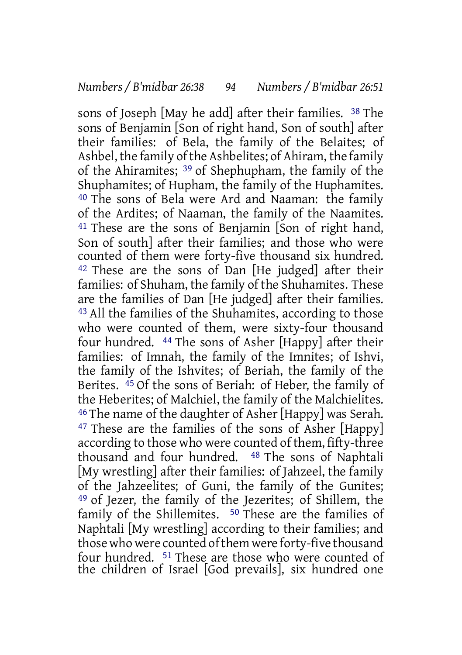sons of Joseph [May he add] after their families. 38 The sons of Benjamin [Son of right hand, Son of south] after their families: of Bela, the family of the Belaites; of Ashbel, the family of the Ashbelites; of Ahiram, the family of the Ahiramites; 39 of Shephupham, the family of the Shuphamites; of Hupham, the family of the Huphamites. 40 The sons of Bela were Ard and Naaman: the family of the Ardites; of Naaman, the family of the Naamites. 41 These are the sons of Benjamin [Son of right hand, Son of south] after their families; and those who were counted of them were forty-five thousand six hundred. 42 These are the sons of Dan [He judged] after their families: of Shuham, the family of the Shuhamites. These are the families of Dan [He judged] after their families. 43 All the families of the Shuhamites, according to those who were counted of them, were sixty-four thousand four hundred. 44 The sons of Asher [Happy] after their families: of Imnah, the family of the Imnites; of Ishvi, the family of the Ishvites; of Beriah, the family of the Berites. 45 Of the sons of Beriah: of Heber, the family of the Heberites; of Malchiel, the family of the Malchielites. 46 The name of the daughter of Asher [Happy] was Serah. 47 These are the families of the sons of Asher [Happy] according to those who were counted of them, fifty-three thousand and four hundred. 48 The sons of Naphtali [My wrestling] after their families: of Jahzeel, the family of the Jahzeelites; of Guni, the family of the Gunites; 49 of Jezer, the family of the Jezerites; of Shillem, the family of the Shillemites. 50 These are the families of Naphtali [My wrestling] according to their families; and those who were counted of them were forty-five thousand four hundred. 51 These are those who were counted of the children of Israel [God prevails], six hundred one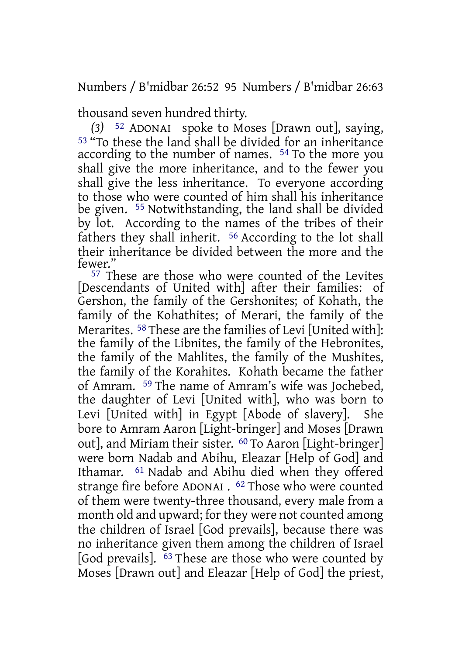Numbers / B'midbar 26:52 95 Numbers / B'midbar 26:63

thousand seven hundred thirty.

*(3)* 52 ADONAI spoke to Moses [Drawn out], saying, 53 "To these the land shall be divided for an inheritance according to the number of names. 54 To the more you shall give the more inheritance, and to the fewer you shall give the less inheritance. To everyone according to those who were counted of him shall his inheritance be given. 55 Notwithstanding, the land shall be divided by lot. According to the names of the tribes of their fathers they shall inherit. 56 According to the lot shall their inheritance be divided between the more and the fewer."

<sup>57</sup> These are those who were counted of the Levites [Descendants of United with] after their families: of Gershon, the family of the Gershonites; of Kohath, the family of the Kohathites; of Merari, the family of the Merarites. 58 These are the families of Levi [United with]: the family of the Libnites, the family of the Hebronites, the family of the Mahlites, the family of the Mushites, the family of the Korahites. Kohath became the father of Amram. 59 The name of Amram's wife was Jochebed, the daughter of Levi [United with], who was born to Levi [United with] in Egypt [Abode of slavery]. She bore to Amram Aaron [Light-bringer] and Moses [Drawn out], and Miriam their sister. 60 To Aaron [Light-bringer] were born Nadab and Abihu, Eleazar [Help of God] and Ithamar. 61 Nadab and Abihu died when they offered strange fire before ADONAI . 62 Those who were counted of them were twenty-three thousand, every male from a month old and upward; for they were not counted among the children of Israel [God prevails], because there was no inheritance given them among the children of Israel [God prevails]. <sup>63</sup> These are those who were counted by Moses [Drawn out] and Eleazar [Help of God] the priest,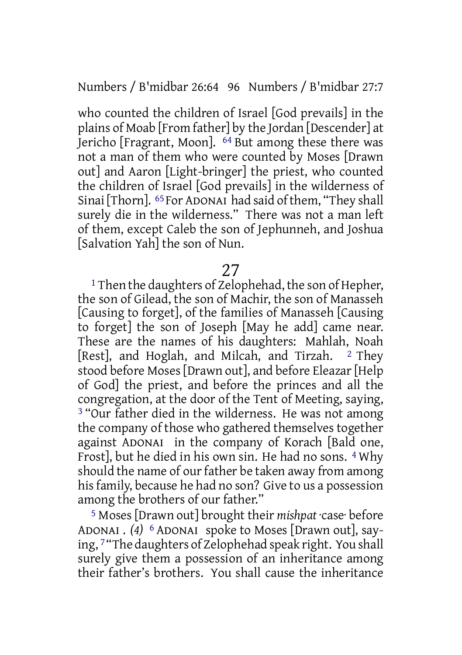Numbers / B'midbar 26:64 96 Numbers / B'midbar 27:7

who counted the children of Israel [God prevails] in the plains of Moab [From father] by the Jordan [Descender] at Jericho [Fragrant, Moon]. 64 But among these there was not a man of them who were counted by Moses [Drawn out] and Aaron [Light-bringer] the priest, who counted the children of Israel [God prevails] in the wilderness of Sinai [Thorn]. <sup>65</sup> For ADONAI had said of them, "They shall surely die in the wilderness." There was not a man left of them, except Caleb the son of Jephunneh, and Joshua [Salvation Yah] the son of Nun.

27

<sup>1</sup> Then the daughters of Zelophehad, the son of Hepher, the son of Gilead, the son of Machir, the son of Manasseh [Causing to forget], of the families of Manasseh [Causing to forget] the son of Joseph [May he add] came near. These are the names of his daughters: Mahlah, Noah [Rest], and Hoglah, and Milcah, and Tirzah. 2 They stood before Moses [Drawn out], and before Eleazar [Help] of God] the priest, and before the princes and all the congregation, at the door of the Tent of Meeting, saying, <sup>3</sup> "Our father died in the wilderness. He was not among the company of those who gathered themselves together against ADONAI in the company of Korach [Bald one, Frost], but he died in his own sin. He had no sons. 4 Why should the name of our father be taken away from among his family, because he had no son? Give to us a possession among the brothers of our father."

5 Moses [Drawn out] brought their *mishpat* ·case· before ADONAI . *(4)* 6 ADONAI spoke to Moses [Drawn out], saying, 7 "The daughters of Zelophehad speak right. You shall surely give them a possession of an inheritance among their father's brothers. You shall cause the inheritance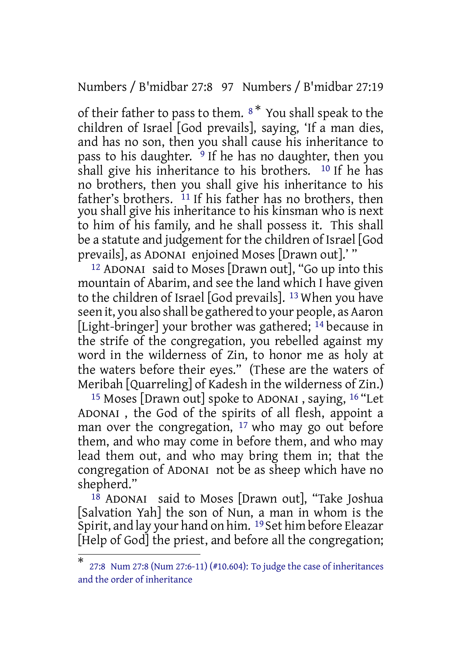Numbers / B'midbar 27:8 97 Numbers / B'midbar 27:19

of their father to pass to them.  $8^*$  You shall speak to the children of Israel [God prevails], saying, 'If a man dies, and has no son, then you shall cause his inheritance to pass to his daughter.  $9$  If he has no daughter, then you shall give his inheritance to his brothers. 10 If he has no brothers, then you shall give his inheritance to his father's brothers. <sup>11</sup> If his father has no brothers, then you shall give his inheritance to his kinsman who is next to him of his family, and he shall possess it. This shall be a statute and judgement for the children of Israel [God prevails], as ADONAI enjoined Moses [Drawn out].' "

12 ADONAI said to Moses [Drawn out], "Go up into this mountain of Abarim, and see the land which I have given to the children of Israel [God prevails]. 13 When you have seen it, you also shall be gathered to your people, as Aaron [Light-bringer] your brother was gathered; <sup>14</sup> because in the strife of the congregation, you rebelled against my word in the wilderness of Zin, to honor me as holy at the waters before their eyes." (These are the waters of Meribah [Quarreling] of Kadesh in the wilderness of Zin.)

15 Moses [Drawn out] spoke to ADONAI , saying, 16 "Let ADONAI , the God of the spirits of all flesh, appoint a man over the congregation,  $17$  who may go out before them, and who may come in before them, and who may lead them out, and who may bring them in; that the congregation of ADONAI not be as sheep which have no shepherd."

 $18$  ADONAI said to Moses [Drawn out], "Take Joshua [Salvation Yah] the son of Nun, a man in whom is the Spirit, and lay your hand on him. 19 Set him before Eleazar [Help of God] the priest, and before all the congregation;

<sup>\*</sup> 27:8 Num 27:8 (Num 27:6-11) (#10.604): To judge the case of inheritances and the order of inheritance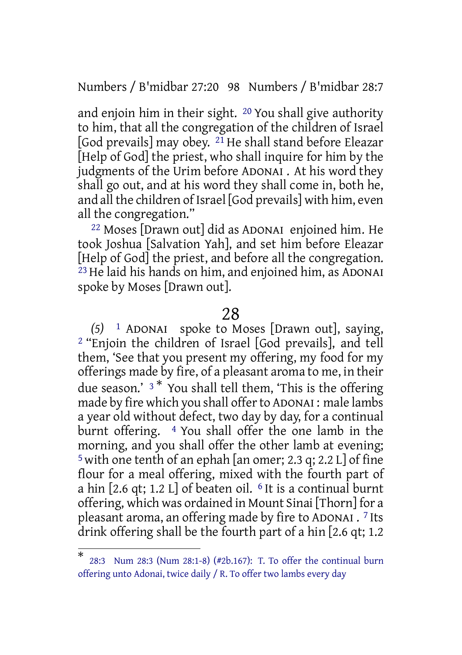Numbers / B'midbar 27:20 98 Numbers / B'midbar 28:7

and enjoin him in their sight. 20 You shall give authority to him, that all the congregation of the children of Israel [God prevails] may obey. 21 He shall stand before Eleazar [Help of God] the priest, who shall inquire for him by the judgments of the Urim before ADONAI . At his word they shall go out, and at his word they shall come in, both he, and all the children of Israel [God prevails] with him, even all the congregation."

22 Moses [Drawn out] did as ADONAI enjoined him. He took Joshua [Salvation Yah], and set him before Eleazar [Help of God] the priest, and before all the congregation. 23He laid his hands on him, and enjoined him, as ADONAI spoke by Moses [Drawn out].

#### 28

*(5)* 1 ADONAI spoke to Moses [Drawn out], saying, 2 "Enjoin the children of Israel [God prevails], and tell them, 'See that you present my offering, my food for my offerings made by fire, of a pleasant aroma to me, in their due season.'  $3 *$  You shall tell them, 'This is the offering made by fire which you shall offerto ADONAI : male lambs a year old without defect, two day by day, for a continual burnt offering. 4 You shall offer the one lamb in the morning, and you shall offer the other lamb at evening;  $5$  with one tenth of an ephah [an omer; 2.3 q; 2.2 L] of fine flour for a meal offering, mixed with the fourth part of a hin  $[2.6$  qt; 1.2 L] of beaten oil.  $6$  It is a continual burnt offering, which was ordained in Mount Sinai [Thorn] for a pleasant aroma, an offering made by fire to ADONAI . 7 Its drink offering shall be the fourth part of a hin [2.6 qt; 1.2

<sup>\*</sup> 28:3 Num 28:3 (Num 28:1-8) (#2b.167): T. To offer the continual burn offering unto Adonai, twice daily / R. To offer two lambs every day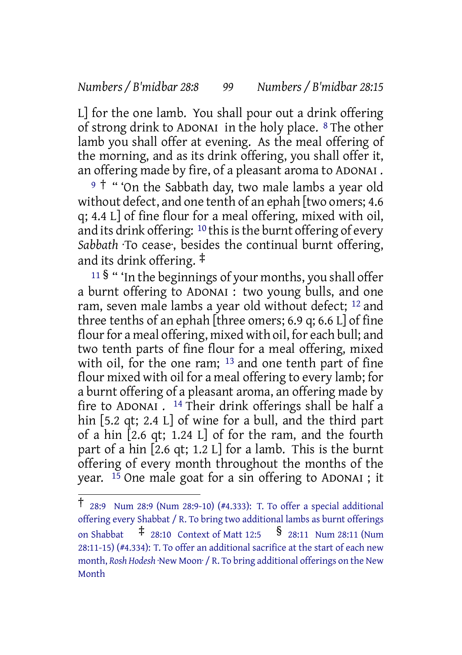#### *Numbers / B'midbar 28:8 99 Numbers / B'midbar 28:15*

L] for the one lamb. You shall pour out a drink offering of strong drink to ADONAI in the holy place. 8 The other lamb you shall offer at evening. As the meal offering of the morning, and as its drink offering, you shall offer it, an offering made by fire, of a pleasant aroma to ADONAI .

<sup>9</sup> † " 'On the Sabbath day, two male lambs a year old without defect, and one tenth of an ephah [two omers; 4.6 q; 4.4 L] of fine flour for a meal offering, mixed with oil, and its drink offering:  $10$  this is the burnt offering of every *Sabbath* ·To cease·, besides the continual burnt offering, and its drink offering. ‡

<sup>11</sup> § " 'In the beginnings of your months, you shall offer a burnt offering to ADONAI : two young bulls, and one ram, seven male lambs a year old without defect; 12 and three tenths of an ephah [three omers; 6.9 q; 6.6 L] of fine flour for a meal offering, mixed with oil, for each bull; and two tenth parts of fine flour for a meal offering, mixed with oil, for the one ram; <sup>13</sup> and one tenth part of fine flour mixed with oil for a meal offering to every lamb; for a burnt offering of a pleasant aroma, an offering made by fire to ADONAI . 14 Their drink offerings shall be half a hin [5.2 qt; 2.4 L] of wine for a bull, and the third part of a hin [2.6 qt; 1.24 L] of for the ram, and the fourth part of a hin  $[2.6$  qt; 1.2 L] for a lamb. This is the burnt offering of every month throughout the months of the year. 15 One male goat for a sin offering to ADONAI ; it

<sup>†</sup> 28:9 Num 28:9 (Num 28:9-10) (#4.333): T. To offer <sup>a</sup> special additional offering every Shabbat / R. To bring two additional lambs as burnt offerings on Shabbat ‡ 28:10 Context of Matt 12:5 § 28:11 Num 28:11 (Num 28:11-15) (#4.334): T. To offer an additional sacrifice at the start of each new month, *Rosh Hodesh* ·New Moon· / R. To bring additional offerings on the New Month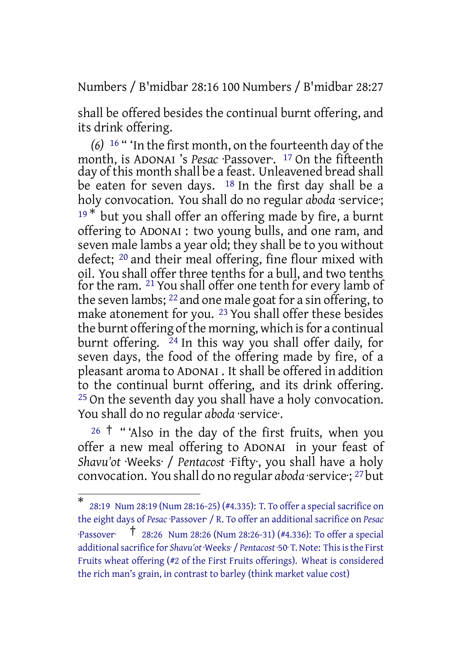Numbers / B'midbar 28:16 100 Numbers / B'midbar 28:27

shall be offered besides the continual burnt offering, and its drink offering.

*(6)* 16 " 'In the first month, on the fourteenth day of the month, is ADONAI 's *Pesac* ·Passover·. 17 On the fifteenth day of this month shall be a feast. Unleavened bread shall be eaten for seven days. <sup>18</sup> In the first day shall be a holy convocation. You shall do no regular *aboda* ·service;  $19*$  but you shall offer an offering made by fire, a burnt offering to ADONAI : two young bulls, and one ram, and seven male lambs a year old; they shall be to you without defect; 20 and their meal offering, fine flour mixed with oil. You shall offer three tenths for a bull, and two tenths for the ram. 21 You shall offer one tenth for every lamb of the seven lambs; 22 and one male goat for a sin offering, to make atonement for you. 23 You shall offer these besides the burnt offering of the morning, which is for a continual burnt offering.  $24 \text{ In this way you shall offer daily, for}$ seven days, the food of the offering made by fire, of a pleasant aroma to ADONAI . It shall be offered in addition to the continual burnt offering, and its drink offering. 25 On the seventh day you shall have a holy convocation. You shall do no regular *aboda* ·service.

 $26$  <sup>†</sup> "Also in the day of the first fruits, when you offer a new meal offering to ADONAI in your feast of *Shavu'ot* ·Weeks· / *Pentacost* ·Fifty·, you shall have a holy convocation. You shall do no regular *aboda* ·service·; 27 but

<sup>\*</sup> 28:19 Num 28:19 (Num 28:16-25) (#4.335): T. To offer a special sacrifice on the eight days of *Pesac* ·Passover· / R. To offer an additional sacrifice on *Pesac* ·Passover· † 28:26 Num 28:26 (Num 28:26-31) (#4.336): To offer <sup>a</sup> special additionalsacrifice for *Shavu'ot* ·Weeks· / *Pentacost* ·50· T.Note: Thisisthe First Fruits wheat offering (#2 of the First Fruits offerings). Wheat is considered the rich man's grain, in contrast to barley (think market value cost)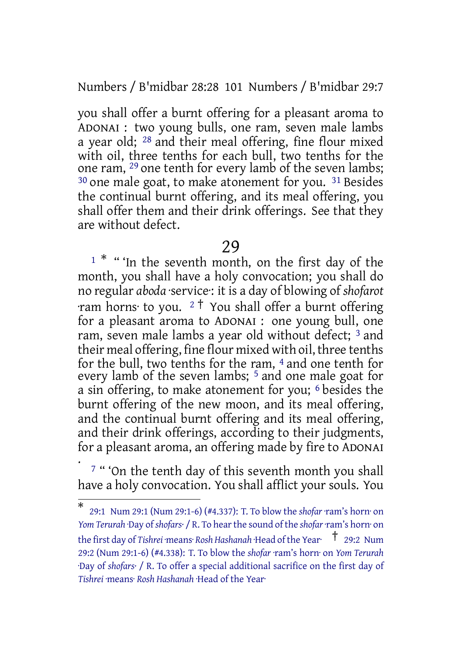Numbers / B'midbar 28:28 101 Numbers / B'midbar 29:7

you shall offer a burnt offering for a pleasant aroma to ADONAI : two young bulls, one ram, seven male lambs a year old; 28 and their meal offering, fine flour mixed with oil, three tenths for each bull, two tenths for the one ram, <sup>29</sup> one tenth for every lamb of the seven lambs; 30 one male goat, to make atonement for you. 31 Besides the continual burnt offering, and its meal offering, you shall offer them and their drink offerings. See that they are without defect.

#### 29

<sup>1 \*</sup> "'In the seventh month, on the first day of the month, you shall have a holy convocation; you shall do no regular *aboda* ·service·: it is a day of blowing of *shofarot* ·ram horns· to you. <sup>2</sup> † You shall offer a burnt offering for a pleasant aroma to ADONAI : one young bull, one ram, seven male lambs a year old without defect; 3 and their meal offering, fine flour mixed with oil, three tenths for the bull, two tenths for the ram, 4 and one tenth for every lamb of the seven lambs; <sup>5</sup> and one male goat for a sin offering, to make atonement for you; 6 besides the burnt offering of the new moon, and its meal offering, and the continual burnt offering and its meal offering, and their drink offerings, according to their judgments, for a pleasant aroma, an offering made by fire to ADONAI

. 7 " 'On the tenth day of this seventh month you shall have a holy convocation. You shall afflict your souls. You

<sup>\*</sup> 29:1 Num 29:1 (Num 29:1-6) (#4.337): T. To blow the *shofar* ·ram's horn· on *Yom Terurah* ·Day of *shofars·* / R. To hearthe sound of the *shofar* ·ram's horn· on the first day of *Tishrei* ·means· *Rosh Hashanah* ·Head ofthe Year· † 29:2 Num 29:2 (Num 29:1-6) (#4.338): T. To blow the *shofar* ·ram's horn· on *Yom Terurah* ·Day of *shofars·* / R. To offer a special additional sacrifice on the first day of *Tishrei* ·means· *Rosh Hashanah* ·Head of the Year·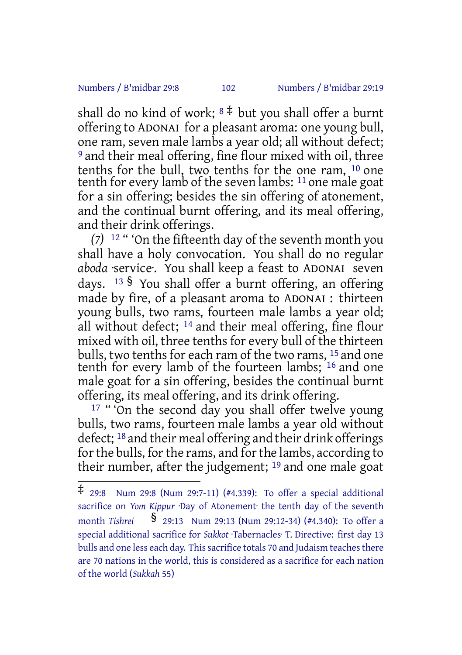#### Numbers / B'midbar 29:8 102 Numbers / B'midbar 29:19

shall do no kind of work;  $8 \ddagger$  but you shall offer a burnt offering to ADONAI for a pleasant aroma: one young bull, one ram, seven male lambs a year old; all without defect; 9 and their meal offering, fine flour mixed with oil, three tenths for the bull, two tenths for the one ram, 10 one tenth for every lamb of the seven lambs: 11 one male goat for a sin offering; besides the sin offering of atonement, and the continual burnt offering, and its meal offering, and their drink offerings.

*(7)* 12 " 'On the fifteenth day of the seventh month you shall have a holy convocation. You shall do no regular *aboda* ·service·. You shall keep a feast to ADONAI seven days. <sup>13</sup> § You shall offer a burnt offering, an offering made by fire, of a pleasant aroma to ADONAI : thirteen young bulls, two rams, fourteen male lambs a year old; all without defect;  $14$  and their meal offering, fine flour mixed with oil, three tenths for every bull of the thirteen bulls, two tenths for each ram of the two rams, 15 and one tenth for every lamb of the fourteen lambs; 16 and one male goat for a sin offering, besides the continual burnt offering, its meal offering, and its drink offering.

<sup>17</sup> " 'On the second day you shall offer twelve young bulls, two rams, fourteen male lambs a year old without defect; 18 and their meal offering and their drink offerings for the bulls, for the rams, and for the lambs, according to their number, after the judgement; 19 and one male goat

<sup>‡</sup> 29:8 Num 29:8 (Num 29:7-11) (#4.339): To offer <sup>a</sup> special additional sacrifice on *Yom Kippur* ·Day of Atonement· the tenth day of the seventh month *Tishrei* § 29:13 Num 29:13 (Num 29:12-34) (#4.340): To offer <sup>a</sup> special additional sacrifice for *Sukkot* ·Tabernacles· T. Directive: first day 13 bulls and one less each day. This sacrifice totals 70 and Judaism teaches there are 70 nations in the world, this is considered as a sacrifice for each nation of the world (*Sukkah* 55)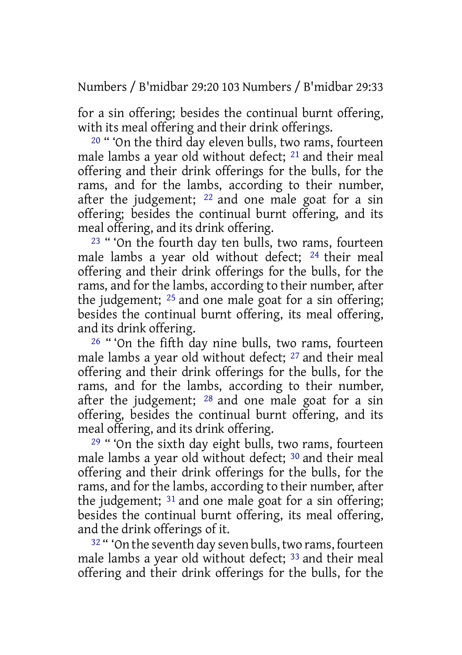Numbers / B'midbar 29:20 103 Numbers / B'midbar 29:33

for a sin offering; besides the continual burnt offering, with its meal offering and their drink offerings.

20 " 'On the third day eleven bulls, two rams, fourteen male lambs a year old without defect; 21 and their meal offering and their drink offerings for the bulls, for the rams, and for the lambs, according to their number, after the judgement; 22 and one male goat for a sin offering; besides the continual burnt offering, and its meal offering, and its drink offering.

<sup>23</sup> " 'On the fourth day ten bulls, two rams, fourteen male lambs a year old without defect; 24 their meal offering and their drink offerings for the bulls, for the rams, and for the lambs, according to their number, after the judgement; 25 and one male goat for a sin offering; besides the continual burnt offering, its meal offering, and its drink offering.

<sup>26</sup> "'On the fifth dav nine bulls, two rams, fourteen male lambs a year old without defect; 27 and their meal offering and their drink offerings for the bulls, for the rams, and for the lambs, according to their number, after the judgement; 28 and one male goat for a sin offering, besides the continual burnt offering, and its meal offering, and its drink offering.

29 " 'On the sixth day eight bulls, two rams, fourteen male lambs a year old without defect; 30 and their meal offering and their drink offerings for the bulls, for the rams, and for the lambs, according to their number, after the judgement; 31 and one male goat for a sin offering; besides the continual burnt offering, its meal offering, and the drink offerings of it.

<sup>32</sup> " 'On the seventh day seven bulls, two rams, fourteen male lambs a year old without defect; <sup>33</sup> and their meal offering and their drink offerings for the bulls, for the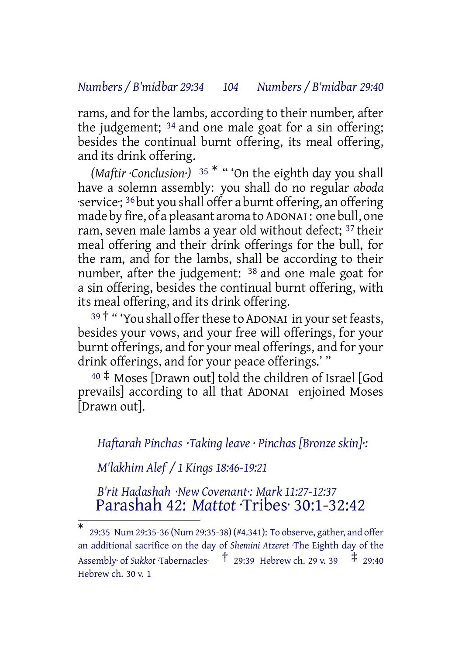#### *Numbers / B'midbar 29:34 104 Numbers / B'midbar 29:40*

rams, and for the lambs, according to their number, after the judgement; 34 and one male goat for a sin offering; besides the continual burnt offering, its meal offering, and its drink offering.

*(Maftir ·Conclusion·)* <sup>35</sup> \* " 'On the eighth day you shall have a solemn assembly: you shall do no regular *aboda* ·service·; 36 but you shall offer a burnt offering, an offering made by fire, of a pleasant aroma to ADONAI : one bull, one ram, seven male lambs a year old without defect; <sup>37</sup> their meal offering and their drink offerings for the bull, for the ram, and for the lambs, shall be according to their number, after the judgement: <sup>38</sup> and one male goat for a sin offering, besides the continual burnt offering, with its meal offering, and its drink offering.

 $39<sup>†</sup>$  "You shall offer these to ADONAI in your set feasts, besides your vows, and your free will offerings, for your burnt offerings, and for your meal offerings, and for your drink offerings, and for your peace offerings.' "

 $40 \div$  Moses [Drawn out] told the children of Israel [God] prevails] according to all that ADONAI enjoined Moses [Drawn out].

*Haftarah Pinchas ·Taking leave · Pinchas [Bronze skin]·:*

*M'lakhim Alef / 1 Kings 18:46-19:21*

*B'rit Hadashah ·New Covenant·: Mark 11:27-12:37* Parashah 42: *Mattot* ·Tribes· 30:1-32:42

<sup>\*</sup> 29:35 Num 29:35-36 (Num 29:35-38) (#4.341): To observe, gather, and offer an additional sacrifice on the day of *Shemini Atzeret* ·The Eighth day of the Assembly· of *Sukkot* Tabernacles·  $\uparrow$  29:39 Hebrew ch. 29 v. 39  $\downarrow$  29:40 Hebrew ch. 30 v. 1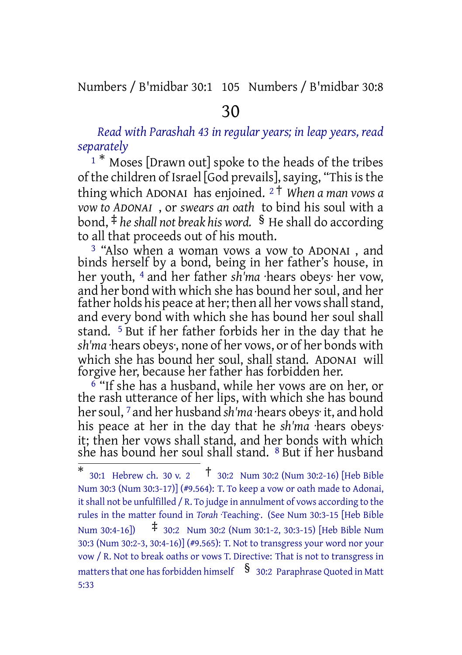Numbers / B'midbar 30:1 105 Numbers / B'midbar 30:8

# 30

*Read with Parashah 43 in regular years; in leap years, read separately*

<sup>1</sup> \* Moses [Drawn out] spoke to the heads of the tribes of the children of Israel [God prevails], saying, "This is the thing which ADONAI has enjoined. <sup>2</sup> † *When a man vows a vow to ADONAI* , or *swears an oath* to bind his soul with a bond, ‡ *heshall not break his word.* § He shall do according to all that proceeds out of his mouth.

3 "Also when a woman vows a vow to ADONAI , and binds herself by a bond, being in her father's house, in her youth, 4 and her father *sh'ma* ·hears obeys· her vow, and her bond with which she has bound her soul, and her father holds his peace at her; then all her vows shall stand, and every bond with which she has bound her soul shall stand. 5 But if her father forbids her in the day that he *sh'ma* ·hears obeys·, none of her vows, or of her bonds with which she has bound her soul, shall stand. ADONAI will forgive her, because her father has forbidden her.

6 "If she has a husband, while her vows are on her, or the rash utterance of her lips, with which she has bound her soul, <sup>7</sup> and her husband *sh'ma* ·hears obeys· it, and hold his peace at her in the day that he *sh'ma* ·hears obeys· it; then her vows shall stand, and her bonds with which she has bound her soul shall stand. 8 But if her husband

<sup>\*</sup> 30:1 Hebrew ch. <sup>30</sup> v. <sup>2</sup> † 30:2 Num 30:2 (Num 30:2-16) [Heb Bible Num 30:3 (Num 30:3-17)] (#9.564): T. To keep a vow or oath made to Adonai, itshall not be unfulfilled / R. To judge in annulment of vows according to the rules in the matter found in *Torah Teaching*. (See Num 30:3-15 [Heb Bible Num 30:4-16]) ‡ 30:2 Num 30:2 (Num 30:1-2, 30:3-15) [Heb Bible Num 30:3 (Num 30:2-3, 30:4-16)] (#9.565): T. Not to transgress your word nor your vow / R. Not to break oaths or vows T. Directive: That is not to transgress in matters that one has forbidden himself  $\S$  30:2 Paraphrase Quoted in Matt 5:33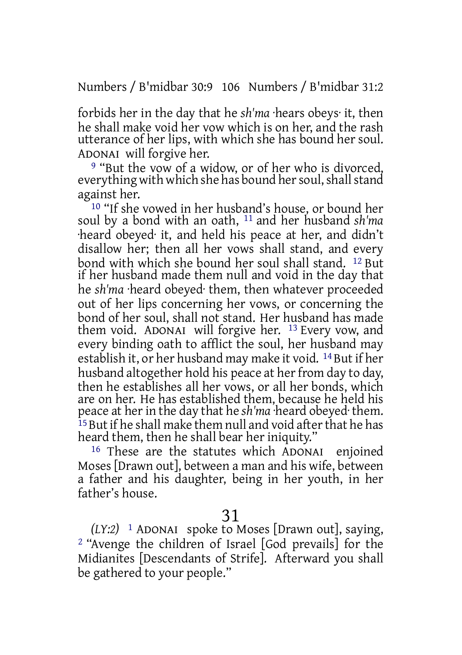Numbers / B'midbar 30:9 106 Numbers / B'midbar 31:2

forbids her in the day that he *sh'ma* ·hears obeys· it, then he shall make void her vow which is on her, and the rash utterance of her lips, with which she has bound her soul. ADONAI will forgive her.

9 "But the vow of a widow, or of her who is divorced, everything with which she has bound her soul, shall stand against her.

<sup>10</sup> "If she vowed in her husband's house, or bound her soul by a bond with an oath, 11 and her husband *sh'ma* ·heard obeyed· it, and held his peace at her, and didn't disallow her; then all her vows shall stand, and every bond with which she bound her soul shall stand. 12 But if her husband made them null and void in the day that he *sh'ma* ·heard obeyed· them, then whatever proceeded out of her lips concerning her vows, or concerning the bond of her soul, shall not stand. Her husband has made them void. ADONAI will forgive her. 13 Every vow, and every binding oath to afflict the soul, her husband may establish it, or her husband may make it void. 14 But if her husband altogether hold his peace at her from day to day, then he establishes all her vows, or all her bonds, which are on her. He has established them, because he held his peace at herin the day that he *sh'ma* ·heard obeyed· them. <sup>15</sup> But if he shall make them null and void after that he has heard them, then he shall bear her iniquity."

16 These are the statutes which ADONAI enjoined Moses [Drawn out], between a man and his wife, between a father and his daughter, being in her youth, in her father's house.

# 31

*(LY:2)* 1 ADONAI spoke to Moses [Drawn out], saying, 2 "Avenge the children of Israel [God prevails] for the Midianites [Descendants of Strife]. Afterward you shall be gathered to your people."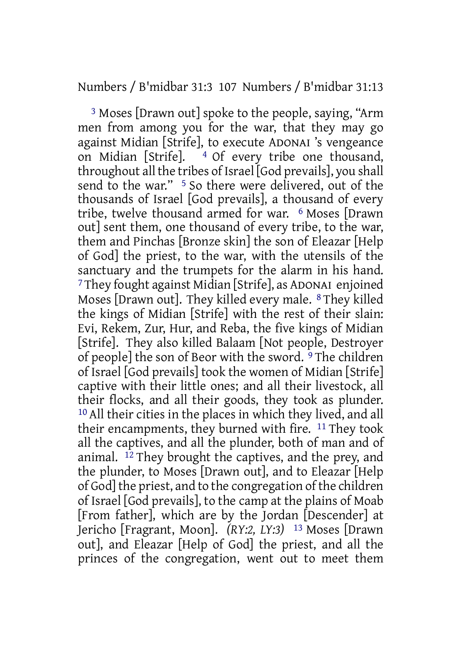### Numbers / B'midbar 31:3 107 Numbers / B'midbar 31:13

3 Moses [Drawn out] spoke to the people, saying, "Arm men from among you for the war, that they may go against Midian [Strife], to execute ADONAI 's vengeance on Midian [Strife]. 4 Of every tribe one thousand, throughout all the tribes of Israel [God prevails], you shall send to the war." <sup>5</sup> So there were delivered, out of the thousands of Israel [God prevails], a thousand of every tribe, twelve thousand armed for war. 6 Moses [Drawn out] sent them, one thousand of every tribe, to the war, them and Pinchas [Bronze skin] the son of Eleazar [Help of God] the priest, to the war, with the utensils of the sanctuary and the trumpets for the alarm in his hand. 7They fought against Midian [Strife], as ADONAI enjoined Moses [Drawn out]. They killed every male. 8 They killed the kings of Midian [Strife] with the rest of their slain: Evi, Rekem, Zur, Hur, and Reba, the five kings of Midian [Strife]. They also killed Balaam [Not people, Destroyer of people] the son of Beor with the sword. 9 The children of Israel [God prevails] took the women of Midian [Strife] captive with their little ones; and all their livestock, all their flocks, and all their goods, they took as plunder. 10 All their cities in the places in which they lived, and all their encampments, they burned with fire. 11 They took all the captives, and all the plunder, both of man and of animal. 12 They brought the captives, and the prey, and the plunder, to Moses [Drawn out], and to Eleazar [Help of God] the priest, and to the congregation of the children of Israel [God prevails], to the camp at the plains of Moab [From father], which are by the Jordan [Descender] at Jericho [Fragrant, Moon]. *(RY:2, LY:3)* 13 Moses [Drawn out], and Eleazar [Help of God] the priest, and all the princes of the congregation, went out to meet them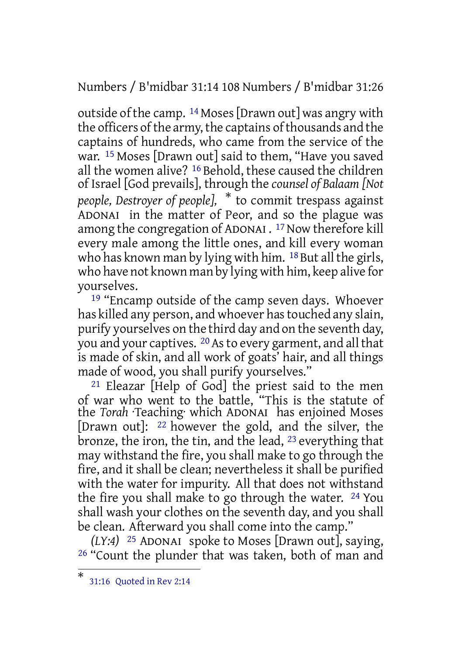Numbers / B'midbar 31:14 108 Numbers / B'midbar 31:26

outside of the camp. 14 Moses[Drawn out] was angry with the officers of the army, the captains of thousands and the captains of hundreds, who came from the service of the war. 15 Moses [Drawn out] said to them, "Have you saved all the women alive? 16 Behold, these caused the children of Israel [God prevails], through the *counsel of Balaam [Not people, Destroyer of people],* \* to commit trespass against ADONAI in the matter of Peor, and so the plague was among the congregation of ADONAI .<sup>17</sup> Now therefore kill every male among the little ones, and kill every woman who has known man by lying with him. <sup>18</sup> But all the girls, who have not known man by lying with him, keep alive for yourselves.

19 "Encamp outside of the camp seven days. Whoever has killed any person, and whoever has touched any slain, purify yourselves on the third day and on the seventh day, you and your captives. <sup>20</sup> As to every garment, and all that is made of skin, and all work of goats' hair, and all things made of wood, you shall purify yourselves."

21 Eleazar [Help of God] the priest said to the men of war who went to the battle, "This is the statute of the *Torah* ·Teaching· which ADONAI has enjoined Moses [Drawn out]: 22 however the gold, and the silver, the bronze, the iron, the tin, and the lead, 23 everything that may withstand the fire, you shall make to go through the fire, and it shall be clean; nevertheless it shall be purified with the water for impurity. All that does not withstand the fire you shall make to go through the water. 24 You shall wash your clothes on the seventh day, and you shall be clean. Afterward you shall come into the camp."

*(LY:4)* 25 ADONAI spoke to Moses [Drawn out], saying, 26 "Count the plunder that was taken, both of man and

<sup>\*</sup> 31:16 Quoted in Rev 2:14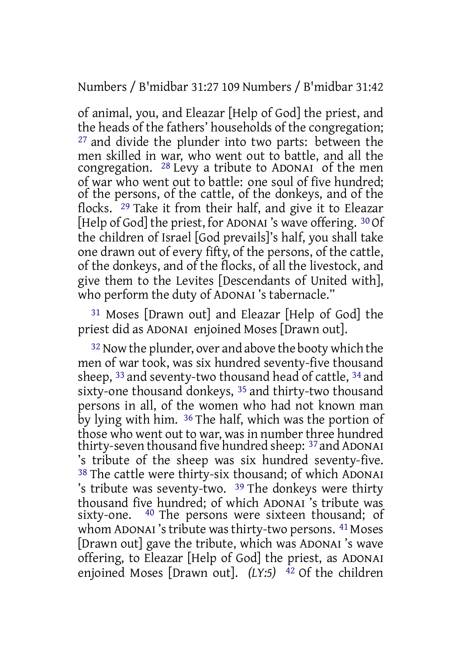Numbers / B'midbar 31:27 109 Numbers / B'midbar 31:42

of animal, you, and Eleazar [Help of God] the priest, and the heads of the fathers' households of the congregation; 27 and divide the plunder into two parts: between the men skilled in war, who went out to battle, and all the congregation. 28 Levy a tribute to ADONAI of the men of war who went out to battle: one soul of five hundred; of the persons, of the cattle, of the donkeys, and of the flocks. 29 Take it from their half, and give it to Eleazar [Help of God] the priest, for ADONAI's wave offering. 30 Of the children of Israel [God prevails]'s half, you shall take one drawn out of every fifty, of the persons, of the cattle, of the donkeys, and of the flocks, of all the livestock, and give them to the Levites [Descendants of United with], who perform the duty of ADONAI 's tabernacle."

31 Moses [Drawn out] and Eleazar [Help of God] the priest did as ADONAI enjoined Moses [Drawn out].

32 Now the plunder, over and above the booty which the men of war took, was six hundred seventy-five thousand sheep, 33 and seventy-two thousand head of cattle, 34 and sixty-one thousand donkeys, 35 and thirty-two thousand persons in all, of the women who had not known man by lying with him. 36 The half, which was the portion of those who went out to war, was in number three hundred thirty-seven thousand five hundred sheep: 37 and ADONAI 's tribute of the sheep was six hundred seventy-five. 38 The cattle were thirty-six thousand; of which ADONAI 's tribute was seventy-two. 39 The donkeys were thirty thousand five hundred; of which ADONAI 's tribute was sixty-one. <sup>40</sup> The persons were sixteen thousand; of whom ADONAI's tribute was thirty-two persons. <sup>41</sup> Moses [Drawn out] gave the tribute, which was ADONAI 's wave offering, to Eleazar [Help of God] the priest, as ADONAI enjoined Moses [Drawn out]. *(LY:5)* <sup>42</sup> Of the children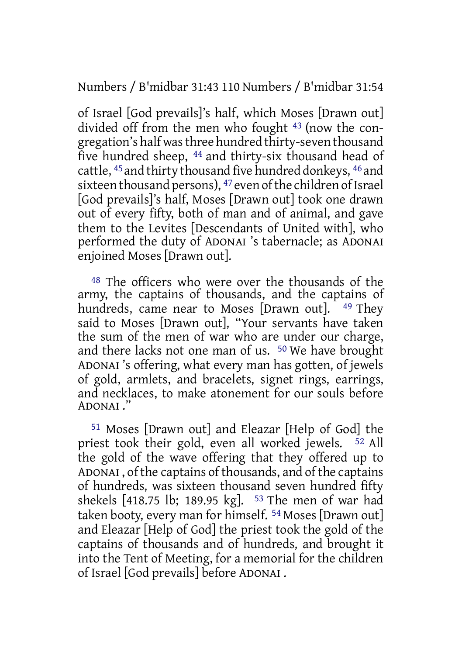Numbers / B'midbar 31:43 110 Numbers / B'midbar 31:54

of Israel [God prevails]'s half, which Moses [Drawn out] divided off from the men who fought 43 (now the congregation's half wasthree hundred thirty-seven thousand five hundred sheep, 44 and thirty-six thousand head of cattle, 45 and thirty thousand five hundred donkeys, 46 and sixteen thousand persons), <sup>47</sup> even of the children of Israel [God prevails]'s half, Moses [Drawn out] took one drawn out of every fifty, both of man and of animal, and gave them to the Levites [Descendants of United with], who performed the duty of ADONAI 's tabernacle; as ADONAI enjoined Moses [Drawn out].

48 The officers who were over the thousands of the army, the captains of thousands, and the captains of hundreds, came near to Moses [Drawn out]. <sup>49</sup> They said to Moses [Drawn out], "Your servants have taken the sum of the men of war who are under our charge, and there lacks not one man of us. 50 We have brought ADONAI 's offering, what every man has gotten, of jewels of gold, armlets, and bracelets, signet rings, earrings, and necklaces, to make atonement for our souls before ADONAI ."

51 Moses [Drawn out] and Eleazar [Help of God] the priest took their gold, even all worked jewels. 52 All the gold of the wave offering that they offered up to ADONAI , of the captains of thousands, and of the captains of hundreds, was sixteen thousand seven hundred fifty shekels [418.75 lb; 189.95 kg]. 53 The men of war had taken booty, every man for himself. 54 Moses [Drawn out] and Eleazar [Help of God] the priest took the gold of the captains of thousands and of hundreds, and brought it into the Tent of Meeting, for a memorial for the children of Israel [God prevails] before ADONAI .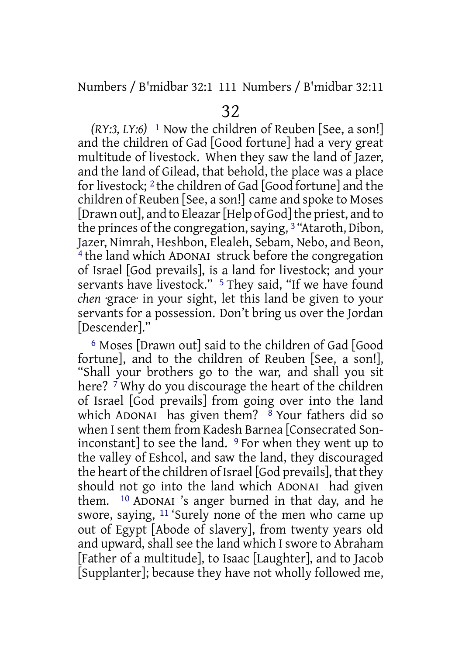Numbers / B'midbar 32:1 111 Numbers / B'midbar 32:11

*(RY:3, LY:6)* 1 Now the children of Reuben [See, a son!] and the children of Gad [Good fortune] had a very great multitude of livestock. When they saw the land of Jazer, and the land of Gilead, that behold, the place was a place for livestock; 2 the children of Gad [Good fortune] and the children of Reuben [See, a son!] came and spoke to Moses [Drawn out], and to Eleazar [Help of God] the priest, and to the princes of the congregation, saying, <sup>3</sup> "Ataroth, Dibon, Jazer, Nimrah, Heshbon, Elealeh, Sebam, Nebo, and Beon, 4 the land which ADONAI struck before the congregation of Israel [God prevails], is a land for livestock; and your servants have livestock." <sup>5</sup> They said, "If we have found *chen* ·grace· in your sight, let this land be given to your servants for a possession. Don't bring us over the Jordan [Descender]."

6 Moses [Drawn out] said to the children of Gad [Good fortune], and to the children of Reuben [See, a son!], "Shall your brothers go to the war, and shall you sit here?  $\bar{7}$  Why do you discourage the heart of the children of Israel [God prevails] from going over into the land which ADONAI has given them?  $8$  Your fathers did so when I sent them from Kadesh Barnea [Consecrated Soninconstant] to see the land.  $9$  For when they went up to the valley of Eshcol, and saw the land, they discouraged the heart of the children of Israel [God prevails], that they should not go into the land which ADONAI had given them. 10 ADONAI 's anger burned in that day, and he swore, saying, 11 'Surely none of the men who came up out of Egypt [Abode of slavery], from twenty years old and upward, shall see the land which I swore to Abraham [Father of a multitude], to Isaac [Laughter], and to Jacob [Supplanter]; because they have not wholly followed me,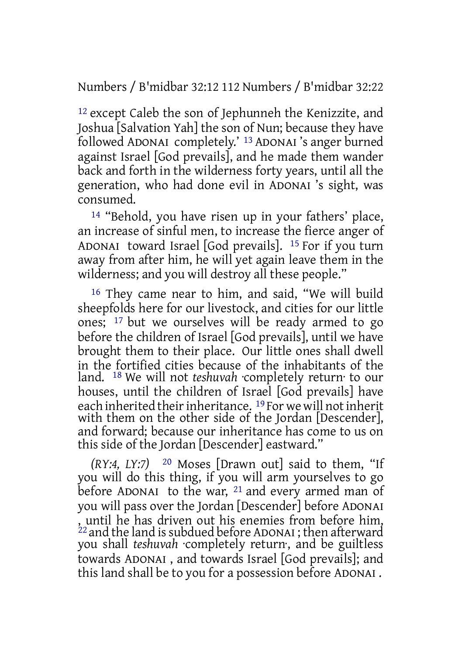Numbers / B'midbar 32:12 112 Numbers / B'midbar 32:22

12 except Caleb the son of Jephunneh the Kenizzite, and Joshua [Salvation Yah] the son of Nun; because they have followed ADONAI completely.' 13 ADONAI 's anger burned against Israel [God prevails], and he made them wander back and forth in the wilderness forty years, until all the generation, who had done evil in ADONAI 's sight, was consumed.

14 "Behold, you have risen up in your fathers' place, an increase of sinful men, to increase the fierce anger of ADONAI toward Israel [God prevails]. 15 For if you turn away from after him, he will yet again leave them in the wilderness; and you will destroy all these people."

16 They came near to him, and said, "We will build sheepfolds here for our livestock, and cities for our little ones; 17 but we ourselves will be ready armed to go before the children of Israel [God prevails], until we have brought them to their place. Our little ones shall dwell in the fortified cities because of the inhabitants of the land. 18 We will not *teshuvah* ·completely return· to our houses, until the children of Israel [God prevails] have each inherited their inheritance. <sup>19</sup> For we will not inherit with them on the other side of the Jordan [Descender], and forward; because our inheritance has come to us on this side of the Jordan [Descender] eastward."

*(RY:4, LY:7)* 20 Moses [Drawn out] said to them, "If you will do this thing, if you will arm yourselves to go before ADONAI to the war, <sup>21</sup> and every armed man of you will pass over the Jordan [Descender] before ADONAI , until he has driven out his enemies from before him,  $^{22}$  and the land is subdued before ADONAI ; then afterward you shall *teshuvah* ·completely return·, and be guiltless towards ADONAI , and towards Israel [God prevails]; and this land shall be to you for a possession before ADONAI .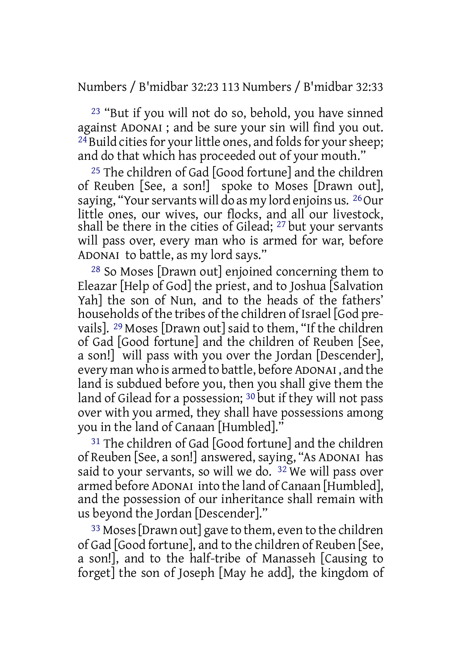Numbers / B'midbar 32:23 113 Numbers / B'midbar 32:33

23 "But if you will not do so, behold, you have sinned against ADONAI ; and be sure your sin will find you out. <sup>24</sup> Build cities for your little ones, and folds for your sheep; and do that which has proceeded out of your mouth."

25 The children of Gad [Good fortune] and the children of Reuben [See, a son!] spoke to Moses [Drawn out], saying, "Your servants will do as my lord enjoins us. <sup>26</sup> Our little ones, our wives, our flocks, and all our livestock, shall be there in the cities of Gilead; 27 but your servants will pass over, every man who is armed for war, before ADONAI to battle, as my lord says."

28 So Moses [Drawn out] enjoined concerning them to Eleazar [Help of God] the priest, and to Joshua [Salvation Yah] the son of Nun, and to the heads of the fathers' households of the tribes of the children of Israel [God prevails]. 29 Moses [Drawn out] said to them, "If the children of Gad [Good fortune] and the children of Reuben [See, a son!] will pass with you over the Jordan [Descender], every man who is armed to battle, before ADONAI , and the land is subdued before you, then you shall give them the land of Gilead for a possession; <sup>30</sup> but if they will not pass over with you armed, they shall have possessions among you in the land of Canaan [Humbled]."

31 The children of Gad [Good fortune] and the children of Reuben [See, a son!] answered, saying, "As ADONAI has said to your servants, so will we do.  $32$  We will pass over armed before ADONAI into the land of Canaan [Humbled], and the possession of our inheritance shall remain with us beyond the Jordan [Descender]."

33 Moses[Drawn out] gave to them, even to the children of Gad [Good fortune], and to the children of Reuben [See, a son!], and to the half-tribe of Manasseh [Causing to forget] the son of Joseph [May he add], the kingdom of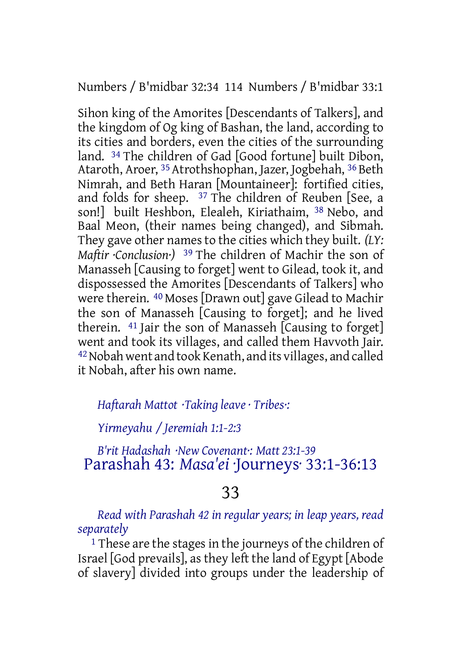Numbers / B'midbar 32:34 114 Numbers / B'midbar 33:1

Sihon king of the Amorites [Descendants of Talkers], and the kingdom of Og king of Bashan, the land, according to its cities and borders, even the cities of the surrounding land. 34 The children of Gad [Good fortune] built Dibon, Ataroth, Aroer, <sup>35</sup> Atrothshophan, Jazer, Jogbehah, <sup>36</sup> Beth Nimrah, and Beth Haran [Mountaineer]: fortified cities, and folds for sheep. 37 The children of Reuben [See, a son!] built Heshbon, Elealeh, Kiriathaim, 38 Nebo, and Baal Meon, (their names being changed), and Sibmah. They gave other names to the cities which they built. *(LY: Maftir ·Conclusion·)* 39 The children of Machir the son of Manasseh [Causing to forget] went to Gilead, took it, and dispossessed the Amorites [Descendants of Talkers] who were therein. 40 Moses [Drawn out] gave Gilead to Machir the son of Manasseh [Causing to forget]; and he lived therein. 41 Jair the son of Manasseh [Causing to forget] went and took its villages, and called them Havvoth Jair. 42Nobah went and took Kenath, and its villages, and called it Nobah, after his own name.

*Haftarah Mattot ·Taking leave · Tribes·:*

*Yirmeyahu / Jeremiah 1:1-2:3*

*B'rit Hadashah ·New Covenant·: Matt 23:1-39* Parashah 43: *Masa'ei* ·Journeys· 33:1-36:13

## 33

*Read with Parashah 42 in regular years; in leap years, read separately*

 $1$  These are the stages in the journeys of the children of Israel [God prevails], as they left the land of Egypt [Abode of slavery] divided into groups under the leadership of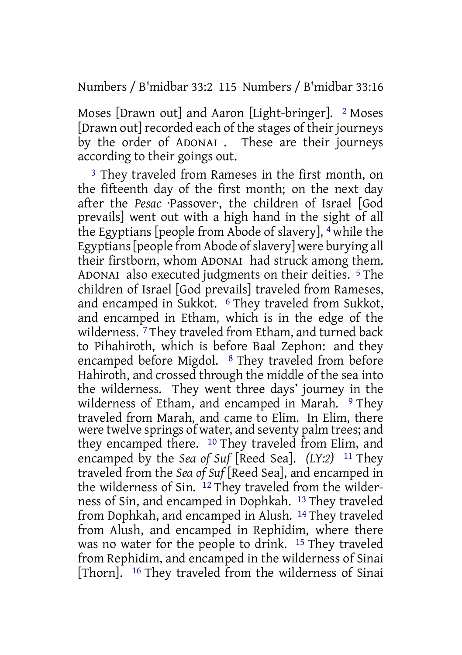Numbers / B'midbar 33:2 115 Numbers / B'midbar 33:16

Moses [Drawn out] and Aaron [Light-bringer]. 2 Moses [Drawn out] recorded each of the stages of their journeys by the order of ADONAI . These are their journeys according to their goings out.

3 They traveled from Rameses in the first month, on the fifteenth day of the first month; on the next day after the *Pesac* ·Passover·, the children of Israel [God prevails] went out with a high hand in the sight of all the Egyptians [people from Abode of slavery], 4 while the Egyptians [people from Abode of slavery] were burying all their firstborn, whom ADONAI had struck among them. ADONAI also executed judgments on their deities. 5 The children of Israel [God prevails] traveled from Rameses, and encamped in Sukkot. 6 They traveled from Sukkot, and encamped in Etham, which is in the edge of the wilderness.<sup>7</sup> They traveled from Etham, and turned back to Pihahiroth, which is before Baal Zephon: and they encamped before Migdol. 8 They traveled from before Hahiroth, and crossed through the middle of the sea into the wilderness. They went three days' journey in the wilderness of Etham, and encamped in Marah. <sup>9</sup> They traveled from Marah, and came to Elim. In Elim, there were twelve springs of water, and seventy palm trees; and they encamped there. 10 They traveled from Elim, and encamped by the *Sea of Suf* [Reed Sea]. *(LY:2)* 11 They traveled from the *Sea of Suf* [Reed Sea], and encamped in the wilderness of Sin. 12 They traveled from the wilderness of Sin, and encamped in Dophkah. 13 They traveled from Dophkah, and encamped in Alush. 14 They traveled from Alush, and encamped in Rephidim, where there was no water for the people to drink. <sup>15</sup> They traveled from Rephidim, and encamped in the wilderness of Sinai [Thorn]. 16 They traveled from the wilderness of Sinai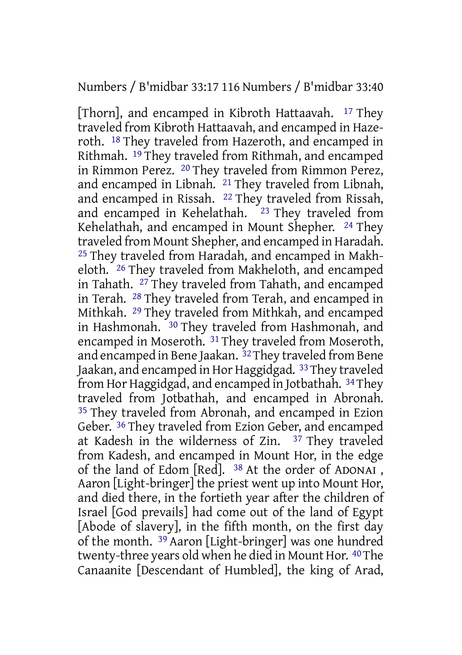### Numbers / B'midbar 33:17 116 Numbers / B'midbar 33:40

[Thorn], and encamped in Kibroth Hattaavah. 17 They traveled from Kibroth Hattaavah, and encamped in Hazeroth. 18 They traveled from Hazeroth, and encamped in Rithmah. 19 They traveled from Rithmah, and encamped in Rimmon Perez. 20 They traveled from Rimmon Perez, and encamped in Libnah. 21 They traveled from Libnah, and encamped in Rissah. 22 They traveled from Rissah, and encamped in Kehelathah. <sup>23</sup> They traveled from Kehelathah, and encamped in Mount Shepher. <sup>24</sup> They traveled from Mount Shepher, and encamped in Haradah. 25 They traveled from Haradah, and encamped in Makheloth. 26 They traveled from Makheloth, and encamped in Tahath. 27 They traveled from Tahath, and encamped in Terah. 28 They traveled from Terah, and encamped in Mithkah. 29 They traveled from Mithkah, and encamped in Hashmonah. 30 They traveled from Hashmonah, and encamped in Moseroth. 31 They traveled from Moseroth, and encamped in Bene Jaakan. 32They traveled from Bene Jaakan, and encamped in Hor Haggidgad. 33They traveled from Hor Haggidgad, and encamped in Jotbathah. 34They traveled from Jotbathah, and encamped in Abronah. <sup>35</sup> They traveled from Abronah, and encamped in Ezion Geber. 36 They traveled from Ezion Geber, and encamped at Kadesh in the wilderness of Zin. 37 They traveled from Kadesh, and encamped in Mount Hor, in the edge of the land of Edom [Red]. 38 At the order of ADONAI , Aaron [Light-bringer] the priest went up into Mount Hor, and died there, in the fortieth year after the children of Israel [God prevails] had come out of the land of Egypt [Abode of slavery], in the fifth month, on the first day of the month. 39 Aaron [Light-bringer] was one hundred twenty-three years old when he died in Mount Hor. 40The Canaanite [Descendant of Humbled], the king of Arad,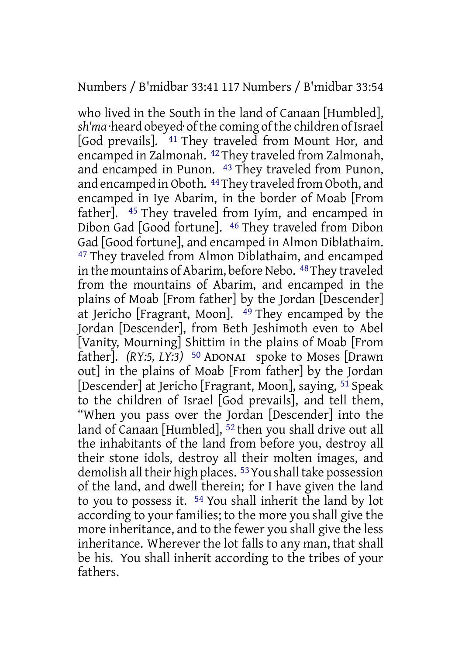### Numbers / B'midbar 33:41 117 Numbers / B'midbar 33:54

who lived in the South in the land of Canaan [Humbled], sh'ma heard obeyed of the coming of the children of Israel [God prevails]. 41 They traveled from Mount Hor, and encamped in Zalmonah. 42 They traveled from Zalmonah, and encamped in Punon. 43 They traveled from Punon, and encamped in Oboth. 44They traveled from Oboth, and encamped in Iye Abarim, in the border of Moab [From father]. 45 They traveled from Iyim, and encamped in Dibon Gad [Good fortune]. 46 They traveled from Dibon Gad [Good fortune], and encamped in Almon Diblathaim. 47 They traveled from Almon Diblathaim, and encamped in the mountains of Abarim, before Nebo. 48 They traveled from the mountains of Abarim, and encamped in the plains of Moab [From father] by the Jordan [Descender] at Jericho [Fragrant, Moon]. 49 They encamped by the Jordan [Descender], from Beth Jeshimoth even to Abel [Vanity, Mourning] Shittim in the plains of Moab [From father]. *(RY:5, LY:3)* 50 ADONAI spoke to Moses [Drawn out] in the plains of Moab [From father] by the Jordan [Descender] at Jericho [Fragrant, Moon], saying, 51 Speak to the children of Israel [God prevails], and tell them, "When you pass over the Jordan [Descender] into the land of Canaan [Humbled], 52 then you shall drive out all the inhabitants of the land from before you, destroy all their stone idols, destroy all their molten images, and demolish all their high places. <sup>53</sup> You shall take possession of the land, and dwell therein; for I have given the land to you to possess it. 54 You shall inherit the land by lot according to your families; to the more you shall give the more inheritance, and to the fewer you shall give the less inheritance. Wherever the lot falls to any man, that shall be his. You shall inherit according to the tribes of your fathers.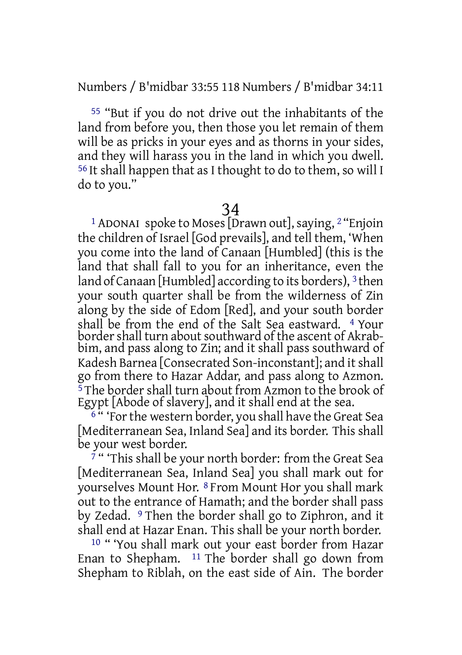Numbers / B'midbar 33:55 118 Numbers / B'midbar 34:11

55 "But if you do not drive out the inhabitants of the land from before you, then those you let remain of them will be as pricks in your eyes and as thorns in your sides, and they will harass you in the land in which you dwell. 56 It shall happen that as I thought to do to them, so will I do to you."

34

<sup>1</sup> ADONAI spoke to Moses [Drawn out], saying,  $2$  "Enjoin the children of Israel [God prevails], and tell them, 'When you come into the land of Canaan [Humbled] (this is the land that shall fall to you for an inheritance, even the land of Canaan [Humbled] according to its borders), 3 then your south quarter shall be from the wilderness of Zin along by the side of Edom [Red], and your south border shall be from the end of the Salt Sea eastward. 4 Your border shall turn about southward of the ascent of Akrabbim, and pass along to Zin; and it shall pass southward of Kadesh Barnea [Consecrated Son-inconstant]; and it shall go from there to Hazar Addar, and pass along to Azmon.  $\frac{5}{3}$  The border shall turn about from Azmon to the brook of Egypt [Abode of slavery], and it shall end at the sea.

<sup>6</sup> " 'For the western border, you shall have the Great Sea [Mediterranean Sea, Inland Sea] and its border. This shall be your west border.

 $7$  " This shall be your north border: from the Great Sea [Mediterranean Sea, Inland Sea] you shall mark out for yourselves Mount Hor. 8 From Mount Hor you shall mark out to the entrance of Hamath; and the border shall pass by Zedad. 9 Then the border shall go to Ziphron, and it shall end at Hazar Enan. This shall be your north border.

10 " 'You shall mark out your east border from Hazar Enan to Shepham.  $11$  The border shall go down from Shepham to Riblah, on the east side of Ain. The border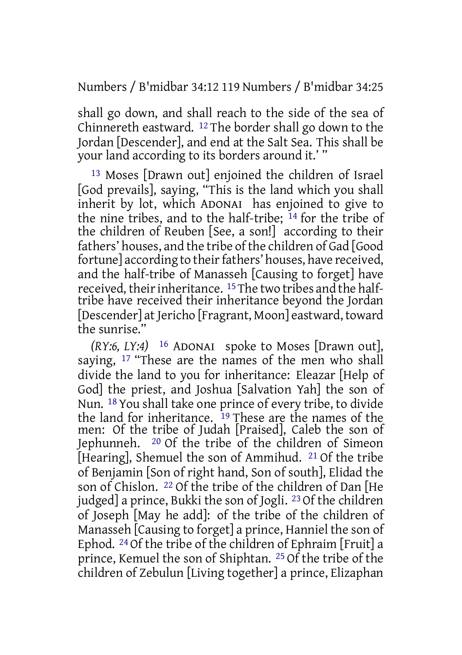Numbers / B'midbar 34:12 119 Numbers / B'midbar 34:25

shall go down, and shall reach to the side of the sea of Chinnereth eastward. 12 The border shall go down to the Jordan [Descender], and end at the Salt Sea. This shall be your land according to its borders around it.' "

13 Moses [Drawn out] enjoined the children of Israel [God prevails], saying, "This is the land which you shall inherit by lot, which ADONAI has enjoined to give to the nine tribes, and to the half-tribe; 14 for the tribe of the children of Reuben [See, a son!] according to their fathers' houses, and the tribe of the children of Gad [Good fortune] according to their fathers' houses, have received, and the half-tribe of Manasseh [Causing to forget] have received, their inheritance.  $15$  The two tribes and the halftribe have received their inheritance beyond the Jordan [Descender] at Jericho [Fragrant, Moon] eastward, toward the sunrise."

*(RY:6, LY:4)* 16 ADONAI spoke to Moses [Drawn out], saying, <sup>17</sup> "These are the names of the men who shall divide the land to you for inheritance: Eleazar [Help of God] the priest, and Joshua [Salvation Yah] the son of Nun. 18 You shall take one prince of every tribe, to divide the land for inheritance. <sup>19</sup> These are the names of the men: Of the tribe of Judah [Praised], Caleb the son of Jephunneh. 20 Of the tribe of the children of Simeon [Hearing], Shemuel the son of Ammihud. 21 Of the tribe of Benjamin [Son of right hand, Son of south], Elidad the son of Chislon. 22 Of the tribe of the children of Dan [He judged] a prince, Bukki the son of Jogli. 23 Of the children of Joseph [May he add]: of the tribe of the children of Manasseh [Causing to forget] a prince, Hanniel the son of Ephod. 24 Of the tribe of the children of Ephraim [Fruit] a prince, Kemuel the son of Shiphtan. 25 Of the tribe of the children of Zebulun [Living together] a prince, Elizaphan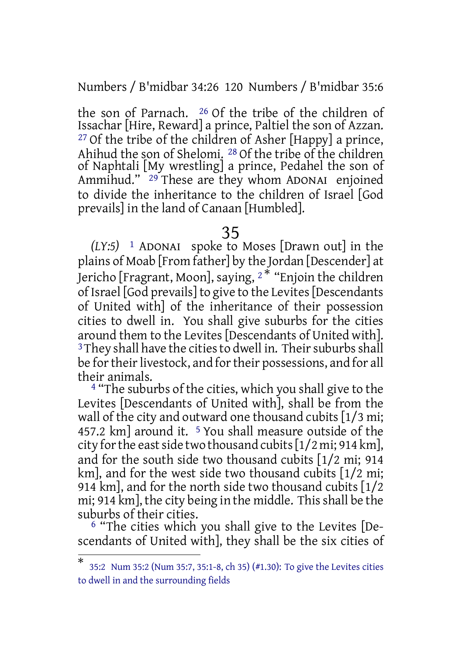Numbers / B'midbar 34:26 120 Numbers / B'midbar 35:6

the son of Parnach.  $^{26}$  Of the tribe of the children of Issachar [Hire, Reward] a prince, Paltiel the son of Azzan.  $27$  Of the tribe of the children of Asher [Happy] a prince, Ahihud the son of Shelomi. 28 Of the tribe of the children of Naphtali [My wrestling] a prince, Pedahel the son of Ammihud." 29 These are they whom ADONAI enjoined to divide the inheritance to the children of Israel [God prevails] in the land of Canaan [Humbled].

### 35

*(LY:5)* 1 ADONAI spoke to Moses [Drawn out] in the plains of Moab [From father] by the Jordan [Descender] at Jericho [Fragrant, Moon], saying, <sup>2</sup> \* "Enjoin the children of Israel [God prevails] to give to the Levites[Descendants of United with] of the inheritance of their possession cities to dwell in. You shall give suburbs for the cities around them to the Levites [Descendants of United with]. <sup>3</sup>They shall have the cities to dwell in. Their suburbs shall be for their livestock, and for their possessions, and for all their animals.

<sup>4</sup> "The suburbs of the cities, which you shall give to the Levites [Descendants of United with], shall be from the wall of the city and outward one thousand cubits [1/3 mi; 457.2 km] around it. <sup>5</sup> You shall measure outside of the city for the east side two thousand cubits  $[1/2 \text{ mi}; 914 \text{ km}]$ , and for the south side two thousand cubits [1/2 mi; 914 km], and for the west side two thousand cubits [1/2 mi; 914 km], and for the north side two thousand cubits [1/2 mi; 914 km], the city being in the middle. Thisshall be the suburbs of their cities.

6 "The cities which you shall give to the Levites [Descendants of United with], they shall be the six cities of

<sup>\*</sup> 35:2 Num 35:2 (Num 35:7, 35:1-8, ch 35) (#1.30): To give the Levites cities to dwell in and the surrounding fields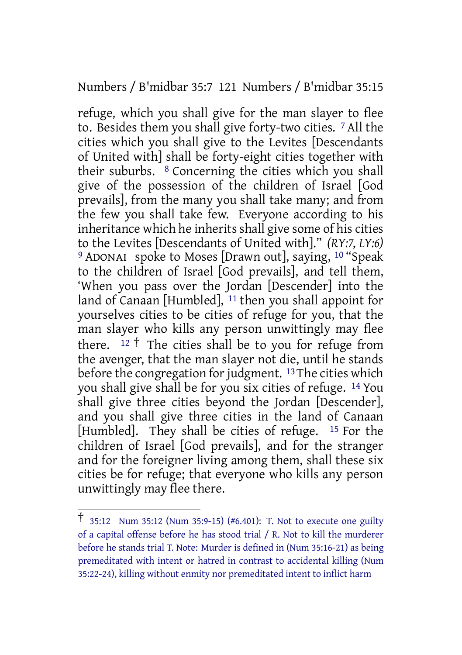Numbers / B'midbar 35:7 121 Numbers / B'midbar 35:15

refuge, which you shall give for the man slayer to flee to. Besides them you shall give forty-two cities. 7 All the cities which you shall give to the Levites [Descendants of United with] shall be forty-eight cities together with their suburbs. 8 Concerning the cities which you shall give of the possession of the children of Israel [God prevails], from the many you shall take many; and from the few you shall take few. Everyone according to his inheritance which he inherits shall give some of his cities to the Levites [Descendants of United with]." *(RY:7, LY:6)* <sup>9</sup> ADONAI spoke to Moses [Drawn out], saying, <sup>10</sup> "Speak to the children of Israel [God prevails], and tell them, 'When you pass over the Jordan [Descender] into the land of Canaan [Humbled], 11 then you shall appoint for yourselves cities to be cities of refuge for you, that the man slayer who kills any person unwittingly may flee there.  $12 \dagger$  The cities shall be to you for refuge from the avenger, that the man slayer not die, until he stands before the congregation for judgment.  $13$  The cities which you shall give shall be for you six cities of refuge. 14 You shall give three cities beyond the Jordan [Descender], and you shall give three cities in the land of Canaan [Humbled]. They shall be cities of refuge. 15 For the children of Israel [God prevails], and for the stranger and for the foreigner living among them, shall these six cities be for refuge; that everyone who kills any person unwittingly may flee there.

<sup>†</sup> 35:12 Num 35:12 (Num 35:9-15) (#6.401): T. Not to execute one guilty of a capital offense before he has stood trial / R. Not to kill the murderer before he stands trial T. Note: Murder is defined in (Num 35:16-21) as being premeditated with intent or hatred in contrast to accidental killing (Num 35:22-24), killing without enmity nor premeditated intent to inflict harm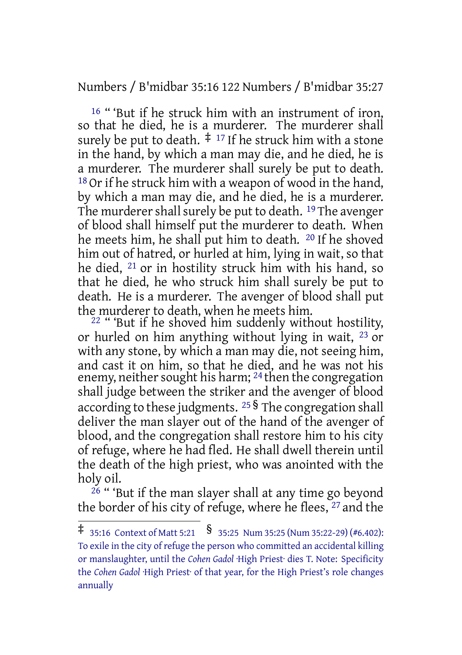Numbers / B'midbar 35:16 122 Numbers / B'midbar 35:27

<sup>16</sup> "But if he struck him with an instrument of iron, so that he died, he is a murderer. The murderer shall surely be put to death.  $\ddagger$  17 If he struck him with a stone in the hand, by which a man may die, and he died, he is a murderer. The murderer shall surely be put to death.  $18$  Or if he struck him with a weapon of wood in the hand, by which a man may die, and he died, he is a murderer. The murderer shall surely be put to death. <sup>19</sup> The avenger of blood shall himself put the murderer to death. When he meets him, he shall put him to death. <sup>20</sup> If he shoved him out of hatred, or hurled at him, lying in wait, so that he died, 21 or in hostility struck him with his hand, so that he died, he who struck him shall surely be put to death. He is a murderer. The avenger of blood shall put the murderer to death, when he meets him.

22 " 'But if he shoved him suddenly without hostility, or hurled on him anything without lying in wait, 23 or with any stone, by which a man may die, not seeing him, and cast it on him, so that he died, and he was not his enemy, neither sought his harm; <sup>24</sup> then the congregation shall judge between the striker and the avenger of blood according to these judgments. <sup>25</sup> § The congregation shall deliver the man slayer out of the hand of the avenger of blood, and the congregation shall restore him to his city of refuge, where he had fled. He shall dwell therein until the death of the high priest, who was anointed with the holy oil.

<sup>26</sup> " 'But if the man slayer shall at any time go beyond the border of his city of refuge, where he flees, 27 and the

 $\ddagger$  35:16 Context of Matt 5:21 § 35:25 Num 35:25 (Num 35:22-29) (#6.402): To exile in the city of refuge the person who committed an accidental killing or manslaughter, until the *Cohen Gadol* ·High Priest· dies T. Note: Specificity the *Cohen Gadol* ·High Priest· of that year, for the High Priest's role changes annually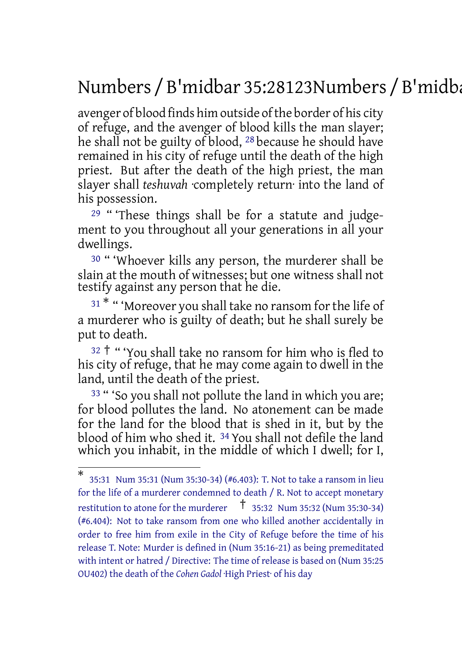# Numbers / B'midbar 35:28123Numbers / B'midbar 35:34

avenger of blood finds him outside of the border of his city of refuge, and the avenger of blood kills the man slayer; he shall not be guilty of blood, 28 because he should have remained in his city of refuge until the death of the high priest. But after the death of the high priest, the man slayer shall *teshuvah* ·completely return· into the land of his possession.

29 " 'These things shall be for a statute and judgement to you throughout all your generations in all your dwellings.

<sup>30</sup> " 'Whoever kills any person, the murderer shall be slain at the mouth of witnesses; but one witness shall not testify against any person that he die.

 $31$ <sup>\*</sup> " 'Moreover you shall take no ransom for the life of a murderer who is guilty of death; but he shall surely be put to death.

 $32 +$  " 'You shall take no ransom for him who is fled to his city of refuge, that he may come again to dwell in the land, until the death of the priest.

<sup>33</sup> " 'So you shall not pollute the land in which you are; for blood pollutes the land. No atonement can be made for the land for the blood that is shed in it, but by the blood of him who shed it. 34 You shall not defile the land which you inhabit, in the middle of which I dwell; for I,

<sup>\*</sup> 35:31 Num 35:31 (Num 35:30-34) (#6.403): T. Not to take a ransom in lieu for the life of a murderer condemned to death / R. Not to accept monetary restitution to atone for the murderer  $\uparrow$  35:32 Num 35:32 (Num 35:30-34) (#6.404): Not to take ransom from one who killed another accidentally in order to free him from exile in the City of Refuge before the time of his release T. Note: Murder is defined in (Num 35:16-21) as being premeditated with intent or hatred / Directive: The time of release is based on (Num 35:25 OU402) the death of the *Cohen Gadol* ·High Priest· of his day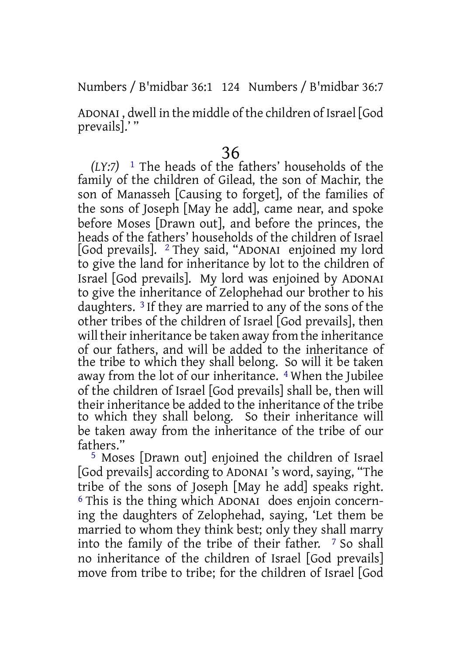### Numbers / B'midbar 36:1 124 Numbers / B'midbar 36:7

ADONAI , dwell in the middle of the children of Israel [God prevails].'"

### 36

*(LY:7)* 1 The heads of the fathers' households of the family of the children of Gilead, the son of Machir, the son of Manasseh [Causing to forget], of the families of the sons of Joseph [May he add], came near, and spoke before Moses [Drawn out], and before the princes, the heads of the fathers' households of the children of Israel [God prevails]. 2 They said, "ADONAI enjoined my lord to give the land for inheritance by lot to the children of Israel [God prevails]. My lord was enjoined by ADONAI to give the inheritance of Zelophehad our brother to his daughters. 3 If they are married to any of the sons of the other tribes of the children of Israel [God prevails], then will their inheritance be taken away from the inheritance of our fathers, and will be added to the inheritance of the tribe to which they shall belong. So will it be taken away from the lot of our inheritance. 4 When the Jubilee of the children of Israel [God prevails] shall be, then will their inheritance be added to the inheritance of the tribe to which they shall belong. So their inheritance will be taken away from the inheritance of the tribe of our fathers."

5 Moses [Drawn out] enjoined the children of Israel [God prevails] according to ADONAI 's word, saying, "The tribe of the sons of Joseph [May he add] speaks right. 6 This is the thing which ADONAI does enjoin concerning the daughters of Zelophehad, saying, 'Let them be married to whom they think best; only they shall marry into the family of the tribe of their father. 7 So shall no inheritance of the children of Israel [God prevails] move from tribe to tribe; for the children of Israel [God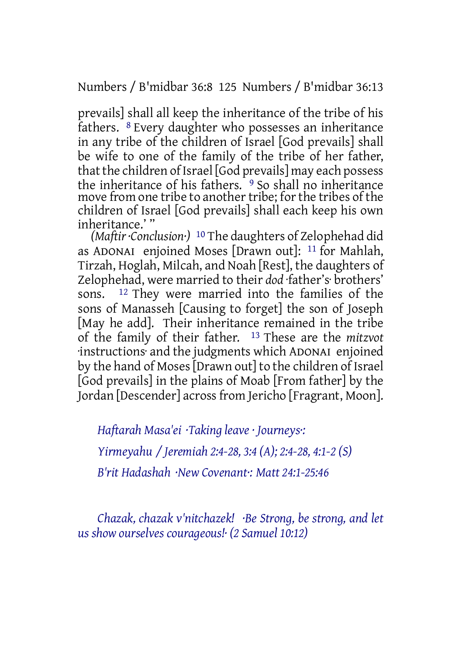Numbers / B'midbar 36:8 125 Numbers / B'midbar 36:13

prevails] shall all keep the inheritance of the tribe of his fathers. 8 Every daughter who possesses an inheritance in any tribe of the children of Israel [God prevails] shall be wife to one of the family of the tribe of her father, that the children of Israel [God prevails] may each possess the inheritance of his fathers.<sup>9</sup> So shall no inheritance move from one tribe to another tribe; for the tribes of the children of Israel [God prevails] shall each keep his own inheritance.' "

*(Maftir·Conclusion·)* 10 The daughters of Zelophehad did as ADONAI enjoined Moses [Drawn out]: 11 for Mahlah, Tirzah, Hoglah, Milcah, and Noah [Rest], the daughters of Zelophehad, were married to their *dod* ·father's· brothers' sons. 12 They were married into the families of the sons of Manasseh [Causing to forget] the son of Joseph [May he add]. Their inheritance remained in the tribe of the family of their father. 13 These are the *mitzvot* ·instructions· and the judgments which ADONAI enjoined by the hand of Moses[Drawn out] to the children of Israel [God prevails] in the plains of Moab [From father] by the Jordan [Descender] across from Jericho [Fragrant, Moon].

*Haftarah Masa'ei ·Taking leave · Journeys·: Yirmeyahu / Jeremiah 2:4-28, 3:4 (A); 2:4-28, 4:1-2 (S) B'rit Hadashah ·New Covenant·: Matt 24:1-25:46*

*Chazak, chazak v'nitchazek! ·Be Strong, be strong, and let us show ourselves courageous!· (2 Samuel 10:12)*